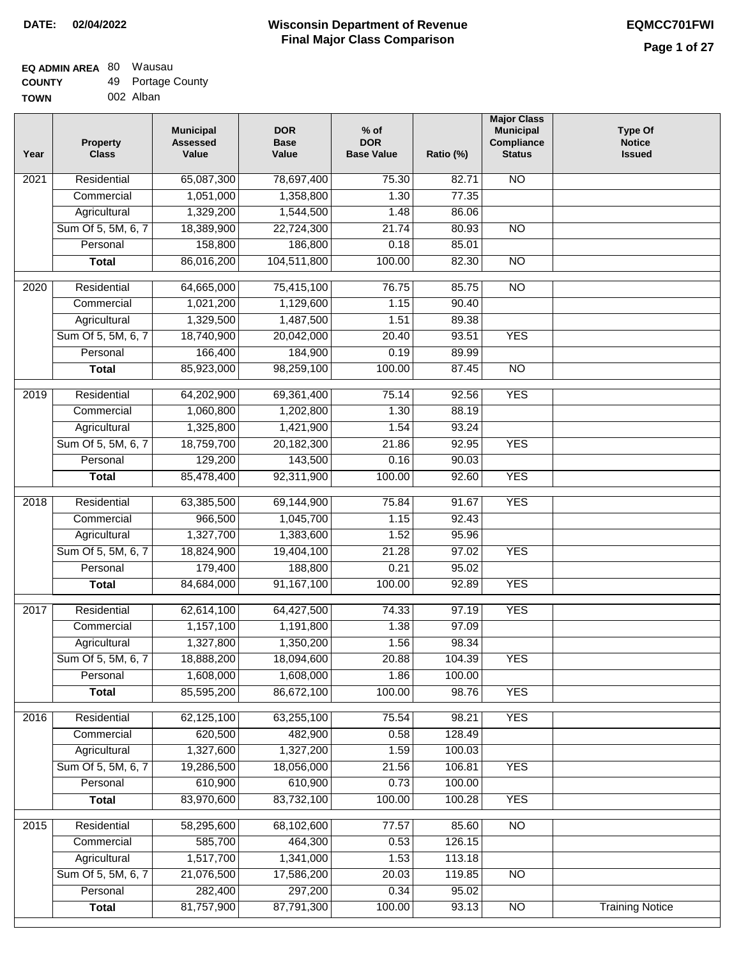#### **EQ ADMIN AREA** 80 Wausau **COUNTY** 49 Portage County

**TOWN** 002 Alban

| Year | <b>Property</b><br><b>Class</b> | <b>Municipal</b><br><b>Assessed</b><br>Value | <b>DOR</b><br><b>Base</b><br>Value | $%$ of<br><b>DOR</b><br><b>Base Value</b> | Ratio (%)      | <b>Major Class</b><br><b>Municipal</b><br>Compliance<br><b>Status</b> | <b>Type Of</b><br><b>Notice</b><br><b>Issued</b> |
|------|---------------------------------|----------------------------------------------|------------------------------------|-------------------------------------------|----------------|-----------------------------------------------------------------------|--------------------------------------------------|
| 2021 | Residential                     | 65,087,300                                   | 78,697,400                         | 75.30                                     | 82.71          | <b>NO</b>                                                             |                                                  |
|      | Commercial                      | 1,051,000                                    | 1,358,800                          | 1.30                                      | 77.35          |                                                                       |                                                  |
|      | Agricultural                    | 1,329,200                                    | 1,544,500                          | 1.48                                      | 86.06          |                                                                       |                                                  |
|      | Sum Of 5, 5M, 6, 7              | 18,389,900                                   | 22,724,300                         | 21.74                                     | 80.93          | $\overline{NO}$                                                       |                                                  |
|      | Personal                        | 158,800                                      | 186,800                            | 0.18                                      | 85.01          |                                                                       |                                                  |
|      | <b>Total</b>                    | 86,016,200                                   | 104,511,800                        | 100.00                                    | 82.30          | $\overline{NO}$                                                       |                                                  |
| 2020 | Residential                     | 64,665,000                                   | 75,415,100                         | 76.75                                     | 85.75          | $\overline{NO}$                                                       |                                                  |
|      | Commercial                      | 1,021,200                                    | 1,129,600                          | 1.15                                      | 90.40          |                                                                       |                                                  |
|      | Agricultural                    | 1,329,500                                    | 1,487,500                          | 1.51                                      | 89.38          |                                                                       |                                                  |
|      | Sum Of 5, 5M, 6, 7              | 18,740,900                                   | 20,042,000                         | 20.40                                     | 93.51          | <b>YES</b>                                                            |                                                  |
|      | Personal                        | 166,400                                      | 184,900                            | 0.19                                      | 89.99          |                                                                       |                                                  |
|      | <b>Total</b>                    | 85,923,000                                   | 98,259,100                         | 100.00                                    | 87.45          | $\overline{NO}$                                                       |                                                  |
| 2019 | Residential                     | 64,202,900                                   | 69,361,400                         | 75.14                                     | 92.56          | <b>YES</b>                                                            |                                                  |
|      | Commercial                      | 1,060,800                                    | 1,202,800                          | 1.30                                      | 88.19          |                                                                       |                                                  |
|      | Agricultural                    | 1,325,800                                    | 1,421,900                          | 1.54                                      | 93.24          |                                                                       |                                                  |
|      | Sum Of 5, 5M, 6, 7              | 18,759,700                                   | 20,182,300                         | 21.86                                     | 92.95          | <b>YES</b>                                                            |                                                  |
|      | Personal                        | 129,200                                      | 143,500                            | 0.16                                      | 90.03          |                                                                       |                                                  |
|      | <b>Total</b>                    | 85,478,400                                   | 92,311,900                         | 100.00                                    | 92.60          | <b>YES</b>                                                            |                                                  |
|      |                                 |                                              |                                    |                                           |                |                                                                       |                                                  |
| 2018 | Residential<br>Commercial       | 63,385,500<br>966,500                        | 69,144,900<br>1,045,700            | 75.84<br>1.15                             | 91.67<br>92.43 | <b>YES</b>                                                            |                                                  |
|      | Agricultural                    | 1,327,700                                    | 1,383,600                          | 1.52                                      | 95.96          |                                                                       |                                                  |
|      | Sum Of 5, 5M, 6, 7              | 18,824,900                                   | 19,404,100                         | 21.28                                     | 97.02          | <b>YES</b>                                                            |                                                  |
|      | Personal                        | 179,400                                      | 188,800                            | 0.21                                      | 95.02          |                                                                       |                                                  |
|      | <b>Total</b>                    | 84,684,000                                   | 91,167,100                         | 100.00                                    | 92.89          | <b>YES</b>                                                            |                                                  |
|      |                                 |                                              |                                    |                                           |                |                                                                       |                                                  |
| 2017 | Residential                     | 62,614,100                                   | 64,427,500                         | 74.33                                     | 97.19          | <b>YES</b>                                                            |                                                  |
|      | Commercial                      | 1,157,100                                    | 1,191,800                          | 1.38                                      | 97.09          |                                                                       |                                                  |
|      | Agricultural                    | 1,327,800                                    | 1,350,200                          | 1.56                                      | 98.34          |                                                                       |                                                  |
|      | Sum Of 5, 5M, 6, 7              | 18,888,200                                   | 18,094,600                         | 20.88                                     | 104.39         | <b>YES</b>                                                            |                                                  |
|      | Personal                        | 1,608,000                                    | 1,608,000                          | 1.86                                      | 100.00         |                                                                       |                                                  |
|      | <b>Total</b>                    | 85,595,200                                   | 86,672,100                         | 100.00                                    | 98.76          | <b>YES</b>                                                            |                                                  |
| 2016 | Residential                     | 62,125,100                                   | 63,255,100                         | 75.54                                     | 98.21          | <b>YES</b>                                                            |                                                  |
|      | Commercial                      | 620,500                                      | 482,900                            | 0.58                                      | 128.49         |                                                                       |                                                  |
|      | Agricultural                    | 1,327,600                                    | 1,327,200                          | 1.59                                      | 100.03         |                                                                       |                                                  |
|      | Sum Of 5, 5M, 6, 7              | 19,286,500                                   | 18,056,000                         | 21.56                                     | 106.81         | <b>YES</b>                                                            |                                                  |
|      | Personal                        | 610,900                                      | 610,900                            | 0.73                                      | 100.00         |                                                                       |                                                  |
|      | <b>Total</b>                    | 83,970,600                                   | 83,732,100                         | 100.00                                    | 100.28         | <b>YES</b>                                                            |                                                  |
| 2015 | Residential                     | 58,295,600                                   | 68,102,600                         | 77.57                                     | 85.60          | $\overline{NO}$                                                       |                                                  |
|      | Commercial                      | 585,700                                      | 464,300                            | 0.53                                      | 126.15         |                                                                       |                                                  |
|      | Agricultural                    | 1,517,700                                    | 1,341,000                          | 1.53                                      | 113.18         |                                                                       |                                                  |
|      | Sum Of 5, 5M, 6, 7              | 21,076,500                                   | 17,586,200                         | 20.03                                     | 119.85         | <b>NO</b>                                                             |                                                  |
|      | Personal                        | 282,400                                      | 297,200                            | 0.34                                      | 95.02          |                                                                       |                                                  |
|      | <b>Total</b>                    | 81,757,900                                   | 87,791,300                         | 100.00                                    | 93.13          | NO                                                                    | <b>Training Notice</b>                           |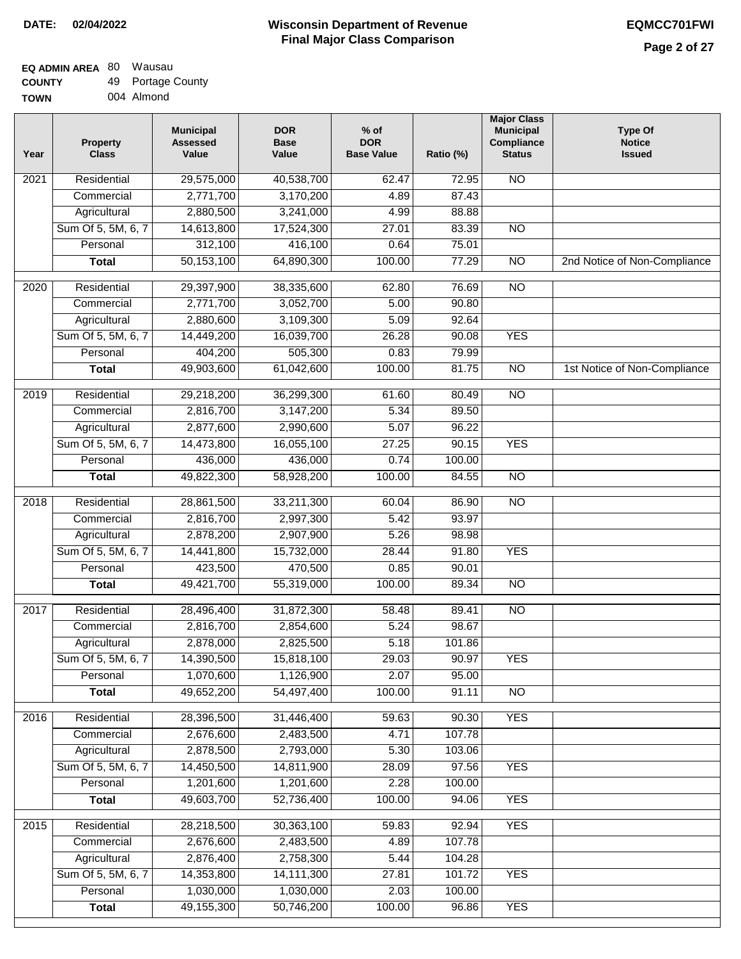#### **Wisconsin Department of Revenue Final Major Class Comparison DATE: 02/04/2022 EQMCC701FWI**

#### **EQ ADMIN AREA** 80 Wausau **COUNTY** 49 Portage County

| --------    |            |
|-------------|------------|
| <b>TOWN</b> | 004 Almond |

| Year             | <b>Property</b><br><b>Class</b> | <b>Municipal</b><br><b>Assessed</b><br>Value | <b>DOR</b><br><b>Base</b><br>Value | $%$ of<br><b>DOR</b><br><b>Base Value</b> | Ratio (%) | <b>Major Class</b><br><b>Municipal</b><br>Compliance<br><b>Status</b> | <b>Type Of</b><br><b>Notice</b><br><b>Issued</b> |
|------------------|---------------------------------|----------------------------------------------|------------------------------------|-------------------------------------------|-----------|-----------------------------------------------------------------------|--------------------------------------------------|
| 2021             | Residential                     | 29,575,000                                   | 40,538,700                         | 62.47                                     | 72.95     | <b>NO</b>                                                             |                                                  |
|                  | Commercial                      | 2,771,700                                    | 3,170,200                          | 4.89                                      | 87.43     |                                                                       |                                                  |
|                  | Agricultural                    | 2,880,500                                    | 3,241,000                          | 4.99                                      | 88.88     |                                                                       |                                                  |
|                  | Sum Of 5, 5M, 6, 7              | 14,613,800                                   | 17,524,300                         | 27.01                                     | 83.39     | $\overline{NO}$                                                       |                                                  |
|                  | Personal                        | 312,100                                      | 416,100                            | 0.64                                      | 75.01     |                                                                       |                                                  |
|                  | <b>Total</b>                    | 50,153,100                                   | 64,890,300                         | 100.00                                    | 77.29     | $\overline{NO}$                                                       | 2nd Notice of Non-Compliance                     |
| 2020             | Residential                     | 29,397,900                                   | 38,335,600                         | 62.80                                     | 76.69     | $\overline{10}$                                                       |                                                  |
|                  | Commercial                      | 2,771,700                                    | 3,052,700                          | 5.00                                      | 90.80     |                                                                       |                                                  |
|                  | Agricultural                    | 2,880,600                                    | 3,109,300                          | 5.09                                      | 92.64     |                                                                       |                                                  |
|                  | Sum Of 5, 5M, 6, 7              | 14,449,200                                   | 16,039,700                         | 26.28                                     | 90.08     | <b>YES</b>                                                            |                                                  |
|                  | Personal                        | 404,200                                      | 505,300                            | 0.83                                      | 79.99     |                                                                       |                                                  |
|                  | <b>Total</b>                    | 49,903,600                                   | 61,042,600                         | 100.00                                    | 81.75     | <b>NO</b>                                                             | 1st Notice of Non-Compliance                     |
|                  |                                 |                                              |                                    |                                           |           |                                                                       |                                                  |
| $\frac{1}{2019}$ | Residential                     | 29,218,200                                   | 36,299,300                         | 61.60                                     | 80.49     | $\overline{NO}$                                                       |                                                  |
|                  | Commercial                      | 2,816,700                                    | 3,147,200                          | 5.34                                      | 89.50     |                                                                       |                                                  |
|                  | Agricultural                    | 2,877,600                                    | 2,990,600                          | 5.07                                      | 96.22     |                                                                       |                                                  |
|                  | Sum Of 5, 5M, 6, 7              | 14,473,800                                   | 16,055,100                         | 27.25                                     | 90.15     | <b>YES</b>                                                            |                                                  |
|                  | Personal                        | 436,000                                      | 436,000                            | 0.74                                      | 100.00    |                                                                       |                                                  |
|                  | <b>Total</b>                    | 49,822,300                                   | 58,928,200                         | 100.00                                    | 84.55     | $\overline{NO}$                                                       |                                                  |
| 2018             | Residential                     | 28,861,500                                   | 33,211,300                         | 60.04                                     | 86.90     | $\overline{NO}$                                                       |                                                  |
|                  | Commercial                      | 2,816,700                                    | 2,997,300                          | 5.42                                      | 93.97     |                                                                       |                                                  |
|                  | Agricultural                    | 2,878,200                                    | 2,907,900                          | 5.26                                      | 98.98     |                                                                       |                                                  |
|                  | Sum Of 5, 5M, 6, 7              | 14,441,800                                   | 15,732,000                         | 28.44                                     | 91.80     | <b>YES</b>                                                            |                                                  |
|                  | Personal                        | 423,500                                      | 470,500                            | 0.85                                      | 90.01     |                                                                       |                                                  |
|                  | <b>Total</b>                    | 49,421,700                                   | 55,319,000                         | 100.00                                    | 89.34     | $\overline{10}$                                                       |                                                  |
| 2017             | Residential                     | 28,496,400                                   | 31,872,300                         | 58.48                                     | 89.41     | <b>NO</b>                                                             |                                                  |
|                  | Commercial                      | 2,816,700                                    | 2,854,600                          | 5.24                                      | 98.67     |                                                                       |                                                  |
|                  | Agricultural                    | 2,878,000                                    | 2,825,500                          | 5.18                                      | 101.86    |                                                                       |                                                  |
|                  | Sum Of 5, 5M, 6, 7              | 14,390,500                                   | 15,818,100                         | 29.03                                     | 90.97     | <b>YES</b>                                                            |                                                  |
|                  | Personal                        | 1,070,600                                    | 1,126,900                          | 2.07                                      | 95.00     |                                                                       |                                                  |
|                  | <b>Total</b>                    | 49,652,200                                   | 54,497,400                         | 100.00                                    | 91.11     | $\overline{NO}$                                                       |                                                  |
| 2016             | Residential                     | 28,396,500                                   | 31,446,400                         | 59.63                                     | 90.30     | <b>YES</b>                                                            |                                                  |
|                  | Commercial                      | 2,676,600                                    | 2,483,500                          | 4.71                                      | 107.78    |                                                                       |                                                  |
|                  | Agricultural                    | 2,878,500                                    | 2,793,000                          | 5.30                                      | 103.06    |                                                                       |                                                  |
|                  | Sum Of 5, 5M, 6, 7              | 14,450,500                                   | 14,811,900                         | 28.09                                     | 97.56     | <b>YES</b>                                                            |                                                  |
|                  | Personal                        | 1,201,600                                    | 1,201,600                          | 2.28                                      | 100.00    |                                                                       |                                                  |
|                  | <b>Total</b>                    | 49,603,700                                   | 52,736,400                         | 100.00                                    | 94.06     | <b>YES</b>                                                            |                                                  |
|                  |                                 |                                              |                                    |                                           |           |                                                                       |                                                  |
| 2015             | Residential                     | 28,218,500                                   | 30,363,100                         | 59.83                                     | 92.94     | <b>YES</b>                                                            |                                                  |
|                  | Commercial                      | 2,676,600                                    | 2,483,500                          | 4.89                                      | 107.78    |                                                                       |                                                  |
|                  | Agricultural                    | 2,876,400                                    | 2,758,300                          | 5.44                                      | 104.28    |                                                                       |                                                  |
|                  | Sum Of 5, 5M, 6, 7              | 14,353,800                                   | 14,111,300                         | 27.81                                     | 101.72    | <b>YES</b>                                                            |                                                  |
|                  | Personal                        | 1,030,000                                    | 1,030,000                          | 2.03                                      | 100.00    |                                                                       |                                                  |
|                  | <b>Total</b>                    | 49,155,300                                   | 50,746,200                         | 100.00                                    | 96.86     | <b>YES</b>                                                            |                                                  |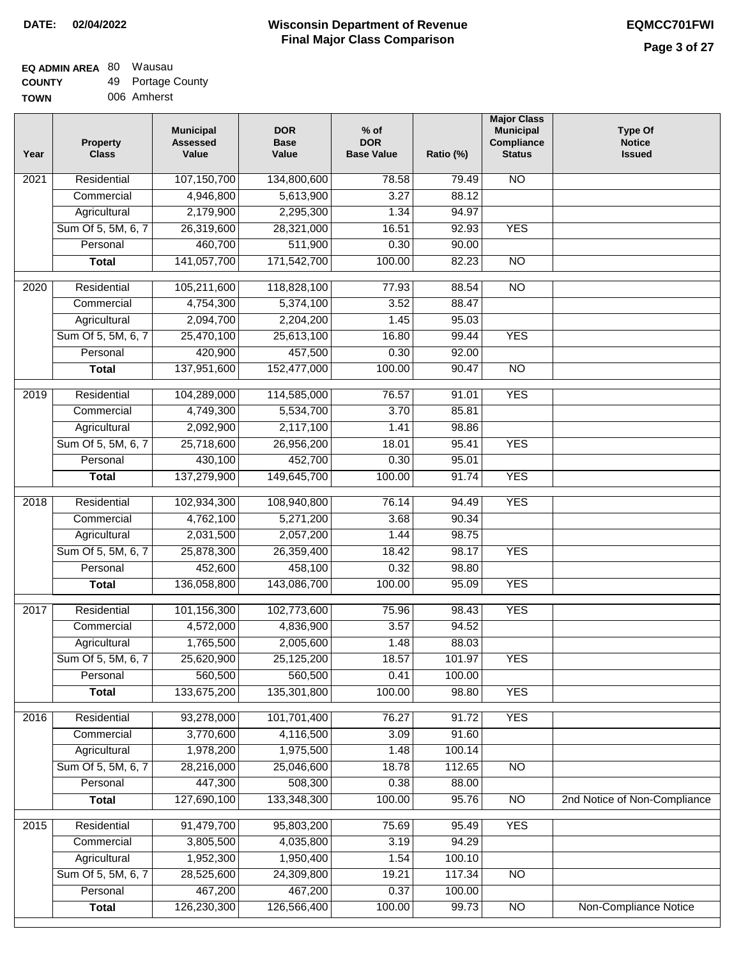| <b>TOWN</b> | 006 Amherst |
|-------------|-------------|
|             |             |

| Year              | <b>Property</b><br><b>Class</b> | <b>Municipal</b><br><b>Assessed</b><br>Value | <b>DOR</b><br><b>Base</b><br>Value | $%$ of<br><b>DOR</b><br><b>Base Value</b> | Ratio (%)       | <b>Major Class</b><br><b>Municipal</b><br>Compliance<br><b>Status</b> | <b>Type Of</b><br><b>Notice</b><br><b>Issued</b> |
|-------------------|---------------------------------|----------------------------------------------|------------------------------------|-------------------------------------------|-----------------|-----------------------------------------------------------------------|--------------------------------------------------|
| 2021              | Residential                     | 107,150,700                                  | 134,800,600                        | 78.58                                     | 79.49           | $\overline{NO}$                                                       |                                                  |
|                   | Commercial                      | 4,946,800                                    | 5,613,900                          | 3.27                                      | 88.12           |                                                                       |                                                  |
|                   | Agricultural                    | 2,179,900                                    | 2,295,300                          | 1.34                                      | 94.97           |                                                                       |                                                  |
|                   | Sum Of 5, 5M, 6, 7              | 26,319,600                                   | 28,321,000                         | 16.51                                     | 92.93           | <b>YES</b>                                                            |                                                  |
|                   | Personal                        | 460,700                                      | 511,900                            | 0.30                                      | 90.00           |                                                                       |                                                  |
|                   | <b>Total</b>                    | 141,057,700                                  | 171,542,700                        | 100.00                                    | 82.23           | $\overline{NO}$                                                       |                                                  |
| 2020              | Residential                     | 105,211,600                                  | 118,828,100                        | 77.93                                     | 88.54           | $\overline{NO}$                                                       |                                                  |
|                   | Commercial                      | 4,754,300                                    | 5,374,100                          | 3.52                                      | 88.47           |                                                                       |                                                  |
|                   | Agricultural                    | 2,094,700                                    | 2,204,200                          | 1.45                                      | 95.03           |                                                                       |                                                  |
|                   | Sum Of 5, 5M, 6, 7              | 25,470,100                                   | 25,613,100                         | 16.80                                     | 99.44           | <b>YES</b>                                                            |                                                  |
|                   | Personal                        | 420,900                                      | 457,500                            | 0.30                                      | 92.00           |                                                                       |                                                  |
|                   | <b>Total</b>                    | 137,951,600                                  | 152,477,000                        | 100.00                                    | 90.47           | $\overline{NO}$                                                       |                                                  |
|                   |                                 |                                              |                                    |                                           |                 |                                                                       |                                                  |
| $\frac{1}{2019}$  | Residential                     | 104,289,000                                  | 114,585,000                        | 76.57                                     | 91.01           | <b>YES</b>                                                            |                                                  |
|                   | Commercial                      | 4,749,300                                    | 5,534,700                          | 3.70                                      | 85.81           |                                                                       |                                                  |
|                   | Agricultural                    | 2,092,900                                    | 2,117,100                          | 1.41                                      | 98.86           |                                                                       |                                                  |
|                   | Sum Of 5, 5M, 6, 7              | 25,718,600                                   | 26,956,200                         | 18.01                                     | 95.41           | <b>YES</b>                                                            |                                                  |
|                   | Personal                        | 430,100                                      | 452,700                            | 0.30                                      | 95.01           |                                                                       |                                                  |
|                   | <b>Total</b>                    | 137,279,900                                  | 149,645,700                        | 100.00                                    | 91.74           | <b>YES</b>                                                            |                                                  |
| $\overline{2018}$ | Residential                     | 102,934,300                                  | 108,940,800                        | 76.14                                     | 94.49           | <b>YES</b>                                                            |                                                  |
|                   | Commercial                      | 4,762,100                                    | 5,271,200                          | 3.68                                      | 90.34           |                                                                       |                                                  |
|                   | Agricultural                    | 2,031,500                                    | 2,057,200                          | 1.44                                      | 98.75           |                                                                       |                                                  |
|                   | Sum Of 5, 5M, 6, 7              | 25,878,300                                   | 26,359,400                         | 18.42                                     | 98.17           | <b>YES</b>                                                            |                                                  |
|                   | Personal                        | 452,600                                      | 458,100                            | 0.32                                      | 98.80           |                                                                       |                                                  |
|                   | <b>Total</b>                    | 136,058,800                                  | 143,086,700                        | 100.00                                    | 95.09           | <b>YES</b>                                                            |                                                  |
| 2017              | Residential                     | 101,156,300                                  | 102,773,600                        | 75.96                                     | 98.43           | <b>YES</b>                                                            |                                                  |
|                   | Commercial                      | 4,572,000                                    | 4,836,900                          | 3.57                                      | 94.52           |                                                                       |                                                  |
|                   | Agricultural                    | 1,765,500                                    | 2,005,600                          | 1.48                                      | 88.03           |                                                                       |                                                  |
|                   | Sum Of 5, 5M, 6, 7              | 25,620,900                                   | 25,125,200                         | 18.57                                     | 101.97          | YES                                                                   |                                                  |
|                   | Personal                        | 560,500                                      | 560,500                            | 0.41                                      | 100.00          |                                                                       |                                                  |
|                   | <b>Total</b>                    | 133,675,200                                  | 135,301,800                        | 100.00                                    | 98.80           | <b>YES</b>                                                            |                                                  |
| 2016              | Residential                     | 93,278,000                                   | 101,701,400                        | 76.27                                     | 91.72           | <b>YES</b>                                                            |                                                  |
|                   | Commercial                      | 3,770,600                                    | 4,116,500                          | 3.09                                      | 91.60           |                                                                       |                                                  |
|                   | Agricultural                    | 1,978,200                                    | 1,975,500                          | 1.48                                      | 100.14          |                                                                       |                                                  |
|                   | Sum Of 5, 5M, 6, 7              | 28,216,000                                   | 25,046,600                         | 18.78                                     | 112.65          | $\overline{NO}$                                                       |                                                  |
|                   | Personal                        | 447,300                                      | 508,300                            | 0.38                                      | 88.00           |                                                                       |                                                  |
|                   | <b>Total</b>                    | 127,690,100                                  | 133,348,300                        | 100.00                                    | 95.76           | $\overline{NO}$                                                       | 2nd Notice of Non-Compliance                     |
|                   |                                 |                                              |                                    |                                           |                 | <b>YES</b>                                                            |                                                  |
| 2015              | Residential<br>Commercial       | 91,479,700                                   | 95,803,200                         | 75.69<br>3.19                             | 95.49<br>94.29  |                                                                       |                                                  |
|                   |                                 | 3,805,500                                    | 4,035,800                          |                                           |                 |                                                                       |                                                  |
|                   | Agricultural                    | 1,952,300                                    | 1,950,400                          | 1.54                                      | 100.10          |                                                                       |                                                  |
|                   | Sum Of 5, 5M, 6, 7              | 28,525,600                                   | 24,309,800                         | 19.21<br>0.37                             | 117.34          | $\overline{NO}$                                                       |                                                  |
|                   | Personal<br><b>Total</b>        | 467,200<br>126,230,300                       | 467,200<br>126,566,400             | 100.00                                    | 100.00<br>99.73 | $\overline{NO}$                                                       | Non-Compliance Notice                            |
|                   |                                 |                                              |                                    |                                           |                 |                                                                       |                                                  |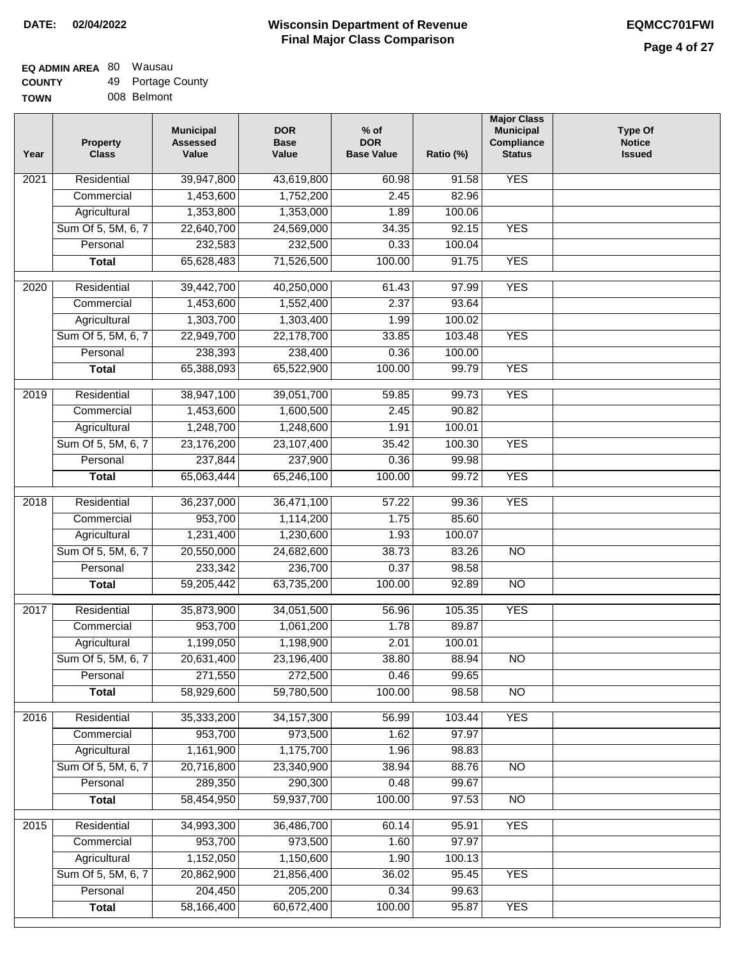|  | 008 Belmont |
|--|-------------|
|  |             |

| Year | <b>Property</b><br><b>Class</b> | <b>Municipal</b><br><b>Assessed</b><br>Value | <b>DOR</b><br><b>Base</b><br>Value | $%$ of<br><b>DOR</b><br><b>Base Value</b> | Ratio (%) | <b>Major Class</b><br><b>Municipal</b><br>Compliance<br><b>Status</b> | <b>Type Of</b><br><b>Notice</b><br><b>Issued</b> |
|------|---------------------------------|----------------------------------------------|------------------------------------|-------------------------------------------|-----------|-----------------------------------------------------------------------|--------------------------------------------------|
| 2021 | Residential                     | 39,947,800                                   | 43,619,800                         | 60.98                                     | 91.58     | <b>YES</b>                                                            |                                                  |
|      | Commercial                      | 1,453,600                                    | 1,752,200                          | 2.45                                      | 82.96     |                                                                       |                                                  |
|      | Agricultural                    | 1,353,800                                    | 1,353,000                          | 1.89                                      | 100.06    |                                                                       |                                                  |
|      | Sum Of 5, 5M, 6, 7              | 22,640,700                                   | 24,569,000                         | 34.35                                     | 92.15     | <b>YES</b>                                                            |                                                  |
|      | Personal                        | 232,583                                      | 232,500                            | 0.33                                      | 100.04    |                                                                       |                                                  |
|      | <b>Total</b>                    | 65,628,483                                   | 71,526,500                         | 100.00                                    | 91.75     | <b>YES</b>                                                            |                                                  |
| 2020 | Residential                     | 39,442,700                                   | 40,250,000                         | 61.43                                     | 97.99     | <b>YES</b>                                                            |                                                  |
|      | Commercial                      | 1,453,600                                    | 1,552,400                          | 2.37                                      | 93.64     |                                                                       |                                                  |
|      | Agricultural                    | 1,303,700                                    | 1,303,400                          | 1.99                                      | 100.02    |                                                                       |                                                  |
|      | Sum Of 5, 5M, 6, 7              | 22,949,700                                   | 22,178,700                         | 33.85                                     | 103.48    | <b>YES</b>                                                            |                                                  |
|      | Personal                        | 238,393                                      | 238,400                            | 0.36                                      | 100.00    |                                                                       |                                                  |
|      | <b>Total</b>                    | 65,388,093                                   | 65,522,900                         | 100.00                                    | 99.79     | <b>YES</b>                                                            |                                                  |
| 2019 | Residential                     | 38,947,100                                   | 39,051,700                         | 59.85                                     | 99.73     | <b>YES</b>                                                            |                                                  |
|      | Commercial                      | 1,453,600                                    | 1,600,500                          | 2.45                                      | 90.82     |                                                                       |                                                  |
|      | Agricultural                    | 1,248,700                                    | 1,248,600                          | 1.91                                      | 100.01    |                                                                       |                                                  |
|      | Sum Of 5, 5M, 6, 7              | 23,176,200                                   | 23,107,400                         | 35.42                                     | 100.30    | <b>YES</b>                                                            |                                                  |
|      | Personal                        | 237,844                                      | 237,900                            | 0.36                                      | 99.98     |                                                                       |                                                  |
|      | <b>Total</b>                    | 65,063,444                                   | 65,246,100                         | 100.00                                    | 99.72     | <b>YES</b>                                                            |                                                  |
|      |                                 |                                              |                                    |                                           |           |                                                                       |                                                  |
| 2018 | Residential                     | 36,237,000                                   | 36,471,100                         | 57.22                                     | 99.36     | <b>YES</b>                                                            |                                                  |
|      | Commercial                      | 953,700                                      | 1,114,200                          | 1.75                                      | 85.60     |                                                                       |                                                  |
|      | Agricultural                    | 1,231,400                                    | 1,230,600                          | 1.93                                      | 100.07    |                                                                       |                                                  |
|      | Sum Of 5, 5M, 6, 7              | 20,550,000                                   | 24,682,600                         | 38.73                                     | 83.26     | $\overline{3}$                                                        |                                                  |
|      | Personal                        | 233,342                                      | 236,700                            | 0.37                                      | 98.58     |                                                                       |                                                  |
|      | <b>Total</b>                    | 59,205,442                                   | 63,735,200                         | 100.00                                    | 92.89     | <b>NO</b>                                                             |                                                  |
| 2017 | Residential                     | 35,873,900                                   | 34,051,500                         | 56.96                                     | 105.35    | <b>YES</b>                                                            |                                                  |
|      | Commercial                      | 953,700                                      | 1,061,200                          | 1.78                                      | 89.87     |                                                                       |                                                  |
|      | Agricultural                    | 1,199,050                                    | 1,198,900                          | 2.01                                      | 100.01    |                                                                       |                                                  |
|      | Sum Of 5, 5M, 6, 7              | 20,631,400                                   | 23,196,400                         | 38.80                                     | 88.94     | N <sub>O</sub>                                                        |                                                  |
|      | Personal                        | 271,550                                      | 272,500                            | 0.46                                      | 99.65     |                                                                       |                                                  |
|      | <b>Total</b>                    | 58,929,600                                   | 59,780,500                         | 100.00                                    | 98.58     | $\overline{N}$                                                        |                                                  |
| 2016 | Residential                     | 35,333,200                                   | 34, 157, 300                       | 56.99                                     | 103.44    | <b>YES</b>                                                            |                                                  |
|      | Commercial                      | 953,700                                      | 973,500                            | 1.62                                      | 97.97     |                                                                       |                                                  |
|      | Agricultural                    | 1,161,900                                    | 1,175,700                          | 1.96                                      | 98.83     |                                                                       |                                                  |
|      | Sum Of 5, 5M, 6, 7              | 20,716,800                                   | 23,340,900                         | 38.94                                     | 88.76     | $\overline{NO}$                                                       |                                                  |
|      | Personal                        | 289,350                                      | 290,300                            | 0.48                                      | 99.67     |                                                                       |                                                  |
|      | <b>Total</b>                    | 58,454,950                                   | 59,937,700                         | 100.00                                    | 97.53     | N <sub>O</sub>                                                        |                                                  |
| 2015 | Residential                     | 34,993,300                                   | 36,486,700                         | 60.14                                     | 95.91     | <b>YES</b>                                                            |                                                  |
|      | Commercial                      | 953,700                                      | 973,500                            | 1.60                                      | 97.97     |                                                                       |                                                  |
|      | Agricultural                    | 1,152,050                                    | 1,150,600                          | 1.90                                      | 100.13    |                                                                       |                                                  |
|      | Sum Of 5, 5M, 6, 7              | 20,862,900                                   | 21,856,400                         | 36.02                                     | 95.45     | <b>YES</b>                                                            |                                                  |
|      | Personal                        | 204,450                                      | 205,200                            | 0.34                                      | 99.63     |                                                                       |                                                  |
|      | <b>Total</b>                    | 58,166,400                                   | 60,672,400                         | 100.00                                    | 95.87     | <b>YES</b>                                                            |                                                  |
|      |                                 |                                              |                                    |                                           |           |                                                                       |                                                  |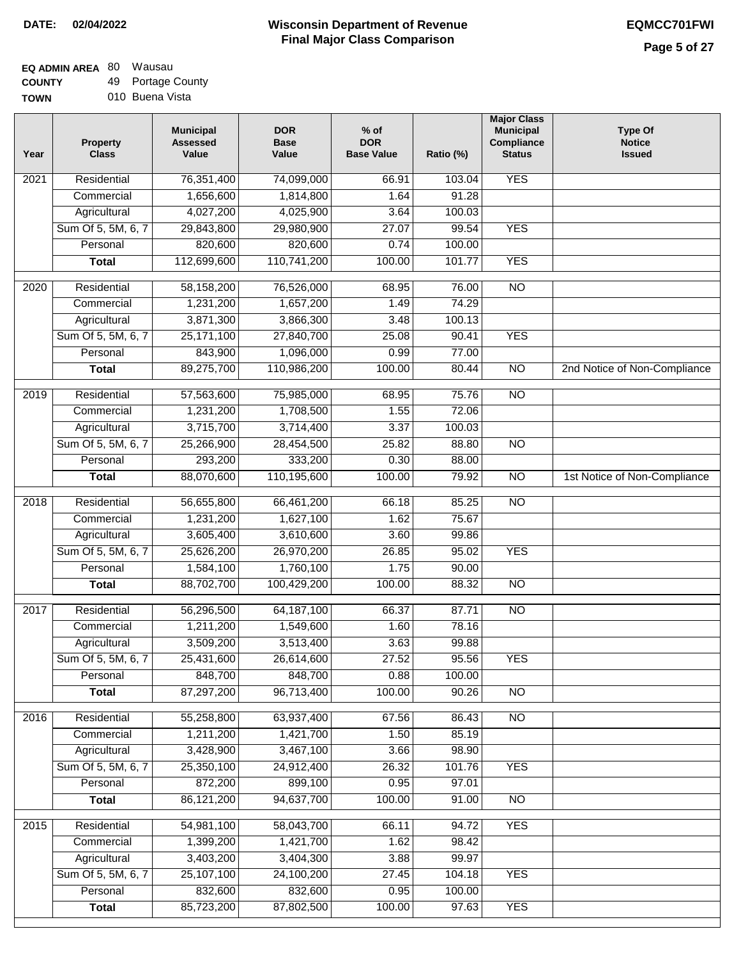#### **EQ ADMIN AREA** 80 Wausau **COUNTY** 49 Portage County

**TOWN** 010 Buena Vista

| Year             | <b>Property</b><br><b>Class</b> | <b>Municipal</b><br><b>Assessed</b><br>Value | <b>DOR</b><br><b>Base</b><br>Value | $%$ of<br><b>DOR</b><br><b>Base Value</b> | Ratio (%) | <b>Major Class</b><br><b>Municipal</b><br>Compliance<br><b>Status</b> | <b>Type Of</b><br><b>Notice</b><br><b>Issued</b> |
|------------------|---------------------------------|----------------------------------------------|------------------------------------|-------------------------------------------|-----------|-----------------------------------------------------------------------|--------------------------------------------------|
| 2021             | Residential                     | 76,351,400                                   | 74,099,000                         | 66.91                                     | 103.04    | <b>YES</b>                                                            |                                                  |
|                  | Commercial                      | 1,656,600                                    | 1,814,800                          | 1.64                                      | 91.28     |                                                                       |                                                  |
|                  | Agricultural                    | 4,027,200                                    | 4,025,900                          | 3.64                                      | 100.03    |                                                                       |                                                  |
|                  | Sum Of 5, 5M, 6, 7              | 29,843,800                                   | 29,980,900                         | 27.07                                     | 99.54     | <b>YES</b>                                                            |                                                  |
|                  | Personal                        | 820,600                                      | 820,600                            | 0.74                                      | 100.00    |                                                                       |                                                  |
|                  | <b>Total</b>                    | 112,699,600                                  | 110,741,200                        | 100.00                                    | 101.77    | <b>YES</b>                                                            |                                                  |
| $\frac{1}{2020}$ | Residential                     | 58,158,200                                   | 76,526,000                         | 68.95                                     | 76.00     | $\overline{10}$                                                       |                                                  |
|                  | Commercial                      | 1,231,200                                    | 1,657,200                          | 1.49                                      | 74.29     |                                                                       |                                                  |
|                  | Agricultural                    | 3,871,300                                    | 3,866,300                          | 3.48                                      | 100.13    |                                                                       |                                                  |
|                  | Sum Of 5, 5M, 6, 7              | 25,171,100                                   | 27,840,700                         | 25.08                                     | 90.41     | <b>YES</b>                                                            |                                                  |
|                  | Personal                        | 843,900                                      | 1,096,000                          | 0.99                                      | 77.00     |                                                                       |                                                  |
|                  | <b>Total</b>                    | 89,275,700                                   | 110,986,200                        | 100.00                                    | 80.44     | $\overline{NO}$                                                       | 2nd Notice of Non-Compliance                     |
| $\frac{1}{2019}$ | Residential                     | 57,563,600                                   | 75,985,000                         | 68.95                                     | 75.76     | $\overline{NO}$                                                       |                                                  |
|                  | Commercial                      | 1,231,200                                    | 1,708,500                          | 1.55                                      | 72.06     |                                                                       |                                                  |
|                  | Agricultural                    | 3,715,700                                    | 3,714,400                          | 3.37                                      | 100.03    |                                                                       |                                                  |
|                  | Sum Of 5, 5M, 6, 7              | 25,266,900                                   | 28,454,500                         | 25.82                                     | 88.80     | $\overline{NO}$                                                       |                                                  |
|                  | Personal                        | 293,200                                      | 333,200                            | 0.30                                      | 88.00     |                                                                       |                                                  |
|                  | <b>Total</b>                    | 88,070,600                                   | 110,195,600                        | 100.00                                    | 79.92     | $\overline{NO}$                                                       | 1st Notice of Non-Compliance                     |
| 2018             | Residential                     | 56,655,800                                   | 66,461,200                         | 66.18                                     | 85.25     | $\overline{NO}$                                                       |                                                  |
|                  | Commercial                      | 1,231,200                                    | 1,627,100                          | 1.62                                      | 75.67     |                                                                       |                                                  |
|                  | Agricultural                    | 3,605,400                                    | 3,610,600                          | 3.60                                      | 99.86     |                                                                       |                                                  |
|                  | Sum Of 5, 5M, 6, 7              | 25,626,200                                   | 26,970,200                         | 26.85                                     | 95.02     | <b>YES</b>                                                            |                                                  |
|                  | Personal                        | 1,584,100                                    | 1,760,100                          | 1.75                                      | 90.00     |                                                                       |                                                  |
|                  | <b>Total</b>                    | 88,702,700                                   | 100,429,200                        | 100.00                                    | 88.32     | <b>NO</b>                                                             |                                                  |
| 2017             | Residential                     | 56,296,500                                   | 64, 187, 100                       | 66.37                                     | 87.71     | $\overline{NO}$                                                       |                                                  |
|                  | Commercial                      | 1,211,200                                    | 1,549,600                          | 1.60                                      | 78.16     |                                                                       |                                                  |
|                  | Agricultural                    | 3,509,200                                    | 3,513,400                          | 3.63                                      | 99.88     |                                                                       |                                                  |
|                  | Sum Of 5, 5M, 6, 7              | 25,431,600                                   | 26,614,600                         | 27.52                                     | 95.56     | <b>YES</b>                                                            |                                                  |
|                  | Personal                        | 848,700                                      | 848,700                            | 0.88                                      | 100.00    |                                                                       |                                                  |
|                  | <b>Total</b>                    | 87,297,200                                   | 96,713,400                         | 100.00                                    | 90.26     | <b>NO</b>                                                             |                                                  |
| 2016             | Residential                     | 55,258,800                                   | 63,937,400                         | 67.56                                     | 86.43     | N <sub>O</sub>                                                        |                                                  |
|                  | Commercial                      | 1,211,200                                    | 1,421,700                          | 1.50                                      | 85.19     |                                                                       |                                                  |
|                  | Agricultural                    | 3,428,900                                    | 3,467,100                          | 3.66                                      | 98.90     |                                                                       |                                                  |
|                  | Sum Of 5, 5M, 6, 7              | 25,350,100                                   | 24,912,400                         | 26.32                                     | 101.76    | <b>YES</b>                                                            |                                                  |
|                  | Personal                        | 872,200                                      | 899,100                            | 0.95                                      | 97.01     |                                                                       |                                                  |
|                  | <b>Total</b>                    | 86,121,200                                   | 94,637,700                         | 100.00                                    | 91.00     | N <sub>O</sub>                                                        |                                                  |
| 2015             | Residential                     | 54,981,100                                   | 58,043,700                         | 66.11                                     | 94.72     | <b>YES</b>                                                            |                                                  |
|                  | Commercial                      | 1,399,200                                    | 1,421,700                          | 1.62                                      | 98.42     |                                                                       |                                                  |
|                  | Agricultural                    | 3,403,200                                    | 3,404,300                          | 3.88                                      | 99.97     |                                                                       |                                                  |
|                  | Sum Of 5, 5M, 6, 7              | 25,107,100                                   | 24,100,200                         | 27.45                                     | 104.18    | <b>YES</b>                                                            |                                                  |
|                  | Personal                        | 832,600                                      | 832,600                            | 0.95                                      | 100.00    |                                                                       |                                                  |
|                  | <b>Total</b>                    | 85,723,200                                   | 87,802,500                         | 100.00                                    | 97.63     | <b>YES</b>                                                            |                                                  |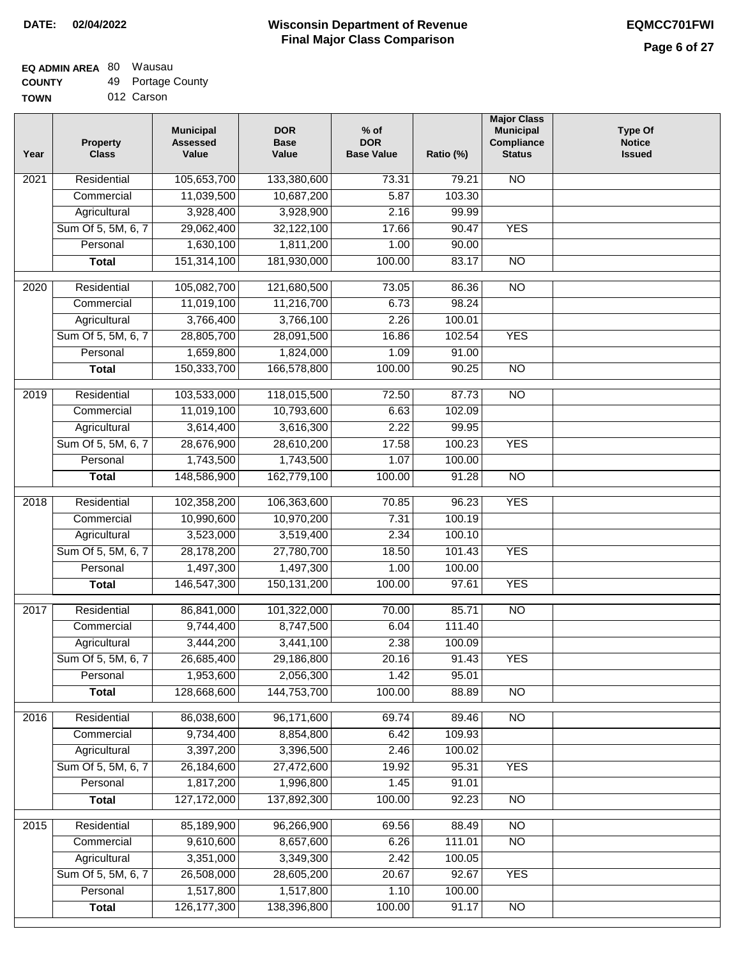#### **Wisconsin Department of Revenue Final Major Class Comparison DATE: 02/04/2022 EQMCC701FWI**

#### **EQ ADMIN AREA** 80 Wausau  $\overline{49}$

| <b>COUNTY</b> | 49 Portage County |
|---------------|-------------------|
| <b>TOWN</b>   | 012 Carson        |

| Year             | <b>Property</b><br><b>Class</b> | <b>Municipal</b><br><b>Assessed</b><br>Value | <b>DOR</b><br><b>Base</b><br>Value | $%$ of<br><b>DOR</b><br><b>Base Value</b> | Ratio (%) | <b>Major Class</b><br><b>Municipal</b><br>Compliance<br><b>Status</b> | <b>Type Of</b><br><b>Notice</b><br><b>Issued</b> |
|------------------|---------------------------------|----------------------------------------------|------------------------------------|-------------------------------------------|-----------|-----------------------------------------------------------------------|--------------------------------------------------|
| 2021             | Residential                     | 105,653,700                                  | 133,380,600                        | 73.31                                     | 79.21     | <b>NO</b>                                                             |                                                  |
|                  | Commercial                      | 11,039,500                                   | 10,687,200                         | 5.87                                      | 103.30    |                                                                       |                                                  |
|                  | Agricultural                    | 3,928,400                                    | 3,928,900                          | 2.16                                      | 99.99     |                                                                       |                                                  |
|                  | Sum Of 5, 5M, 6, 7              | 29,062,400                                   | 32,122,100                         | 17.66                                     | 90.47     | <b>YES</b>                                                            |                                                  |
|                  | Personal                        | 1,630,100                                    | 1,811,200                          | 1.00                                      | 90.00     |                                                                       |                                                  |
|                  | <b>Total</b>                    | 151,314,100                                  | 181,930,000                        | 100.00                                    | 83.17     | $\overline{NO}$                                                       |                                                  |
| $\frac{1}{2020}$ | Residential                     | 105,082,700                                  | 121,680,500                        | 73.05                                     | 86.36     | $\overline{NO}$                                                       |                                                  |
|                  | Commercial                      | 11,019,100                                   | 11,216,700                         | 6.73                                      | 98.24     |                                                                       |                                                  |
|                  | Agricultural                    | 3,766,400                                    | 3,766,100                          | 2.26                                      | 100.01    |                                                                       |                                                  |
|                  | Sum Of 5, 5M, 6, 7              | 28,805,700                                   | 28,091,500                         | 16.86                                     | 102.54    | <b>YES</b>                                                            |                                                  |
|                  | Personal                        | 1,659,800                                    | 1,824,000                          | 1.09                                      | 91.00     |                                                                       |                                                  |
|                  | <b>Total</b>                    | 150,333,700                                  | 166,578,800                        | 100.00                                    | 90.25     | <b>NO</b>                                                             |                                                  |
| $\frac{1}{2019}$ | Residential                     | 103,533,000                                  | 118,015,500                        | 72.50                                     | 87.73     | $\overline{NO}$                                                       |                                                  |
|                  | Commercial                      | 11,019,100                                   | 10,793,600                         | 6.63                                      | 102.09    |                                                                       |                                                  |
|                  | Agricultural                    | 3,614,400                                    | 3,616,300                          | 2.22                                      | 99.95     |                                                                       |                                                  |
|                  | Sum Of 5, 5M, 6, 7              | 28,676,900                                   | 28,610,200                         | 17.58                                     | 100.23    | <b>YES</b>                                                            |                                                  |
|                  | Personal                        | 1,743,500                                    | 1,743,500                          | 1.07                                      | 100.00    |                                                                       |                                                  |
|                  | <b>Total</b>                    | 148,586,900                                  | 162,779,100                        | 100.00                                    | 91.28     | N <sub>O</sub>                                                        |                                                  |
| 2018             | Residential                     | 102,358,200                                  | 106,363,600                        | 70.85                                     | 96.23     | <b>YES</b>                                                            |                                                  |
|                  | Commercial                      | 10,990,600                                   | 10,970,200                         | 7.31                                      | 100.19    |                                                                       |                                                  |
|                  | Agricultural                    | 3,523,000                                    | 3,519,400                          | 2.34                                      | 100.10    |                                                                       |                                                  |
|                  | Sum Of 5, 5M, 6, 7              | 28,178,200                                   | 27,780,700                         | 18.50                                     | 101.43    | <b>YES</b>                                                            |                                                  |
|                  | Personal                        | 1,497,300                                    | 1,497,300                          | 1.00                                      | 100.00    |                                                                       |                                                  |
|                  | <b>Total</b>                    | 146,547,300                                  | 150,131,200                        | 100.00                                    | 97.61     | <b>YES</b>                                                            |                                                  |
| 2017             | Residential                     | 86,841,000                                   | 101,322,000                        | 70.00                                     | 85.71     | N <sub>O</sub>                                                        |                                                  |
|                  | Commercial                      | 9,744,400                                    | 8,747,500                          | 6.04                                      | 111.40    |                                                                       |                                                  |
|                  | Agricultural                    | 3,444,200                                    | 3,441,100                          | 2.38                                      | 100.09    |                                                                       |                                                  |
|                  | Sum Of 5, 5M, 6, 7              | 26,685,400                                   | 29,186,800                         | 20.16                                     | 91.43     | <b>YES</b>                                                            |                                                  |
|                  | Personal                        | 1,953,600                                    | 2,056,300                          | 1.42                                      | 95.01     |                                                                       |                                                  |
|                  | <b>Total</b>                    | 128,668,600                                  | 144,753,700                        | 100.00                                    | 88.89     | $\overline{NO}$                                                       |                                                  |
| 2016             | Residential                     | 86,038,600                                   | 96,171,600                         | 69.74                                     | 89.46     | N <sub>O</sub>                                                        |                                                  |
|                  | Commercial                      | 9,734,400                                    | 8,854,800                          | 6.42                                      | 109.93    |                                                                       |                                                  |
|                  | Agricultural                    | 3,397,200                                    | 3,396,500                          | 2.46                                      | 100.02    |                                                                       |                                                  |
|                  | Sum Of 5, 5M, 6, 7              | 26,184,600                                   | 27,472,600                         | 19.92                                     | 95.31     | <b>YES</b>                                                            |                                                  |
|                  | Personal                        | 1,817,200                                    | 1,996,800                          | 1.45                                      | 91.01     |                                                                       |                                                  |
|                  | <b>Total</b>                    | 127, 172, 000                                | 137,892,300                        | 100.00                                    | 92.23     | $\overline{NO}$                                                       |                                                  |
| 2015             | Residential                     | 85,189,900                                   | 96,266,900                         | 69.56                                     | 88.49     | <b>NO</b>                                                             |                                                  |
|                  | Commercial                      | 9,610,600                                    | 8,657,600                          | 6.26                                      | 111.01    | $\overline{NO}$                                                       |                                                  |
|                  | Agricultural                    | 3,351,000                                    | 3,349,300                          | 2.42                                      | 100.05    |                                                                       |                                                  |
|                  | Sum Of 5, 5M, 6, 7              | 26,508,000                                   | 28,605,200                         | 20.67                                     | 92.67     | <b>YES</b>                                                            |                                                  |
|                  | Personal                        | 1,517,800                                    | 1,517,800                          | 1.10                                      | 100.00    |                                                                       |                                                  |
|                  | <b>Total</b>                    | 126, 177, 300                                | 138,396,800                        | 100.00                                    | 91.17     | $\overline{NO}$                                                       |                                                  |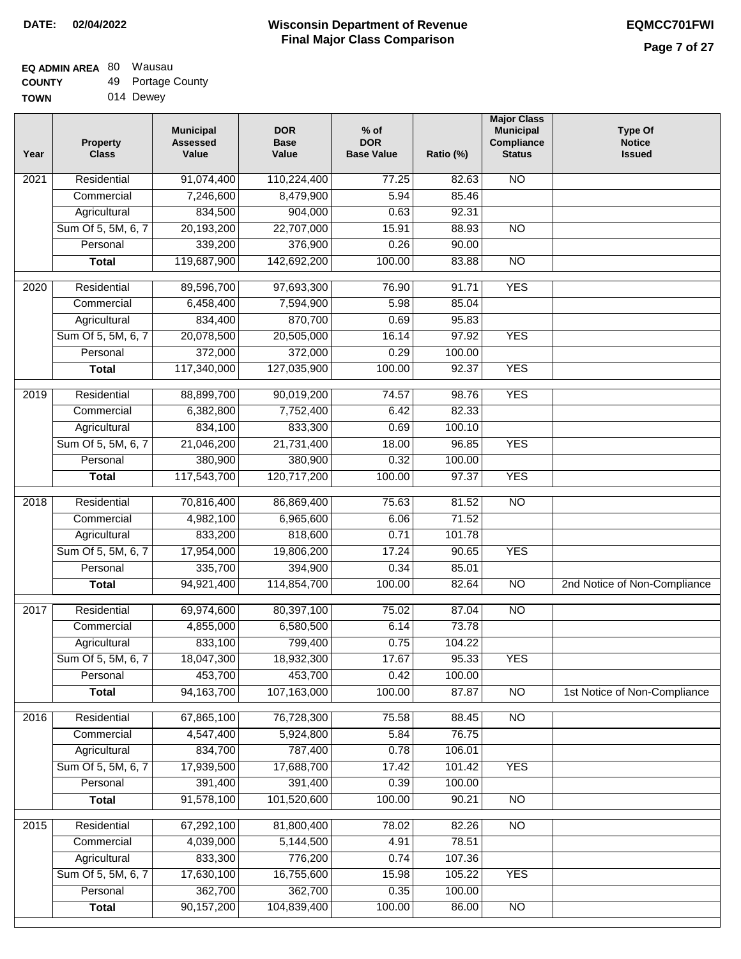## **EQ ADMIN AREA** 80 Wausau **COUNTY**

| <b>COUNTY</b> | 49 Portage County |
|---------------|-------------------|
| <b>TOWN</b>   | 014 Dewey         |

| Year | Property<br><b>Class</b> | <b>Municipal</b><br><b>Assessed</b><br>Value | <b>DOR</b><br><b>Base</b><br>Value | $%$ of<br><b>DOR</b><br><b>Base Value</b> | Ratio (%) | <b>Major Class</b><br><b>Municipal</b><br>Compliance<br><b>Status</b> | <b>Type Of</b><br><b>Notice</b><br><b>Issued</b> |
|------|--------------------------|----------------------------------------------|------------------------------------|-------------------------------------------|-----------|-----------------------------------------------------------------------|--------------------------------------------------|
| 2021 | Residential              | 91,074,400                                   | 110,224,400                        | 77.25                                     | 82.63     | <b>NO</b>                                                             |                                                  |
|      | Commercial               | 7,246,600                                    | 8,479,900                          | 5.94                                      | 85.46     |                                                                       |                                                  |
|      | Agricultural             | 834,500                                      | 904,000                            | 0.63                                      | 92.31     |                                                                       |                                                  |
|      | Sum Of 5, 5M, 6, 7       | 20,193,200                                   | 22,707,000                         | 15.91                                     | 88.93     | $\overline{NO}$                                                       |                                                  |
|      | Personal                 | 339,200                                      | 376,900                            | 0.26                                      | 90.00     |                                                                       |                                                  |
|      | <b>Total</b>             | 119,687,900                                  | 142,692,200                        | 100.00                                    | 83.88     | $\overline{NO}$                                                       |                                                  |
| 2020 | Residential              | 89,596,700                                   | 97,693,300                         | 76.90                                     | 91.71     | <b>YES</b>                                                            |                                                  |
|      | Commercial               | 6,458,400                                    | 7,594,900                          | 5.98                                      | 85.04     |                                                                       |                                                  |
|      | Agricultural             | 834,400                                      | 870,700                            | 0.69                                      | 95.83     |                                                                       |                                                  |
|      | Sum Of 5, 5M, 6, 7       | 20,078,500                                   | 20,505,000                         | 16.14                                     | 97.92     | <b>YES</b>                                                            |                                                  |
|      | Personal                 | 372,000                                      | 372,000                            | 0.29                                      | 100.00    |                                                                       |                                                  |
|      | <b>Total</b>             | 117,340,000                                  | 127,035,900                        | 100.00                                    | 92.37     | <b>YES</b>                                                            |                                                  |
|      |                          |                                              |                                    |                                           |           |                                                                       |                                                  |
| 2019 | Residential              | 88,899,700                                   | 90,019,200                         | 74.57                                     | 98.76     | <b>YES</b>                                                            |                                                  |
|      | Commercial               | 6,382,800                                    | 7,752,400                          | 6.42                                      | 82.33     |                                                                       |                                                  |
|      | Agricultural             | 834,100                                      | 833,300                            | 0.69                                      | 100.10    |                                                                       |                                                  |
|      | Sum Of 5, 5M, 6, 7       | 21,046,200                                   | 21,731,400                         | 18.00                                     | 96.85     | <b>YES</b>                                                            |                                                  |
|      | Personal                 | 380,900                                      | 380,900                            | 0.32                                      | 100.00    |                                                                       |                                                  |
|      | <b>Total</b>             | 117,543,700                                  | 120,717,200                        | 100.00                                    | 97.37     | <b>YES</b>                                                            |                                                  |
| 2018 | Residential              | 70,816,400                                   | 86,869,400                         | 75.63                                     | 81.52     | $\overline{NO}$                                                       |                                                  |
|      | Commercial               | 4,982,100                                    | 6,965,600                          | 6.06                                      | 71.52     |                                                                       |                                                  |
|      | Agricultural             | 833,200                                      | 818,600                            | 0.71                                      | 101.78    |                                                                       |                                                  |
|      | Sum Of 5, 5M, 6, 7       | 17,954,000                                   | 19,806,200                         | 17.24                                     | 90.65     | <b>YES</b>                                                            |                                                  |
|      | Personal                 | 335,700                                      | 394,900                            | 0.34                                      | 85.01     |                                                                       |                                                  |
|      | <b>Total</b>             | 94,921,400                                   | 114,854,700                        | 100.00                                    | 82.64     | <b>NO</b>                                                             | 2nd Notice of Non-Compliance                     |
| 2017 | Residential              | 69,974,600                                   | 80,397,100                         | 75.02                                     | 87.04     | $\overline{NO}$                                                       |                                                  |
|      | Commercial               | 4,855,000                                    | 6,580,500                          | 6.14                                      | 73.78     |                                                                       |                                                  |
|      | Agricultural             | 833,100                                      | 799,400                            | 0.75                                      | 104.22    |                                                                       |                                                  |
|      | Sum Of 5, 5M, 6, 7       | 18,047,300                                   | 18,932,300                         | 17.67                                     | 95.33     | <b>YES</b>                                                            |                                                  |
|      | Personal                 | 453,700                                      | 453,700                            | 0.42                                      | 100.00    |                                                                       |                                                  |
|      | <b>Total</b>             | 94, 163, 700                                 | 107,163,000                        | 100.00                                    | 87.87     | N <sub>O</sub>                                                        | 1st Notice of Non-Compliance                     |
| 2016 | Residential              | 67,865,100                                   | 76,728,300                         | 75.58                                     | 88.45     | N <sub>O</sub>                                                        |                                                  |
|      | Commercial               | 4,547,400                                    | 5,924,800                          | 5.84                                      | 76.75     |                                                                       |                                                  |
|      | Agricultural             | 834,700                                      | 787,400                            | 0.78                                      | 106.01    |                                                                       |                                                  |
|      | Sum Of 5, 5M, 6, 7       | 17,939,500                                   | 17,688,700                         | 17.42                                     | 101.42    | <b>YES</b>                                                            |                                                  |
|      | Personal                 | 391,400                                      | 391,400                            | 0.39                                      | 100.00    |                                                                       |                                                  |
|      | <b>Total</b>             | 91,578,100                                   | 101,520,600                        | 100.00                                    | 90.21     | $\overline{NO}$                                                       |                                                  |
| 2015 | Residential              | 67,292,100                                   | 81,800,400                         | 78.02                                     | 82.26     | <b>NO</b>                                                             |                                                  |
|      | Commercial               | 4,039,000                                    | 5,144,500                          | 4.91                                      | 78.51     |                                                                       |                                                  |
|      | Agricultural             | 833,300                                      | 776,200                            | 0.74                                      | 107.36    |                                                                       |                                                  |
|      | Sum Of 5, 5M, 6, 7       | 17,630,100                                   | 16,755,600                         | 15.98                                     | 105.22    | <b>YES</b>                                                            |                                                  |
|      | Personal                 | 362,700                                      | 362,700                            | 0.35                                      | 100.00    |                                                                       |                                                  |
|      | <b>Total</b>             | 90,157,200                                   | 104,839,400                        | 100.00                                    | 86.00     | $\overline{NO}$                                                       |                                                  |
|      |                          |                                              |                                    |                                           |           |                                                                       |                                                  |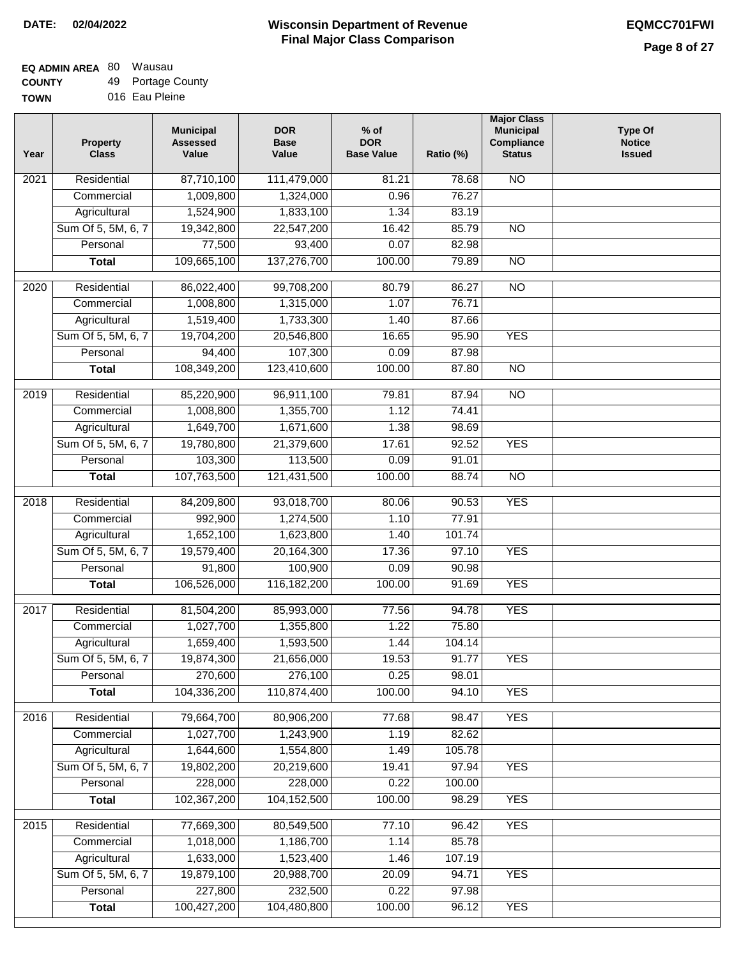#### **EQ ADMIN AREA** 80 Wausau **COUNTY** 49 Portage County

**TOWN** 016 Eau Pleine

| 87,710,100<br><b>NO</b><br>2021<br>Residential<br>111,479,000<br>81.21<br>78.68<br>1,009,800<br>1,324,000<br>0.96<br>76.27<br>Commercial<br>1,524,900<br>Agricultural<br>1,833,100<br>1.34<br>83.19<br>Sum Of 5, 5M, 6, 7<br>19,342,800<br>22,547,200<br>16.42<br>85.79<br>$\overline{NO}$<br>77,500<br>93,400<br>0.07<br>Personal<br>82.98<br>109,665,100<br>137,276,700<br>100.00<br>79.89<br>$\overline{NO}$<br><b>Total</b><br>$\overline{NO}$<br>2020<br>Residential<br>86,022,400<br>99,708,200<br>80.79<br>86.27<br>1,008,800<br>1,315,000<br>1.07<br>76.71<br>Commercial<br>1,519,400<br>1,733,300<br>1.40<br>87.66<br>Agricultural<br>Sum Of 5, 5M, 6, 7<br>19,704,200<br>20,546,800<br>16.65<br>95.90<br><b>YES</b><br>94,400<br>107,300<br>87.98<br>Personal<br>0.09<br>108,349,200<br>123,410,600<br>100.00<br>87.80<br>$\overline{NO}$<br><b>Total</b><br>2019<br>Residential<br>85,220,900<br>96,911,100<br>79.81<br>87.94<br>$\overline{3}$<br>1,008,800<br>1,355,700<br>74.41<br>Commercial<br>1.12<br>1,649,700<br>1,671,600<br>1.38<br>98.69<br>Agricultural<br><b>YES</b><br>Sum Of 5, 5M, 6, 7<br>19,780,800<br>21,379,600<br>17.61<br>92.52<br>103,300<br>113,500<br>Personal<br>0.09<br>91.01<br>107,763,500<br>100.00<br>88.74<br>$\overline{NO}$<br>121,431,500<br><b>Total</b><br>Residential<br>84,209,800<br>93,018,700<br><b>YES</b><br>2018<br>80.06<br>90.53<br>992,900<br>77.91<br>Commercial<br>1,274,500<br>1.10<br>1,652,100<br>1,623,800<br>101.74<br>Agricultural<br>1.40<br>Sum Of 5, 5M, 6, 7<br>19,579,400<br>20,164,300<br>17.36<br>97.10<br><b>YES</b><br>Personal<br>91,800<br>100,900<br>0.09<br>90.98<br>106,526,000<br>116, 182, 200<br>100.00<br><b>YES</b><br>91.69<br><b>Total</b><br>2017<br>Residential<br>81,504,200<br>85,993,000<br>94.78<br><b>YES</b><br>77.56<br>1,027,700<br>1,355,800<br>1.22<br>75.80<br>Commercial<br>1,659,400<br>1,593,500<br>1.44<br>104.14<br>Agricultural<br>19.53<br>Sum Of 5, 5M, 6, 7<br>19,874,300<br>21,656,000<br>91.77<br><b>YES</b><br>270,600<br>0.25<br>276,100<br>98.01<br>Personal<br>104,336,200<br>110,874,400<br>100.00<br><b>YES</b><br><b>Total</b><br>94.10<br><b>YES</b><br>Residential<br>79,664,700<br>80,906,200<br>2016<br>77.68<br>98.47<br>1,027,700<br>1.19<br>82.62<br>Commercial<br>1,243,900<br>1,644,600<br>1,554,800<br>105.78<br>Agricultural<br>1.49<br>Sum Of 5, 5M, 6, 7<br>20,219,600<br>19.41<br><b>YES</b><br>19,802,200<br>97.94<br>228,000<br>228,000<br>0.22<br>100.00<br>Personal<br>102,367,200<br>100.00<br><b>YES</b><br>104, 152, 500<br>98.29<br><b>Total</b><br><b>YES</b><br>2015<br>Residential<br>77,669,300<br>80,549,500<br>77.10<br>96.42<br>1,018,000<br>85.78<br>1,186,700<br>1.14<br>Commercial<br>1,633,000<br>1,523,400<br>107.19<br>Agricultural<br>1.46<br>Sum Of 5, 5M, 6, 7<br>19,879,100<br>20,988,700<br>20.09<br>94.71<br><b>YES</b><br>227,800<br>232,500<br>0.22<br>97.98<br>Personal<br>100,427,200<br>104,480,800<br>100.00<br><b>YES</b><br><b>Total</b><br>96.12 | Year | <b>Property</b><br><b>Class</b> | <b>Municipal</b><br><b>Assessed</b><br>Value | <b>DOR</b><br><b>Base</b><br>Value | $%$ of<br><b>DOR</b><br><b>Base Value</b> | Ratio (%) | <b>Major Class</b><br><b>Municipal</b><br>Compliance<br><b>Status</b> | <b>Type Of</b><br><b>Notice</b><br><b>Issued</b> |
|---------------------------------------------------------------------------------------------------------------------------------------------------------------------------------------------------------------------------------------------------------------------------------------------------------------------------------------------------------------------------------------------------------------------------------------------------------------------------------------------------------------------------------------------------------------------------------------------------------------------------------------------------------------------------------------------------------------------------------------------------------------------------------------------------------------------------------------------------------------------------------------------------------------------------------------------------------------------------------------------------------------------------------------------------------------------------------------------------------------------------------------------------------------------------------------------------------------------------------------------------------------------------------------------------------------------------------------------------------------------------------------------------------------------------------------------------------------------------------------------------------------------------------------------------------------------------------------------------------------------------------------------------------------------------------------------------------------------------------------------------------------------------------------------------------------------------------------------------------------------------------------------------------------------------------------------------------------------------------------------------------------------------------------------------------------------------------------------------------------------------------------------------------------------------------------------------------------------------------------------------------------------------------------------------------------------------------------------------------------------------------------------------------------------------------------------------------------------------------------------------------------------------------------------------------------------------------------------------------------------------------------------------------------------------------------------------------------------------------------------------------------------------------------------------------------------------------------------------------------------------------------------------------------------------------------------------------------------------------------------------------------------------|------|---------------------------------|----------------------------------------------|------------------------------------|-------------------------------------------|-----------|-----------------------------------------------------------------------|--------------------------------------------------|
|                                                                                                                                                                                                                                                                                                                                                                                                                                                                                                                                                                                                                                                                                                                                                                                                                                                                                                                                                                                                                                                                                                                                                                                                                                                                                                                                                                                                                                                                                                                                                                                                                                                                                                                                                                                                                                                                                                                                                                                                                                                                                                                                                                                                                                                                                                                                                                                                                                                                                                                                                                                                                                                                                                                                                                                                                                                                                                                                                                                                                           |      |                                 |                                              |                                    |                                           |           |                                                                       |                                                  |
|                                                                                                                                                                                                                                                                                                                                                                                                                                                                                                                                                                                                                                                                                                                                                                                                                                                                                                                                                                                                                                                                                                                                                                                                                                                                                                                                                                                                                                                                                                                                                                                                                                                                                                                                                                                                                                                                                                                                                                                                                                                                                                                                                                                                                                                                                                                                                                                                                                                                                                                                                                                                                                                                                                                                                                                                                                                                                                                                                                                                                           |      |                                 |                                              |                                    |                                           |           |                                                                       |                                                  |
|                                                                                                                                                                                                                                                                                                                                                                                                                                                                                                                                                                                                                                                                                                                                                                                                                                                                                                                                                                                                                                                                                                                                                                                                                                                                                                                                                                                                                                                                                                                                                                                                                                                                                                                                                                                                                                                                                                                                                                                                                                                                                                                                                                                                                                                                                                                                                                                                                                                                                                                                                                                                                                                                                                                                                                                                                                                                                                                                                                                                                           |      |                                 |                                              |                                    |                                           |           |                                                                       |                                                  |
|                                                                                                                                                                                                                                                                                                                                                                                                                                                                                                                                                                                                                                                                                                                                                                                                                                                                                                                                                                                                                                                                                                                                                                                                                                                                                                                                                                                                                                                                                                                                                                                                                                                                                                                                                                                                                                                                                                                                                                                                                                                                                                                                                                                                                                                                                                                                                                                                                                                                                                                                                                                                                                                                                                                                                                                                                                                                                                                                                                                                                           |      |                                 |                                              |                                    |                                           |           |                                                                       |                                                  |
|                                                                                                                                                                                                                                                                                                                                                                                                                                                                                                                                                                                                                                                                                                                                                                                                                                                                                                                                                                                                                                                                                                                                                                                                                                                                                                                                                                                                                                                                                                                                                                                                                                                                                                                                                                                                                                                                                                                                                                                                                                                                                                                                                                                                                                                                                                                                                                                                                                                                                                                                                                                                                                                                                                                                                                                                                                                                                                                                                                                                                           |      |                                 |                                              |                                    |                                           |           |                                                                       |                                                  |
|                                                                                                                                                                                                                                                                                                                                                                                                                                                                                                                                                                                                                                                                                                                                                                                                                                                                                                                                                                                                                                                                                                                                                                                                                                                                                                                                                                                                                                                                                                                                                                                                                                                                                                                                                                                                                                                                                                                                                                                                                                                                                                                                                                                                                                                                                                                                                                                                                                                                                                                                                                                                                                                                                                                                                                                                                                                                                                                                                                                                                           |      |                                 |                                              |                                    |                                           |           |                                                                       |                                                  |
|                                                                                                                                                                                                                                                                                                                                                                                                                                                                                                                                                                                                                                                                                                                                                                                                                                                                                                                                                                                                                                                                                                                                                                                                                                                                                                                                                                                                                                                                                                                                                                                                                                                                                                                                                                                                                                                                                                                                                                                                                                                                                                                                                                                                                                                                                                                                                                                                                                                                                                                                                                                                                                                                                                                                                                                                                                                                                                                                                                                                                           |      |                                 |                                              |                                    |                                           |           |                                                                       |                                                  |
|                                                                                                                                                                                                                                                                                                                                                                                                                                                                                                                                                                                                                                                                                                                                                                                                                                                                                                                                                                                                                                                                                                                                                                                                                                                                                                                                                                                                                                                                                                                                                                                                                                                                                                                                                                                                                                                                                                                                                                                                                                                                                                                                                                                                                                                                                                                                                                                                                                                                                                                                                                                                                                                                                                                                                                                                                                                                                                                                                                                                                           |      |                                 |                                              |                                    |                                           |           |                                                                       |                                                  |
|                                                                                                                                                                                                                                                                                                                                                                                                                                                                                                                                                                                                                                                                                                                                                                                                                                                                                                                                                                                                                                                                                                                                                                                                                                                                                                                                                                                                                                                                                                                                                                                                                                                                                                                                                                                                                                                                                                                                                                                                                                                                                                                                                                                                                                                                                                                                                                                                                                                                                                                                                                                                                                                                                                                                                                                                                                                                                                                                                                                                                           |      |                                 |                                              |                                    |                                           |           |                                                                       |                                                  |
|                                                                                                                                                                                                                                                                                                                                                                                                                                                                                                                                                                                                                                                                                                                                                                                                                                                                                                                                                                                                                                                                                                                                                                                                                                                                                                                                                                                                                                                                                                                                                                                                                                                                                                                                                                                                                                                                                                                                                                                                                                                                                                                                                                                                                                                                                                                                                                                                                                                                                                                                                                                                                                                                                                                                                                                                                                                                                                                                                                                                                           |      |                                 |                                              |                                    |                                           |           |                                                                       |                                                  |
|                                                                                                                                                                                                                                                                                                                                                                                                                                                                                                                                                                                                                                                                                                                                                                                                                                                                                                                                                                                                                                                                                                                                                                                                                                                                                                                                                                                                                                                                                                                                                                                                                                                                                                                                                                                                                                                                                                                                                                                                                                                                                                                                                                                                                                                                                                                                                                                                                                                                                                                                                                                                                                                                                                                                                                                                                                                                                                                                                                                                                           |      |                                 |                                              |                                    |                                           |           |                                                                       |                                                  |
|                                                                                                                                                                                                                                                                                                                                                                                                                                                                                                                                                                                                                                                                                                                                                                                                                                                                                                                                                                                                                                                                                                                                                                                                                                                                                                                                                                                                                                                                                                                                                                                                                                                                                                                                                                                                                                                                                                                                                                                                                                                                                                                                                                                                                                                                                                                                                                                                                                                                                                                                                                                                                                                                                                                                                                                                                                                                                                                                                                                                                           |      |                                 |                                              |                                    |                                           |           |                                                                       |                                                  |
|                                                                                                                                                                                                                                                                                                                                                                                                                                                                                                                                                                                                                                                                                                                                                                                                                                                                                                                                                                                                                                                                                                                                                                                                                                                                                                                                                                                                                                                                                                                                                                                                                                                                                                                                                                                                                                                                                                                                                                                                                                                                                                                                                                                                                                                                                                                                                                                                                                                                                                                                                                                                                                                                                                                                                                                                                                                                                                                                                                                                                           |      |                                 |                                              |                                    |                                           |           |                                                                       |                                                  |
|                                                                                                                                                                                                                                                                                                                                                                                                                                                                                                                                                                                                                                                                                                                                                                                                                                                                                                                                                                                                                                                                                                                                                                                                                                                                                                                                                                                                                                                                                                                                                                                                                                                                                                                                                                                                                                                                                                                                                                                                                                                                                                                                                                                                                                                                                                                                                                                                                                                                                                                                                                                                                                                                                                                                                                                                                                                                                                                                                                                                                           |      |                                 |                                              |                                    |                                           |           |                                                                       |                                                  |
|                                                                                                                                                                                                                                                                                                                                                                                                                                                                                                                                                                                                                                                                                                                                                                                                                                                                                                                                                                                                                                                                                                                                                                                                                                                                                                                                                                                                                                                                                                                                                                                                                                                                                                                                                                                                                                                                                                                                                                                                                                                                                                                                                                                                                                                                                                                                                                                                                                                                                                                                                                                                                                                                                                                                                                                                                                                                                                                                                                                                                           |      |                                 |                                              |                                    |                                           |           |                                                                       |                                                  |
|                                                                                                                                                                                                                                                                                                                                                                                                                                                                                                                                                                                                                                                                                                                                                                                                                                                                                                                                                                                                                                                                                                                                                                                                                                                                                                                                                                                                                                                                                                                                                                                                                                                                                                                                                                                                                                                                                                                                                                                                                                                                                                                                                                                                                                                                                                                                                                                                                                                                                                                                                                                                                                                                                                                                                                                                                                                                                                                                                                                                                           |      |                                 |                                              |                                    |                                           |           |                                                                       |                                                  |
|                                                                                                                                                                                                                                                                                                                                                                                                                                                                                                                                                                                                                                                                                                                                                                                                                                                                                                                                                                                                                                                                                                                                                                                                                                                                                                                                                                                                                                                                                                                                                                                                                                                                                                                                                                                                                                                                                                                                                                                                                                                                                                                                                                                                                                                                                                                                                                                                                                                                                                                                                                                                                                                                                                                                                                                                                                                                                                                                                                                                                           |      |                                 |                                              |                                    |                                           |           |                                                                       |                                                  |
|                                                                                                                                                                                                                                                                                                                                                                                                                                                                                                                                                                                                                                                                                                                                                                                                                                                                                                                                                                                                                                                                                                                                                                                                                                                                                                                                                                                                                                                                                                                                                                                                                                                                                                                                                                                                                                                                                                                                                                                                                                                                                                                                                                                                                                                                                                                                                                                                                                                                                                                                                                                                                                                                                                                                                                                                                                                                                                                                                                                                                           |      |                                 |                                              |                                    |                                           |           |                                                                       |                                                  |
|                                                                                                                                                                                                                                                                                                                                                                                                                                                                                                                                                                                                                                                                                                                                                                                                                                                                                                                                                                                                                                                                                                                                                                                                                                                                                                                                                                                                                                                                                                                                                                                                                                                                                                                                                                                                                                                                                                                                                                                                                                                                                                                                                                                                                                                                                                                                                                                                                                                                                                                                                                                                                                                                                                                                                                                                                                                                                                                                                                                                                           |      |                                 |                                              |                                    |                                           |           |                                                                       |                                                  |
|                                                                                                                                                                                                                                                                                                                                                                                                                                                                                                                                                                                                                                                                                                                                                                                                                                                                                                                                                                                                                                                                                                                                                                                                                                                                                                                                                                                                                                                                                                                                                                                                                                                                                                                                                                                                                                                                                                                                                                                                                                                                                                                                                                                                                                                                                                                                                                                                                                                                                                                                                                                                                                                                                                                                                                                                                                                                                                                                                                                                                           |      |                                 |                                              |                                    |                                           |           |                                                                       |                                                  |
|                                                                                                                                                                                                                                                                                                                                                                                                                                                                                                                                                                                                                                                                                                                                                                                                                                                                                                                                                                                                                                                                                                                                                                                                                                                                                                                                                                                                                                                                                                                                                                                                                                                                                                                                                                                                                                                                                                                                                                                                                                                                                                                                                                                                                                                                                                                                                                                                                                                                                                                                                                                                                                                                                                                                                                                                                                                                                                                                                                                                                           |      |                                 |                                              |                                    |                                           |           |                                                                       |                                                  |
|                                                                                                                                                                                                                                                                                                                                                                                                                                                                                                                                                                                                                                                                                                                                                                                                                                                                                                                                                                                                                                                                                                                                                                                                                                                                                                                                                                                                                                                                                                                                                                                                                                                                                                                                                                                                                                                                                                                                                                                                                                                                                                                                                                                                                                                                                                                                                                                                                                                                                                                                                                                                                                                                                                                                                                                                                                                                                                                                                                                                                           |      |                                 |                                              |                                    |                                           |           |                                                                       |                                                  |
|                                                                                                                                                                                                                                                                                                                                                                                                                                                                                                                                                                                                                                                                                                                                                                                                                                                                                                                                                                                                                                                                                                                                                                                                                                                                                                                                                                                                                                                                                                                                                                                                                                                                                                                                                                                                                                                                                                                                                                                                                                                                                                                                                                                                                                                                                                                                                                                                                                                                                                                                                                                                                                                                                                                                                                                                                                                                                                                                                                                                                           |      |                                 |                                              |                                    |                                           |           |                                                                       |                                                  |
|                                                                                                                                                                                                                                                                                                                                                                                                                                                                                                                                                                                                                                                                                                                                                                                                                                                                                                                                                                                                                                                                                                                                                                                                                                                                                                                                                                                                                                                                                                                                                                                                                                                                                                                                                                                                                                                                                                                                                                                                                                                                                                                                                                                                                                                                                                                                                                                                                                                                                                                                                                                                                                                                                                                                                                                                                                                                                                                                                                                                                           |      |                                 |                                              |                                    |                                           |           |                                                                       |                                                  |
|                                                                                                                                                                                                                                                                                                                                                                                                                                                                                                                                                                                                                                                                                                                                                                                                                                                                                                                                                                                                                                                                                                                                                                                                                                                                                                                                                                                                                                                                                                                                                                                                                                                                                                                                                                                                                                                                                                                                                                                                                                                                                                                                                                                                                                                                                                                                                                                                                                                                                                                                                                                                                                                                                                                                                                                                                                                                                                                                                                                                                           |      |                                 |                                              |                                    |                                           |           |                                                                       |                                                  |
|                                                                                                                                                                                                                                                                                                                                                                                                                                                                                                                                                                                                                                                                                                                                                                                                                                                                                                                                                                                                                                                                                                                                                                                                                                                                                                                                                                                                                                                                                                                                                                                                                                                                                                                                                                                                                                                                                                                                                                                                                                                                                                                                                                                                                                                                                                                                                                                                                                                                                                                                                                                                                                                                                                                                                                                                                                                                                                                                                                                                                           |      |                                 |                                              |                                    |                                           |           |                                                                       |                                                  |
|                                                                                                                                                                                                                                                                                                                                                                                                                                                                                                                                                                                                                                                                                                                                                                                                                                                                                                                                                                                                                                                                                                                                                                                                                                                                                                                                                                                                                                                                                                                                                                                                                                                                                                                                                                                                                                                                                                                                                                                                                                                                                                                                                                                                                                                                                                                                                                                                                                                                                                                                                                                                                                                                                                                                                                                                                                                                                                                                                                                                                           |      |                                 |                                              |                                    |                                           |           |                                                                       |                                                  |
|                                                                                                                                                                                                                                                                                                                                                                                                                                                                                                                                                                                                                                                                                                                                                                                                                                                                                                                                                                                                                                                                                                                                                                                                                                                                                                                                                                                                                                                                                                                                                                                                                                                                                                                                                                                                                                                                                                                                                                                                                                                                                                                                                                                                                                                                                                                                                                                                                                                                                                                                                                                                                                                                                                                                                                                                                                                                                                                                                                                                                           |      |                                 |                                              |                                    |                                           |           |                                                                       |                                                  |
|                                                                                                                                                                                                                                                                                                                                                                                                                                                                                                                                                                                                                                                                                                                                                                                                                                                                                                                                                                                                                                                                                                                                                                                                                                                                                                                                                                                                                                                                                                                                                                                                                                                                                                                                                                                                                                                                                                                                                                                                                                                                                                                                                                                                                                                                                                                                                                                                                                                                                                                                                                                                                                                                                                                                                                                                                                                                                                                                                                                                                           |      |                                 |                                              |                                    |                                           |           |                                                                       |                                                  |
|                                                                                                                                                                                                                                                                                                                                                                                                                                                                                                                                                                                                                                                                                                                                                                                                                                                                                                                                                                                                                                                                                                                                                                                                                                                                                                                                                                                                                                                                                                                                                                                                                                                                                                                                                                                                                                                                                                                                                                                                                                                                                                                                                                                                                                                                                                                                                                                                                                                                                                                                                                                                                                                                                                                                                                                                                                                                                                                                                                                                                           |      |                                 |                                              |                                    |                                           |           |                                                                       |                                                  |
|                                                                                                                                                                                                                                                                                                                                                                                                                                                                                                                                                                                                                                                                                                                                                                                                                                                                                                                                                                                                                                                                                                                                                                                                                                                                                                                                                                                                                                                                                                                                                                                                                                                                                                                                                                                                                                                                                                                                                                                                                                                                                                                                                                                                                                                                                                                                                                                                                                                                                                                                                                                                                                                                                                                                                                                                                                                                                                                                                                                                                           |      |                                 |                                              |                                    |                                           |           |                                                                       |                                                  |
|                                                                                                                                                                                                                                                                                                                                                                                                                                                                                                                                                                                                                                                                                                                                                                                                                                                                                                                                                                                                                                                                                                                                                                                                                                                                                                                                                                                                                                                                                                                                                                                                                                                                                                                                                                                                                                                                                                                                                                                                                                                                                                                                                                                                                                                                                                                                                                                                                                                                                                                                                                                                                                                                                                                                                                                                                                                                                                                                                                                                                           |      |                                 |                                              |                                    |                                           |           |                                                                       |                                                  |
|                                                                                                                                                                                                                                                                                                                                                                                                                                                                                                                                                                                                                                                                                                                                                                                                                                                                                                                                                                                                                                                                                                                                                                                                                                                                                                                                                                                                                                                                                                                                                                                                                                                                                                                                                                                                                                                                                                                                                                                                                                                                                                                                                                                                                                                                                                                                                                                                                                                                                                                                                                                                                                                                                                                                                                                                                                                                                                                                                                                                                           |      |                                 |                                              |                                    |                                           |           |                                                                       |                                                  |
|                                                                                                                                                                                                                                                                                                                                                                                                                                                                                                                                                                                                                                                                                                                                                                                                                                                                                                                                                                                                                                                                                                                                                                                                                                                                                                                                                                                                                                                                                                                                                                                                                                                                                                                                                                                                                                                                                                                                                                                                                                                                                                                                                                                                                                                                                                                                                                                                                                                                                                                                                                                                                                                                                                                                                                                                                                                                                                                                                                                                                           |      |                                 |                                              |                                    |                                           |           |                                                                       |                                                  |
|                                                                                                                                                                                                                                                                                                                                                                                                                                                                                                                                                                                                                                                                                                                                                                                                                                                                                                                                                                                                                                                                                                                                                                                                                                                                                                                                                                                                                                                                                                                                                                                                                                                                                                                                                                                                                                                                                                                                                                                                                                                                                                                                                                                                                                                                                                                                                                                                                                                                                                                                                                                                                                                                                                                                                                                                                                                                                                                                                                                                                           |      |                                 |                                              |                                    |                                           |           |                                                                       |                                                  |
|                                                                                                                                                                                                                                                                                                                                                                                                                                                                                                                                                                                                                                                                                                                                                                                                                                                                                                                                                                                                                                                                                                                                                                                                                                                                                                                                                                                                                                                                                                                                                                                                                                                                                                                                                                                                                                                                                                                                                                                                                                                                                                                                                                                                                                                                                                                                                                                                                                                                                                                                                                                                                                                                                                                                                                                                                                                                                                                                                                                                                           |      |                                 |                                              |                                    |                                           |           |                                                                       |                                                  |
|                                                                                                                                                                                                                                                                                                                                                                                                                                                                                                                                                                                                                                                                                                                                                                                                                                                                                                                                                                                                                                                                                                                                                                                                                                                                                                                                                                                                                                                                                                                                                                                                                                                                                                                                                                                                                                                                                                                                                                                                                                                                                                                                                                                                                                                                                                                                                                                                                                                                                                                                                                                                                                                                                                                                                                                                                                                                                                                                                                                                                           |      |                                 |                                              |                                    |                                           |           |                                                                       |                                                  |
|                                                                                                                                                                                                                                                                                                                                                                                                                                                                                                                                                                                                                                                                                                                                                                                                                                                                                                                                                                                                                                                                                                                                                                                                                                                                                                                                                                                                                                                                                                                                                                                                                                                                                                                                                                                                                                                                                                                                                                                                                                                                                                                                                                                                                                                                                                                                                                                                                                                                                                                                                                                                                                                                                                                                                                                                                                                                                                                                                                                                                           |      |                                 |                                              |                                    |                                           |           |                                                                       |                                                  |
|                                                                                                                                                                                                                                                                                                                                                                                                                                                                                                                                                                                                                                                                                                                                                                                                                                                                                                                                                                                                                                                                                                                                                                                                                                                                                                                                                                                                                                                                                                                                                                                                                                                                                                                                                                                                                                                                                                                                                                                                                                                                                                                                                                                                                                                                                                                                                                                                                                                                                                                                                                                                                                                                                                                                                                                                                                                                                                                                                                                                                           |      |                                 |                                              |                                    |                                           |           |                                                                       |                                                  |
|                                                                                                                                                                                                                                                                                                                                                                                                                                                                                                                                                                                                                                                                                                                                                                                                                                                                                                                                                                                                                                                                                                                                                                                                                                                                                                                                                                                                                                                                                                                                                                                                                                                                                                                                                                                                                                                                                                                                                                                                                                                                                                                                                                                                                                                                                                                                                                                                                                                                                                                                                                                                                                                                                                                                                                                                                                                                                                                                                                                                                           |      |                                 |                                              |                                    |                                           |           |                                                                       |                                                  |
|                                                                                                                                                                                                                                                                                                                                                                                                                                                                                                                                                                                                                                                                                                                                                                                                                                                                                                                                                                                                                                                                                                                                                                                                                                                                                                                                                                                                                                                                                                                                                                                                                                                                                                                                                                                                                                                                                                                                                                                                                                                                                                                                                                                                                                                                                                                                                                                                                                                                                                                                                                                                                                                                                                                                                                                                                                                                                                                                                                                                                           |      |                                 |                                              |                                    |                                           |           |                                                                       |                                                  |
|                                                                                                                                                                                                                                                                                                                                                                                                                                                                                                                                                                                                                                                                                                                                                                                                                                                                                                                                                                                                                                                                                                                                                                                                                                                                                                                                                                                                                                                                                                                                                                                                                                                                                                                                                                                                                                                                                                                                                                                                                                                                                                                                                                                                                                                                                                                                                                                                                                                                                                                                                                                                                                                                                                                                                                                                                                                                                                                                                                                                                           |      |                                 |                                              |                                    |                                           |           |                                                                       |                                                  |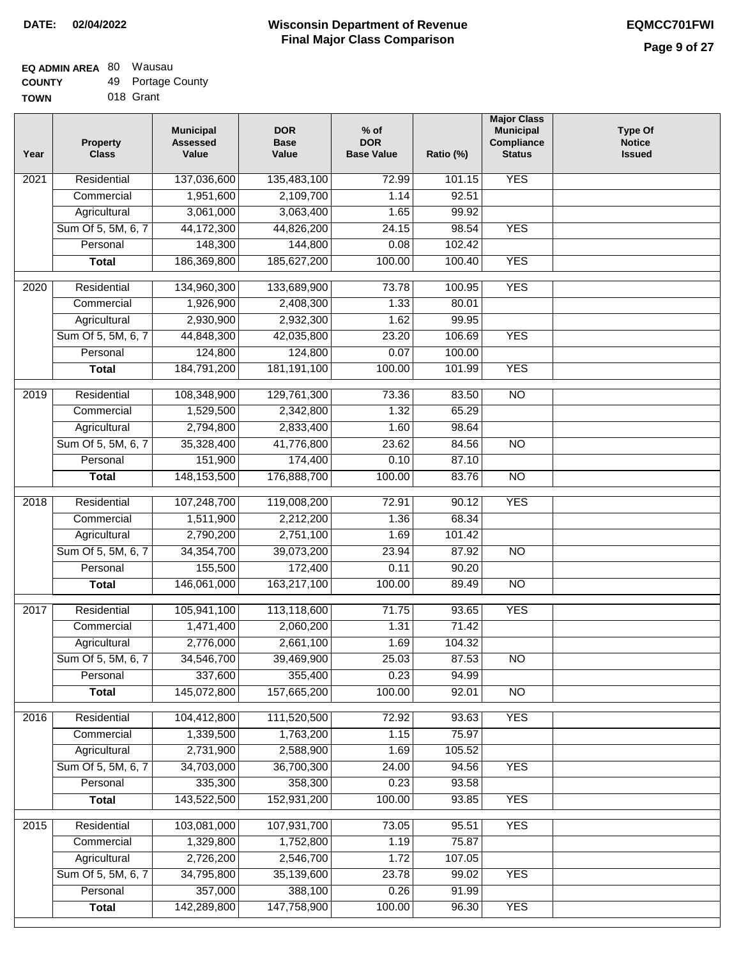| - - - - - - - |           |
|---------------|-----------|
| <b>TOWN</b>   | 018 Grant |

| <b>YES</b><br>Residential<br>137,036,600<br>2021<br>135,483,100<br>72.99<br>101.15<br>1,951,600<br>2,109,700<br>Commercial<br>1.14<br>92.51<br>Agricultural<br>3,061,000<br>3,063,400<br>1.65<br>99.92<br>Sum Of 5, 5M, 6, 7<br>44,172,300<br>44,826,200<br>24.15<br>98.54<br><b>YES</b><br>148,300<br>144,800<br>102.42<br>Personal<br>0.08<br>186,369,800<br>185,627,200<br><b>YES</b><br>100.00<br>100.40<br><b>Total</b><br>Residential<br>73.78<br><b>YES</b><br>134,960,300<br>133,689,900<br>100.95<br>2020<br>1.33<br>80.01<br>Commercial<br>1,926,900<br>2,408,300<br>2,930,900<br>99.95<br>2,932,300<br>1.62<br>Agricultural<br><b>YES</b><br>Sum Of 5, 5M, 6, 7<br>44,848,300<br>42,035,800<br>23.20<br>106.69<br>124,800<br>124,800<br>Personal<br>0.07<br>100.00<br>184,791,200<br>181, 191, 100<br>100.00<br><b>YES</b><br><b>Total</b><br>101.99<br>Residential<br>108,348,900<br>129,761,300<br>73.36<br>$\overline{10}$<br>2019<br>83.50<br>1,529,500<br>1.32<br>Commercial<br>2,342,800<br>65.29<br>Agricultural<br>2,794,800<br>2,833,400<br>98.64<br>1.60<br>Sum Of 5, 5M, 6, 7<br>35,328,400<br>41,776,800<br>23.62<br>84.56<br>$\overline{NO}$<br>151,900<br>Personal<br>174,400<br>0.10<br>87.10<br>148, 153, 500<br>176,888,700<br>100.00<br>83.76<br>$\overline{NO}$<br><b>Total</b><br>$\overline{2018}$<br>Residential<br>107,248,700<br>119,008,200<br>72.91<br>90.12<br><b>YES</b><br>1,511,900<br>Commercial<br>2,212,200<br>1.36<br>68.34<br>2,790,200<br>2,751,100<br>1.69<br>101.42<br>Agricultural<br>Sum Of 5, 5M, 6, 7<br>34,354,700<br>23.94<br><b>NO</b><br>39,073,200<br>87.92<br>155,500<br>172,400<br>Personal<br>0.11<br>90.20<br>146,061,000<br><b>Total</b><br>163,217,100<br>100.00<br>89.49<br>$\overline{NO}$<br><b>YES</b><br>2017<br>Residential<br>105,941,100<br>113,118,600<br>71.75<br>93.65<br>1,471,400<br>1.31<br>2,060,200<br>71.42<br>Commercial<br>2,776,000<br>2,661,100<br>1.69<br>104.32<br>Agricultural<br>Sum Of 5, 5M, 6, 7<br>34,546,700<br>39,469,900<br>25.03<br>87.53<br><b>NO</b><br>337,600<br>355,400<br>0.23<br>94.99<br>Personal<br>145,072,800<br>100.00<br>157,665,200<br>92.01<br>$\overline{NO}$<br><b>Total</b><br>Residential<br><b>YES</b><br>104,412,800<br>111,520,500<br>72.92<br>93.63<br>2016<br>1,339,500<br>1,763,200<br>1.15<br>75.97<br>Commercial<br>Agricultural<br>2,731,900<br>2,588,900<br>1.69<br>105.52<br>Sum Of 5, 5M, 6, 7<br>36,700,300<br>34,703,000<br>24.00<br>94.56<br><b>YES</b><br>335,300<br>358,300<br>0.23<br>93.58<br>Personal<br>143,522,500<br>152,931,200<br>100.00<br>93.85<br><b>YES</b><br><b>Total</b><br>Residential<br>103,081,000<br>107,931,700<br>73.05<br><b>YES</b><br>2015<br>95.51<br>Commercial<br>1,329,800<br>1,752,800<br>1.19<br>75.87<br>2,726,200<br>2,546,700<br>Agricultural<br>1.72<br>107.05<br>Sum Of 5, 5M, 6, 7<br>34,795,800<br>35,139,600<br><b>YES</b><br>23.78<br>99.02<br>Personal<br>357,000<br>388,100<br>0.26<br>91.99 | Year | <b>Property</b><br><b>Class</b> | <b>Municipal</b><br><b>Assessed</b><br>Value | <b>DOR</b><br><b>Base</b><br>Value | $%$ of<br><b>DOR</b><br><b>Base Value</b> | Ratio (%) | <b>Major Class</b><br><b>Municipal</b><br>Compliance<br><b>Status</b> | <b>Type Of</b><br><b>Notice</b><br><b>Issued</b> |
|-----------------------------------------------------------------------------------------------------------------------------------------------------------------------------------------------------------------------------------------------------------------------------------------------------------------------------------------------------------------------------------------------------------------------------------------------------------------------------------------------------------------------------------------------------------------------------------------------------------------------------------------------------------------------------------------------------------------------------------------------------------------------------------------------------------------------------------------------------------------------------------------------------------------------------------------------------------------------------------------------------------------------------------------------------------------------------------------------------------------------------------------------------------------------------------------------------------------------------------------------------------------------------------------------------------------------------------------------------------------------------------------------------------------------------------------------------------------------------------------------------------------------------------------------------------------------------------------------------------------------------------------------------------------------------------------------------------------------------------------------------------------------------------------------------------------------------------------------------------------------------------------------------------------------------------------------------------------------------------------------------------------------------------------------------------------------------------------------------------------------------------------------------------------------------------------------------------------------------------------------------------------------------------------------------------------------------------------------------------------------------------------------------------------------------------------------------------------------------------------------------------------------------------------------------------------------------------------------------------------------------------------------------------------------------------------------------------------------------------------------------------------------------------------------------------------------------------------------------------------------------------------------------------------------------------------------------------------------------|------|---------------------------------|----------------------------------------------|------------------------------------|-------------------------------------------|-----------|-----------------------------------------------------------------------|--------------------------------------------------|
|                                                                                                                                                                                                                                                                                                                                                                                                                                                                                                                                                                                                                                                                                                                                                                                                                                                                                                                                                                                                                                                                                                                                                                                                                                                                                                                                                                                                                                                                                                                                                                                                                                                                                                                                                                                                                                                                                                                                                                                                                                                                                                                                                                                                                                                                                                                                                                                                                                                                                                                                                                                                                                                                                                                                                                                                                                                                                                                                                                             |      |                                 |                                              |                                    |                                           |           |                                                                       |                                                  |
|                                                                                                                                                                                                                                                                                                                                                                                                                                                                                                                                                                                                                                                                                                                                                                                                                                                                                                                                                                                                                                                                                                                                                                                                                                                                                                                                                                                                                                                                                                                                                                                                                                                                                                                                                                                                                                                                                                                                                                                                                                                                                                                                                                                                                                                                                                                                                                                                                                                                                                                                                                                                                                                                                                                                                                                                                                                                                                                                                                             |      |                                 |                                              |                                    |                                           |           |                                                                       |                                                  |
|                                                                                                                                                                                                                                                                                                                                                                                                                                                                                                                                                                                                                                                                                                                                                                                                                                                                                                                                                                                                                                                                                                                                                                                                                                                                                                                                                                                                                                                                                                                                                                                                                                                                                                                                                                                                                                                                                                                                                                                                                                                                                                                                                                                                                                                                                                                                                                                                                                                                                                                                                                                                                                                                                                                                                                                                                                                                                                                                                                             |      |                                 |                                              |                                    |                                           |           |                                                                       |                                                  |
|                                                                                                                                                                                                                                                                                                                                                                                                                                                                                                                                                                                                                                                                                                                                                                                                                                                                                                                                                                                                                                                                                                                                                                                                                                                                                                                                                                                                                                                                                                                                                                                                                                                                                                                                                                                                                                                                                                                                                                                                                                                                                                                                                                                                                                                                                                                                                                                                                                                                                                                                                                                                                                                                                                                                                                                                                                                                                                                                                                             |      |                                 |                                              |                                    |                                           |           |                                                                       |                                                  |
|                                                                                                                                                                                                                                                                                                                                                                                                                                                                                                                                                                                                                                                                                                                                                                                                                                                                                                                                                                                                                                                                                                                                                                                                                                                                                                                                                                                                                                                                                                                                                                                                                                                                                                                                                                                                                                                                                                                                                                                                                                                                                                                                                                                                                                                                                                                                                                                                                                                                                                                                                                                                                                                                                                                                                                                                                                                                                                                                                                             |      |                                 |                                              |                                    |                                           |           |                                                                       |                                                  |
|                                                                                                                                                                                                                                                                                                                                                                                                                                                                                                                                                                                                                                                                                                                                                                                                                                                                                                                                                                                                                                                                                                                                                                                                                                                                                                                                                                                                                                                                                                                                                                                                                                                                                                                                                                                                                                                                                                                                                                                                                                                                                                                                                                                                                                                                                                                                                                                                                                                                                                                                                                                                                                                                                                                                                                                                                                                                                                                                                                             |      |                                 |                                              |                                    |                                           |           |                                                                       |                                                  |
|                                                                                                                                                                                                                                                                                                                                                                                                                                                                                                                                                                                                                                                                                                                                                                                                                                                                                                                                                                                                                                                                                                                                                                                                                                                                                                                                                                                                                                                                                                                                                                                                                                                                                                                                                                                                                                                                                                                                                                                                                                                                                                                                                                                                                                                                                                                                                                                                                                                                                                                                                                                                                                                                                                                                                                                                                                                                                                                                                                             |      |                                 |                                              |                                    |                                           |           |                                                                       |                                                  |
|                                                                                                                                                                                                                                                                                                                                                                                                                                                                                                                                                                                                                                                                                                                                                                                                                                                                                                                                                                                                                                                                                                                                                                                                                                                                                                                                                                                                                                                                                                                                                                                                                                                                                                                                                                                                                                                                                                                                                                                                                                                                                                                                                                                                                                                                                                                                                                                                                                                                                                                                                                                                                                                                                                                                                                                                                                                                                                                                                                             |      |                                 |                                              |                                    |                                           |           |                                                                       |                                                  |
|                                                                                                                                                                                                                                                                                                                                                                                                                                                                                                                                                                                                                                                                                                                                                                                                                                                                                                                                                                                                                                                                                                                                                                                                                                                                                                                                                                                                                                                                                                                                                                                                                                                                                                                                                                                                                                                                                                                                                                                                                                                                                                                                                                                                                                                                                                                                                                                                                                                                                                                                                                                                                                                                                                                                                                                                                                                                                                                                                                             |      |                                 |                                              |                                    |                                           |           |                                                                       |                                                  |
|                                                                                                                                                                                                                                                                                                                                                                                                                                                                                                                                                                                                                                                                                                                                                                                                                                                                                                                                                                                                                                                                                                                                                                                                                                                                                                                                                                                                                                                                                                                                                                                                                                                                                                                                                                                                                                                                                                                                                                                                                                                                                                                                                                                                                                                                                                                                                                                                                                                                                                                                                                                                                                                                                                                                                                                                                                                                                                                                                                             |      |                                 |                                              |                                    |                                           |           |                                                                       |                                                  |
|                                                                                                                                                                                                                                                                                                                                                                                                                                                                                                                                                                                                                                                                                                                                                                                                                                                                                                                                                                                                                                                                                                                                                                                                                                                                                                                                                                                                                                                                                                                                                                                                                                                                                                                                                                                                                                                                                                                                                                                                                                                                                                                                                                                                                                                                                                                                                                                                                                                                                                                                                                                                                                                                                                                                                                                                                                                                                                                                                                             |      |                                 |                                              |                                    |                                           |           |                                                                       |                                                  |
|                                                                                                                                                                                                                                                                                                                                                                                                                                                                                                                                                                                                                                                                                                                                                                                                                                                                                                                                                                                                                                                                                                                                                                                                                                                                                                                                                                                                                                                                                                                                                                                                                                                                                                                                                                                                                                                                                                                                                                                                                                                                                                                                                                                                                                                                                                                                                                                                                                                                                                                                                                                                                                                                                                                                                                                                                                                                                                                                                                             |      |                                 |                                              |                                    |                                           |           |                                                                       |                                                  |
|                                                                                                                                                                                                                                                                                                                                                                                                                                                                                                                                                                                                                                                                                                                                                                                                                                                                                                                                                                                                                                                                                                                                                                                                                                                                                                                                                                                                                                                                                                                                                                                                                                                                                                                                                                                                                                                                                                                                                                                                                                                                                                                                                                                                                                                                                                                                                                                                                                                                                                                                                                                                                                                                                                                                                                                                                                                                                                                                                                             |      |                                 |                                              |                                    |                                           |           |                                                                       |                                                  |
|                                                                                                                                                                                                                                                                                                                                                                                                                                                                                                                                                                                                                                                                                                                                                                                                                                                                                                                                                                                                                                                                                                                                                                                                                                                                                                                                                                                                                                                                                                                                                                                                                                                                                                                                                                                                                                                                                                                                                                                                                                                                                                                                                                                                                                                                                                                                                                                                                                                                                                                                                                                                                                                                                                                                                                                                                                                                                                                                                                             |      |                                 |                                              |                                    |                                           |           |                                                                       |                                                  |
|                                                                                                                                                                                                                                                                                                                                                                                                                                                                                                                                                                                                                                                                                                                                                                                                                                                                                                                                                                                                                                                                                                                                                                                                                                                                                                                                                                                                                                                                                                                                                                                                                                                                                                                                                                                                                                                                                                                                                                                                                                                                                                                                                                                                                                                                                                                                                                                                                                                                                                                                                                                                                                                                                                                                                                                                                                                                                                                                                                             |      |                                 |                                              |                                    |                                           |           |                                                                       |                                                  |
|                                                                                                                                                                                                                                                                                                                                                                                                                                                                                                                                                                                                                                                                                                                                                                                                                                                                                                                                                                                                                                                                                                                                                                                                                                                                                                                                                                                                                                                                                                                                                                                                                                                                                                                                                                                                                                                                                                                                                                                                                                                                                                                                                                                                                                                                                                                                                                                                                                                                                                                                                                                                                                                                                                                                                                                                                                                                                                                                                                             |      |                                 |                                              |                                    |                                           |           |                                                                       |                                                  |
|                                                                                                                                                                                                                                                                                                                                                                                                                                                                                                                                                                                                                                                                                                                                                                                                                                                                                                                                                                                                                                                                                                                                                                                                                                                                                                                                                                                                                                                                                                                                                                                                                                                                                                                                                                                                                                                                                                                                                                                                                                                                                                                                                                                                                                                                                                                                                                                                                                                                                                                                                                                                                                                                                                                                                                                                                                                                                                                                                                             |      |                                 |                                              |                                    |                                           |           |                                                                       |                                                  |
|                                                                                                                                                                                                                                                                                                                                                                                                                                                                                                                                                                                                                                                                                                                                                                                                                                                                                                                                                                                                                                                                                                                                                                                                                                                                                                                                                                                                                                                                                                                                                                                                                                                                                                                                                                                                                                                                                                                                                                                                                                                                                                                                                                                                                                                                                                                                                                                                                                                                                                                                                                                                                                                                                                                                                                                                                                                                                                                                                                             |      |                                 |                                              |                                    |                                           |           |                                                                       |                                                  |
|                                                                                                                                                                                                                                                                                                                                                                                                                                                                                                                                                                                                                                                                                                                                                                                                                                                                                                                                                                                                                                                                                                                                                                                                                                                                                                                                                                                                                                                                                                                                                                                                                                                                                                                                                                                                                                                                                                                                                                                                                                                                                                                                                                                                                                                                                                                                                                                                                                                                                                                                                                                                                                                                                                                                                                                                                                                                                                                                                                             |      |                                 |                                              |                                    |                                           |           |                                                                       |                                                  |
|                                                                                                                                                                                                                                                                                                                                                                                                                                                                                                                                                                                                                                                                                                                                                                                                                                                                                                                                                                                                                                                                                                                                                                                                                                                                                                                                                                                                                                                                                                                                                                                                                                                                                                                                                                                                                                                                                                                                                                                                                                                                                                                                                                                                                                                                                                                                                                                                                                                                                                                                                                                                                                                                                                                                                                                                                                                                                                                                                                             |      |                                 |                                              |                                    |                                           |           |                                                                       |                                                  |
|                                                                                                                                                                                                                                                                                                                                                                                                                                                                                                                                                                                                                                                                                                                                                                                                                                                                                                                                                                                                                                                                                                                                                                                                                                                                                                                                                                                                                                                                                                                                                                                                                                                                                                                                                                                                                                                                                                                                                                                                                                                                                                                                                                                                                                                                                                                                                                                                                                                                                                                                                                                                                                                                                                                                                                                                                                                                                                                                                                             |      |                                 |                                              |                                    |                                           |           |                                                                       |                                                  |
|                                                                                                                                                                                                                                                                                                                                                                                                                                                                                                                                                                                                                                                                                                                                                                                                                                                                                                                                                                                                                                                                                                                                                                                                                                                                                                                                                                                                                                                                                                                                                                                                                                                                                                                                                                                                                                                                                                                                                                                                                                                                                                                                                                                                                                                                                                                                                                                                                                                                                                                                                                                                                                                                                                                                                                                                                                                                                                                                                                             |      |                                 |                                              |                                    |                                           |           |                                                                       |                                                  |
|                                                                                                                                                                                                                                                                                                                                                                                                                                                                                                                                                                                                                                                                                                                                                                                                                                                                                                                                                                                                                                                                                                                                                                                                                                                                                                                                                                                                                                                                                                                                                                                                                                                                                                                                                                                                                                                                                                                                                                                                                                                                                                                                                                                                                                                                                                                                                                                                                                                                                                                                                                                                                                                                                                                                                                                                                                                                                                                                                                             |      |                                 |                                              |                                    |                                           |           |                                                                       |                                                  |
|                                                                                                                                                                                                                                                                                                                                                                                                                                                                                                                                                                                                                                                                                                                                                                                                                                                                                                                                                                                                                                                                                                                                                                                                                                                                                                                                                                                                                                                                                                                                                                                                                                                                                                                                                                                                                                                                                                                                                                                                                                                                                                                                                                                                                                                                                                                                                                                                                                                                                                                                                                                                                                                                                                                                                                                                                                                                                                                                                                             |      |                                 |                                              |                                    |                                           |           |                                                                       |                                                  |
|                                                                                                                                                                                                                                                                                                                                                                                                                                                                                                                                                                                                                                                                                                                                                                                                                                                                                                                                                                                                                                                                                                                                                                                                                                                                                                                                                                                                                                                                                                                                                                                                                                                                                                                                                                                                                                                                                                                                                                                                                                                                                                                                                                                                                                                                                                                                                                                                                                                                                                                                                                                                                                                                                                                                                                                                                                                                                                                                                                             |      |                                 |                                              |                                    |                                           |           |                                                                       |                                                  |
|                                                                                                                                                                                                                                                                                                                                                                                                                                                                                                                                                                                                                                                                                                                                                                                                                                                                                                                                                                                                                                                                                                                                                                                                                                                                                                                                                                                                                                                                                                                                                                                                                                                                                                                                                                                                                                                                                                                                                                                                                                                                                                                                                                                                                                                                                                                                                                                                                                                                                                                                                                                                                                                                                                                                                                                                                                                                                                                                                                             |      |                                 |                                              |                                    |                                           |           |                                                                       |                                                  |
|                                                                                                                                                                                                                                                                                                                                                                                                                                                                                                                                                                                                                                                                                                                                                                                                                                                                                                                                                                                                                                                                                                                                                                                                                                                                                                                                                                                                                                                                                                                                                                                                                                                                                                                                                                                                                                                                                                                                                                                                                                                                                                                                                                                                                                                                                                                                                                                                                                                                                                                                                                                                                                                                                                                                                                                                                                                                                                                                                                             |      |                                 |                                              |                                    |                                           |           |                                                                       |                                                  |
|                                                                                                                                                                                                                                                                                                                                                                                                                                                                                                                                                                                                                                                                                                                                                                                                                                                                                                                                                                                                                                                                                                                                                                                                                                                                                                                                                                                                                                                                                                                                                                                                                                                                                                                                                                                                                                                                                                                                                                                                                                                                                                                                                                                                                                                                                                                                                                                                                                                                                                                                                                                                                                                                                                                                                                                                                                                                                                                                                                             |      |                                 |                                              |                                    |                                           |           |                                                                       |                                                  |
|                                                                                                                                                                                                                                                                                                                                                                                                                                                                                                                                                                                                                                                                                                                                                                                                                                                                                                                                                                                                                                                                                                                                                                                                                                                                                                                                                                                                                                                                                                                                                                                                                                                                                                                                                                                                                                                                                                                                                                                                                                                                                                                                                                                                                                                                                                                                                                                                                                                                                                                                                                                                                                                                                                                                                                                                                                                                                                                                                                             |      |                                 |                                              |                                    |                                           |           |                                                                       |                                                  |
|                                                                                                                                                                                                                                                                                                                                                                                                                                                                                                                                                                                                                                                                                                                                                                                                                                                                                                                                                                                                                                                                                                                                                                                                                                                                                                                                                                                                                                                                                                                                                                                                                                                                                                                                                                                                                                                                                                                                                                                                                                                                                                                                                                                                                                                                                                                                                                                                                                                                                                                                                                                                                                                                                                                                                                                                                                                                                                                                                                             |      |                                 |                                              |                                    |                                           |           |                                                                       |                                                  |
|                                                                                                                                                                                                                                                                                                                                                                                                                                                                                                                                                                                                                                                                                                                                                                                                                                                                                                                                                                                                                                                                                                                                                                                                                                                                                                                                                                                                                                                                                                                                                                                                                                                                                                                                                                                                                                                                                                                                                                                                                                                                                                                                                                                                                                                                                                                                                                                                                                                                                                                                                                                                                                                                                                                                                                                                                                                                                                                                                                             |      |                                 |                                              |                                    |                                           |           |                                                                       |                                                  |
|                                                                                                                                                                                                                                                                                                                                                                                                                                                                                                                                                                                                                                                                                                                                                                                                                                                                                                                                                                                                                                                                                                                                                                                                                                                                                                                                                                                                                                                                                                                                                                                                                                                                                                                                                                                                                                                                                                                                                                                                                                                                                                                                                                                                                                                                                                                                                                                                                                                                                                                                                                                                                                                                                                                                                                                                                                                                                                                                                                             |      |                                 |                                              |                                    |                                           |           |                                                                       |                                                  |
|                                                                                                                                                                                                                                                                                                                                                                                                                                                                                                                                                                                                                                                                                                                                                                                                                                                                                                                                                                                                                                                                                                                                                                                                                                                                                                                                                                                                                                                                                                                                                                                                                                                                                                                                                                                                                                                                                                                                                                                                                                                                                                                                                                                                                                                                                                                                                                                                                                                                                                                                                                                                                                                                                                                                                                                                                                                                                                                                                                             |      |                                 |                                              |                                    |                                           |           |                                                                       |                                                  |
|                                                                                                                                                                                                                                                                                                                                                                                                                                                                                                                                                                                                                                                                                                                                                                                                                                                                                                                                                                                                                                                                                                                                                                                                                                                                                                                                                                                                                                                                                                                                                                                                                                                                                                                                                                                                                                                                                                                                                                                                                                                                                                                                                                                                                                                                                                                                                                                                                                                                                                                                                                                                                                                                                                                                                                                                                                                                                                                                                                             |      |                                 |                                              |                                    |                                           |           |                                                                       |                                                  |
|                                                                                                                                                                                                                                                                                                                                                                                                                                                                                                                                                                                                                                                                                                                                                                                                                                                                                                                                                                                                                                                                                                                                                                                                                                                                                                                                                                                                                                                                                                                                                                                                                                                                                                                                                                                                                                                                                                                                                                                                                                                                                                                                                                                                                                                                                                                                                                                                                                                                                                                                                                                                                                                                                                                                                                                                                                                                                                                                                                             |      |                                 |                                              |                                    |                                           |           |                                                                       |                                                  |
|                                                                                                                                                                                                                                                                                                                                                                                                                                                                                                                                                                                                                                                                                                                                                                                                                                                                                                                                                                                                                                                                                                                                                                                                                                                                                                                                                                                                                                                                                                                                                                                                                                                                                                                                                                                                                                                                                                                                                                                                                                                                                                                                                                                                                                                                                                                                                                                                                                                                                                                                                                                                                                                                                                                                                                                                                                                                                                                                                                             |      |                                 |                                              |                                    |                                           |           |                                                                       |                                                  |
|                                                                                                                                                                                                                                                                                                                                                                                                                                                                                                                                                                                                                                                                                                                                                                                                                                                                                                                                                                                                                                                                                                                                                                                                                                                                                                                                                                                                                                                                                                                                                                                                                                                                                                                                                                                                                                                                                                                                                                                                                                                                                                                                                                                                                                                                                                                                                                                                                                                                                                                                                                                                                                                                                                                                                                                                                                                                                                                                                                             |      |                                 |                                              |                                    |                                           |           |                                                                       |                                                  |
|                                                                                                                                                                                                                                                                                                                                                                                                                                                                                                                                                                                                                                                                                                                                                                                                                                                                                                                                                                                                                                                                                                                                                                                                                                                                                                                                                                                                                                                                                                                                                                                                                                                                                                                                                                                                                                                                                                                                                                                                                                                                                                                                                                                                                                                                                                                                                                                                                                                                                                                                                                                                                                                                                                                                                                                                                                                                                                                                                                             |      |                                 |                                              |                                    |                                           |           |                                                                       |                                                  |
|                                                                                                                                                                                                                                                                                                                                                                                                                                                                                                                                                                                                                                                                                                                                                                                                                                                                                                                                                                                                                                                                                                                                                                                                                                                                                                                                                                                                                                                                                                                                                                                                                                                                                                                                                                                                                                                                                                                                                                                                                                                                                                                                                                                                                                                                                                                                                                                                                                                                                                                                                                                                                                                                                                                                                                                                                                                                                                                                                                             |      |                                 |                                              |                                    |                                           |           |                                                                       |                                                  |
|                                                                                                                                                                                                                                                                                                                                                                                                                                                                                                                                                                                                                                                                                                                                                                                                                                                                                                                                                                                                                                                                                                                                                                                                                                                                                                                                                                                                                                                                                                                                                                                                                                                                                                                                                                                                                                                                                                                                                                                                                                                                                                                                                                                                                                                                                                                                                                                                                                                                                                                                                                                                                                                                                                                                                                                                                                                                                                                                                                             |      |                                 |                                              |                                    |                                           |           |                                                                       |                                                  |
|                                                                                                                                                                                                                                                                                                                                                                                                                                                                                                                                                                                                                                                                                                                                                                                                                                                                                                                                                                                                                                                                                                                                                                                                                                                                                                                                                                                                                                                                                                                                                                                                                                                                                                                                                                                                                                                                                                                                                                                                                                                                                                                                                                                                                                                                                                                                                                                                                                                                                                                                                                                                                                                                                                                                                                                                                                                                                                                                                                             |      |                                 |                                              |                                    |                                           |           |                                                                       |                                                  |
|                                                                                                                                                                                                                                                                                                                                                                                                                                                                                                                                                                                                                                                                                                                                                                                                                                                                                                                                                                                                                                                                                                                                                                                                                                                                                                                                                                                                                                                                                                                                                                                                                                                                                                                                                                                                                                                                                                                                                                                                                                                                                                                                                                                                                                                                                                                                                                                                                                                                                                                                                                                                                                                                                                                                                                                                                                                                                                                                                                             |      |                                 |                                              |                                    |                                           |           |                                                                       |                                                  |
| 142,289,800<br><b>YES</b><br>147,758,900<br>100.00<br>96.30<br><b>Total</b>                                                                                                                                                                                                                                                                                                                                                                                                                                                                                                                                                                                                                                                                                                                                                                                                                                                                                                                                                                                                                                                                                                                                                                                                                                                                                                                                                                                                                                                                                                                                                                                                                                                                                                                                                                                                                                                                                                                                                                                                                                                                                                                                                                                                                                                                                                                                                                                                                                                                                                                                                                                                                                                                                                                                                                                                                                                                                                 |      |                                 |                                              |                                    |                                           |           |                                                                       |                                                  |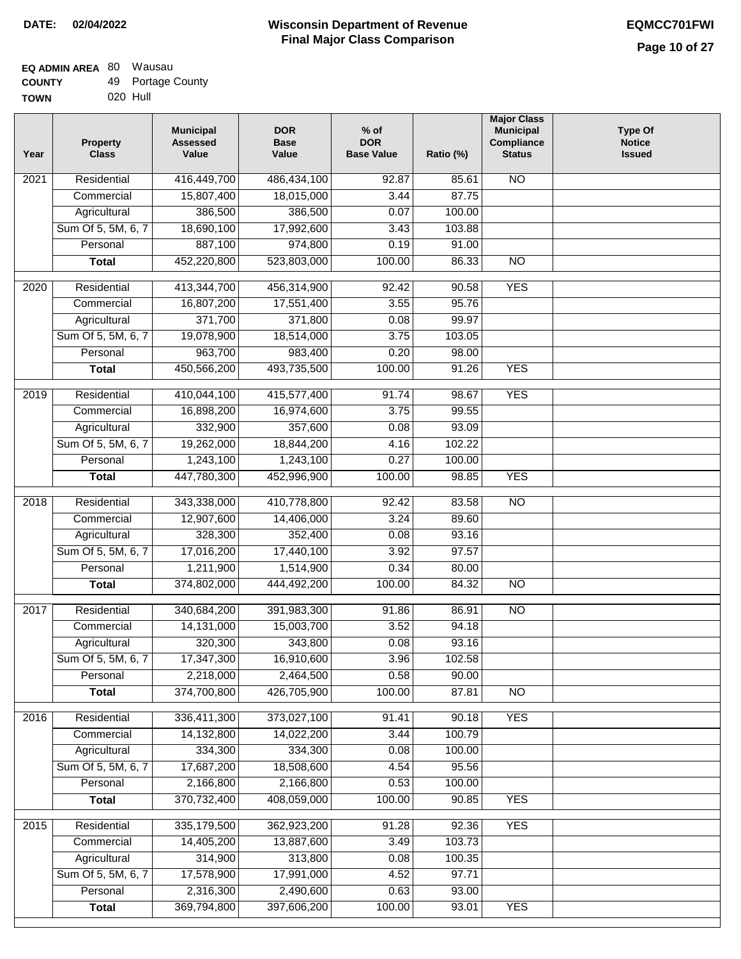| <b>TOWN</b> | 020 Hull |
|-------------|----------|
|             |          |

| Year              | <b>Property</b><br><b>Class</b> | <b>Municipal</b><br><b>Assessed</b><br>Value | <b>DOR</b><br><b>Base</b><br>Value | $%$ of<br><b>DOR</b><br><b>Base Value</b> | Ratio (%) | <b>Major Class</b><br><b>Municipal</b><br>Compliance<br><b>Status</b> | <b>Type Of</b><br><b>Notice</b><br><b>Issued</b> |
|-------------------|---------------------------------|----------------------------------------------|------------------------------------|-------------------------------------------|-----------|-----------------------------------------------------------------------|--------------------------------------------------|
| 2021              | Residential                     | 416,449,700                                  | 486,434,100                        | 92.87                                     | 85.61     | $\overline{NO}$                                                       |                                                  |
|                   | Commercial                      | 15,807,400                                   | 18,015,000                         | 3.44                                      | 87.75     |                                                                       |                                                  |
|                   | Agricultural                    | 386,500                                      | 386,500                            | 0.07                                      | 100.00    |                                                                       |                                                  |
|                   | Sum Of 5, 5M, 6, 7              | 18,690,100                                   | 17,992,600                         | 3.43                                      | 103.88    |                                                                       |                                                  |
|                   | Personal                        | 887,100                                      | 974,800                            | 0.19                                      | 91.00     |                                                                       |                                                  |
|                   | <b>Total</b>                    | 452,220,800                                  | 523,803,000                        | 100.00                                    | 86.33     | $\overline{NO}$                                                       |                                                  |
| 2020              | Residential                     | 413,344,700                                  | 456,314,900                        | 92.42                                     | 90.58     | <b>YES</b>                                                            |                                                  |
|                   | Commercial                      | 16,807,200                                   | 17,551,400                         | 3.55                                      | 95.76     |                                                                       |                                                  |
|                   | Agricultural                    | 371,700                                      | 371,800                            | 0.08                                      | 99.97     |                                                                       |                                                  |
|                   | Sum Of 5, 5M, 6, 7              | 19,078,900                                   | 18,514,000                         | 3.75                                      | 103.05    |                                                                       |                                                  |
|                   | Personal                        | 963,700                                      | 983,400                            | 0.20                                      | 98.00     |                                                                       |                                                  |
|                   | <b>Total</b>                    | 450,566,200                                  | 493,735,500                        | 100.00                                    | 91.26     | <b>YES</b>                                                            |                                                  |
|                   |                                 |                                              |                                    |                                           |           |                                                                       |                                                  |
| 2019              | Residential                     | 410,044,100                                  | 415,577,400                        | 91.74                                     | 98.67     | <b>YES</b>                                                            |                                                  |
|                   | Commercial                      | 16,898,200                                   | 16,974,600                         | 3.75                                      | 99.55     |                                                                       |                                                  |
|                   | Agricultural                    | 332,900                                      | 357,600                            | 0.08                                      | 93.09     |                                                                       |                                                  |
|                   | Sum Of 5, 5M, 6, 7              | 19,262,000                                   | 18,844,200                         | 4.16                                      | 102.22    |                                                                       |                                                  |
|                   | Personal                        | 1,243,100                                    | 1,243,100                          | 0.27                                      | 100.00    |                                                                       |                                                  |
|                   | <b>Total</b>                    | 447,780,300                                  | 452,996,900                        | 100.00                                    | 98.85     | <b>YES</b>                                                            |                                                  |
| $\overline{2018}$ | Residential                     | 343,338,000                                  | 410,778,800                        | 92.42                                     | 83.58     | $\overline{N}$                                                        |                                                  |
|                   | Commercial                      | 12,907,600                                   | 14,406,000                         | 3.24                                      | 89.60     |                                                                       |                                                  |
|                   | Agricultural                    | 328,300                                      | 352,400                            | 0.08                                      | 93.16     |                                                                       |                                                  |
|                   | Sum Of 5, 5M, 6, 7              | 17,016,200                                   | 17,440,100                         | 3.92                                      | 97.57     |                                                                       |                                                  |
|                   | Personal                        | 1,211,900                                    | 1,514,900                          | 0.34                                      | 80.00     |                                                                       |                                                  |
|                   | <b>Total</b>                    | 374,802,000                                  | 444,492,200                        | 100.00                                    | 84.32     | $\overline{NO}$                                                       |                                                  |
| 2017              | Residential                     | 340,684,200                                  | 391,983,300                        | 91.86                                     | 86.91     | $\overline{N}$                                                        |                                                  |
|                   | Commercial                      | 14,131,000                                   | 15,003,700                         | 3.52                                      | 94.18     |                                                                       |                                                  |
|                   | Agricultural                    | 320,300                                      | 343,800                            | 0.08                                      | 93.16     |                                                                       |                                                  |
|                   | Sum Of 5, 5M, 6, 7              | 17,347,300                                   | 16,910,600                         | 3.96                                      | 102.58    |                                                                       |                                                  |
|                   | Personal                        | 2,218,000                                    | 2,464,500                          | 0.58                                      | 90.00     |                                                                       |                                                  |
|                   | <b>Total</b>                    | 374,700,800                                  | 426,705,900                        | 100.00                                    | 87.81     | $\overline{N}$                                                        |                                                  |
| 2016              | Residential                     | 336,411,300                                  | 373,027,100                        | 91.41                                     | 90.18     | <b>YES</b>                                                            |                                                  |
|                   | Commercial                      | 14,132,800                                   | 14,022,200                         | 3.44                                      | 100.79    |                                                                       |                                                  |
|                   | Agricultural                    | 334,300                                      | 334,300                            | 0.08                                      | 100.00    |                                                                       |                                                  |
|                   | Sum Of 5, 5M, 6, 7              | 17,687,200                                   | 18,508,600                         | 4.54                                      | 95.56     |                                                                       |                                                  |
|                   | Personal                        | 2,166,800                                    | 2,166,800                          | 0.53                                      | 100.00    |                                                                       |                                                  |
|                   | <b>Total</b>                    | 370,732,400                                  | 408,059,000                        | 100.00                                    | 90.85     | <b>YES</b>                                                            |                                                  |
| 2015              | Residential                     | 335,179,500                                  | 362,923,200                        | 91.28                                     | 92.36     | <b>YES</b>                                                            |                                                  |
|                   | Commercial                      | 14,405,200                                   | 13,887,600                         | 3.49                                      | 103.73    |                                                                       |                                                  |
|                   | Agricultural                    | 314,900                                      | 313,800                            | 0.08                                      | 100.35    |                                                                       |                                                  |
|                   | Sum Of 5, 5M, 6, 7              | 17,578,900                                   |                                    | 4.52                                      | 97.71     |                                                                       |                                                  |
|                   | Personal                        | 2,316,300                                    | 17,991,000<br>2,490,600            | 0.63                                      | 93.00     |                                                                       |                                                  |
|                   | <b>Total</b>                    | 369,794,800                                  | 397,606,200                        | 100.00                                    | 93.01     | <b>YES</b>                                                            |                                                  |
|                   |                                 |                                              |                                    |                                           |           |                                                                       |                                                  |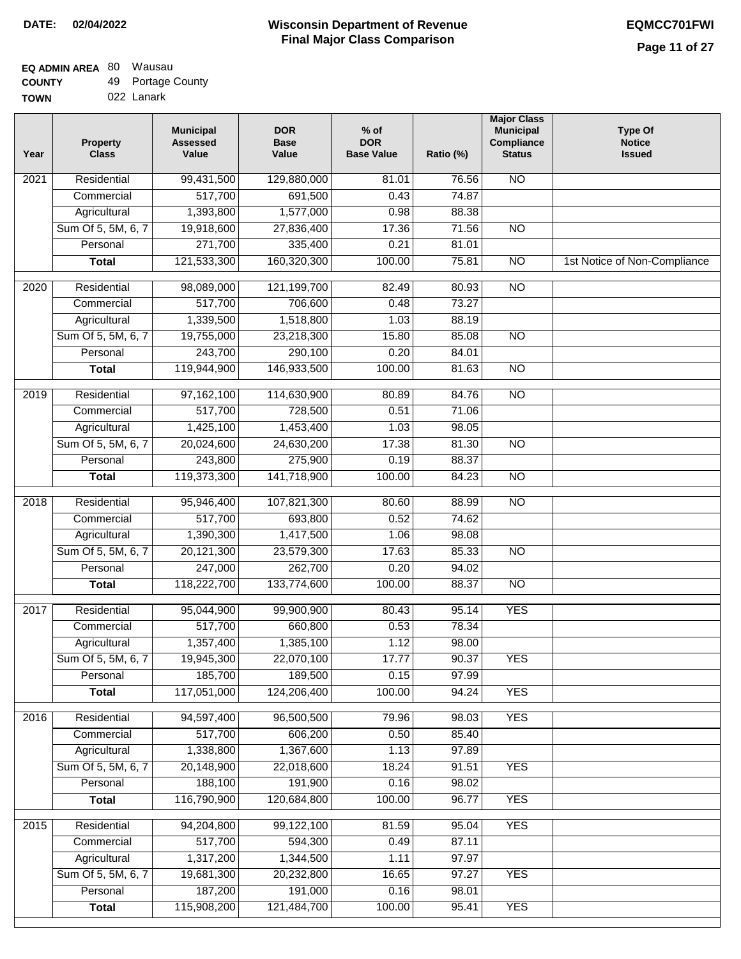| <b>TOWN</b> | 022 Lanark |
|-------------|------------|
|             |            |

| Year             | <b>Property</b><br><b>Class</b> | <b>Municipal</b><br><b>Assessed</b><br>Value | <b>DOR</b><br><b>Base</b><br>Value | $%$ of<br><b>DOR</b><br><b>Base Value</b> | Ratio (%) | <b>Major Class</b><br><b>Municipal</b><br>Compliance<br><b>Status</b> | <b>Type Of</b><br><b>Notice</b><br><b>Issued</b> |
|------------------|---------------------------------|----------------------------------------------|------------------------------------|-------------------------------------------|-----------|-----------------------------------------------------------------------|--------------------------------------------------|
| 2021             | Residential                     | 99,431,500                                   | 129,880,000                        | 81.01                                     | 76.56     | <b>NO</b>                                                             |                                                  |
|                  | Commercial                      | 517,700                                      | 691,500                            | 0.43                                      | 74.87     |                                                                       |                                                  |
|                  | Agricultural                    | 1,393,800                                    | 1,577,000                          | 0.98                                      | 88.38     |                                                                       |                                                  |
|                  | Sum Of 5, 5M, 6, 7              | 19,918,600                                   | 27,836,400                         | 17.36                                     | 71.56     | $\overline{NO}$                                                       |                                                  |
|                  | Personal                        | 271,700                                      | 335,400                            | 0.21                                      | 81.01     |                                                                       |                                                  |
|                  | <b>Total</b>                    | 121,533,300                                  | 160,320,300                        | 100.00                                    | 75.81     | $\overline{NO}$                                                       | 1st Notice of Non-Compliance                     |
| $\frac{1}{2020}$ | Residential                     | 98,089,000                                   | 121,199,700                        | 82.49                                     | 80.93     | $\overline{NO}$                                                       |                                                  |
|                  | Commercial                      | 517,700                                      | 706,600                            | 0.48                                      | 73.27     |                                                                       |                                                  |
|                  | Agricultural                    | 1,339,500                                    | 1,518,800                          | 1.03                                      | 88.19     |                                                                       |                                                  |
|                  | Sum Of 5, 5M, 6, 7              | 19,755,000                                   | 23,218,300                         | 15.80                                     | 85.08     | <b>NO</b>                                                             |                                                  |
|                  | Personal                        | 243,700                                      | 290,100                            | 0.20                                      | 84.01     |                                                                       |                                                  |
|                  | <b>Total</b>                    | 119,944,900                                  | 146,933,500                        | 100.00                                    | 81.63     | $\overline{NO}$                                                       |                                                  |
|                  |                                 |                                              |                                    |                                           |           |                                                                       |                                                  |
| $\frac{1}{2019}$ | Residential                     | 97,162,100                                   | 114,630,900                        | 80.89                                     | 84.76     | $\overline{NO}$                                                       |                                                  |
|                  | Commercial                      | 517,700                                      | 728,500                            | 0.51                                      | 71.06     |                                                                       |                                                  |
|                  | Agricultural                    | 1,425,100                                    | 1,453,400                          | 1.03                                      | 98.05     |                                                                       |                                                  |
|                  | Sum Of 5, 5M, 6, 7              | 20,024,600                                   | 24,630,200                         | 17.38                                     | 81.30     | $\overline{NO}$                                                       |                                                  |
|                  | Personal                        | 243,800                                      | 275,900                            | 0.19                                      | 88.37     |                                                                       |                                                  |
|                  | <b>Total</b>                    | 119,373,300                                  | 141,718,900                        | 100.00                                    | 84.23     | $\overline{NO}$                                                       |                                                  |
| 2018             | Residential                     | 95,946,400                                   | 107,821,300                        | 80.60                                     | 88.99     | $\overline{NO}$                                                       |                                                  |
|                  | Commercial                      | 517,700                                      | 693,800                            | 0.52                                      | 74.62     |                                                                       |                                                  |
|                  | Agricultural                    | 1,390,300                                    | 1,417,500                          | 1.06                                      | 98.08     |                                                                       |                                                  |
|                  | Sum Of 5, 5M, 6, 7              | 20,121,300                                   | 23,579,300                         | 17.63                                     | 85.33     | <b>NO</b>                                                             |                                                  |
|                  | Personal                        | 247,000                                      | 262,700                            | 0.20                                      | 94.02     |                                                                       |                                                  |
|                  | <b>Total</b>                    | 118,222,700                                  | 133,774,600                        | 100.00                                    | 88.37     | N <sub>O</sub>                                                        |                                                  |
| 2017             | Residential                     | 95,044,900                                   | 99,900,900                         | 80.43                                     | 95.14     | <b>YES</b>                                                            |                                                  |
|                  | Commercial                      | 517,700                                      | 660,800                            | 0.53                                      | 78.34     |                                                                       |                                                  |
|                  | Agricultural                    | 1,357,400                                    | 1,385,100                          | 1.12                                      | 98.00     |                                                                       |                                                  |
|                  | Sum Of 5, 5M, 6, 7              | 19,945,300                                   | 22,070,100                         | 17.77                                     | 90.37     | <b>YES</b>                                                            |                                                  |
|                  | Personal                        | 185,700                                      | 189,500                            | 0.15                                      | 97.99     |                                                                       |                                                  |
|                  | <b>Total</b>                    | 117,051,000                                  | 124,206,400                        | 100.00                                    | 94.24     | <b>YES</b>                                                            |                                                  |
| 2016             | Residential                     | 94,597,400                                   | 96,500,500                         | 79.96                                     | 98.03     | <b>YES</b>                                                            |                                                  |
|                  | Commercial                      | 517,700                                      | 606,200                            | 0.50                                      | 85.40     |                                                                       |                                                  |
|                  | Agricultural                    | 1,338,800                                    | 1,367,600                          | 1.13                                      | 97.89     |                                                                       |                                                  |
|                  | Sum Of 5, 5M, 6, 7              | 20,148,900                                   | 22,018,600                         | 18.24                                     | 91.51     | <b>YES</b>                                                            |                                                  |
|                  | Personal                        | 188,100                                      | 191,900                            | 0.16                                      | 98.02     |                                                                       |                                                  |
|                  | <b>Total</b>                    | 116,790,900                                  | 120,684,800                        | 100.00                                    | 96.77     | <b>YES</b>                                                            |                                                  |
| 2015             | Residential                     | 94,204,800                                   | 99,122,100                         | 81.59                                     | 95.04     | <b>YES</b>                                                            |                                                  |
|                  | Commercial                      | 517,700                                      | 594,300                            | 0.49                                      | 87.11     |                                                                       |                                                  |
|                  | Agricultural                    | 1,317,200                                    | 1,344,500                          | 1.11                                      | 97.97     |                                                                       |                                                  |
|                  | Sum Of 5, 5M, 6, 7              | 19,681,300                                   | 20,232,800                         | 16.65                                     | 97.27     | <b>YES</b>                                                            |                                                  |
|                  | Personal                        | 187,200                                      | 191,000                            | 0.16                                      | 98.01     |                                                                       |                                                  |
|                  | <b>Total</b>                    | 115,908,200                                  | 121,484,700                        | 100.00                                    | 95.41     | <b>YES</b>                                                            |                                                  |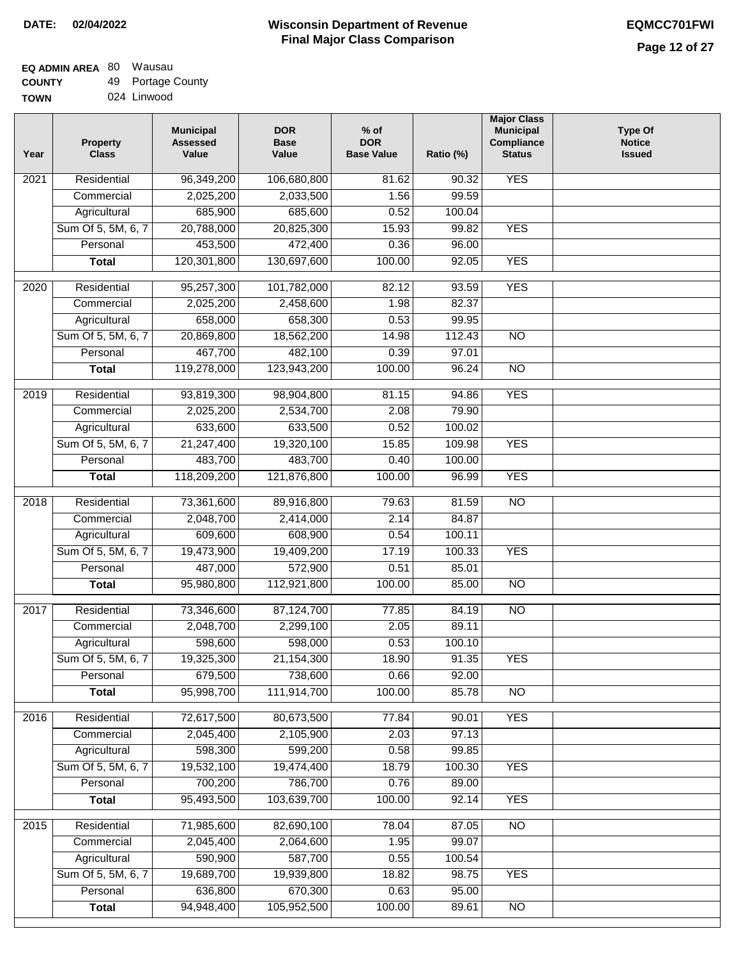| <b>UUUNII</b> | ு | T ontage Oour |
|---------------|---|---------------|
| <b>TOWN</b>   |   | 024 Linwood   |

| Year | <b>Property</b><br><b>Class</b> | <b>Municipal</b><br><b>Assessed</b><br>Value | <b>DOR</b><br><b>Base</b><br>Value | $%$ of<br><b>DOR</b><br><b>Base Value</b> | Ratio (%) | <b>Major Class</b><br><b>Municipal</b><br>Compliance<br><b>Status</b> | <b>Type Of</b><br><b>Notice</b><br><b>Issued</b> |
|------|---------------------------------|----------------------------------------------|------------------------------------|-------------------------------------------|-----------|-----------------------------------------------------------------------|--------------------------------------------------|
| 2021 | Residential                     | 96,349,200                                   | 106,680,800                        | 81.62                                     | 90.32     | <b>YES</b>                                                            |                                                  |
|      | Commercial                      | 2,025,200                                    | 2,033,500                          | 1.56                                      | 99.59     |                                                                       |                                                  |
|      | Agricultural                    | 685,900                                      | 685,600                            | 0.52                                      | 100.04    |                                                                       |                                                  |
|      | Sum Of 5, 5M, 6, 7              | 20,788,000                                   | 20,825,300                         | 15.93                                     | 99.82     | <b>YES</b>                                                            |                                                  |
|      | Personal                        | 453,500                                      | 472,400                            | 0.36                                      | 96.00     |                                                                       |                                                  |
|      | <b>Total</b>                    | 120,301,800                                  | 130,697,600                        | 100.00                                    | 92.05     | <b>YES</b>                                                            |                                                  |
| 2020 | Residential                     | 95,257,300                                   | 101,782,000                        | 82.12                                     | 93.59     | <b>YES</b>                                                            |                                                  |
|      | Commercial                      | 2,025,200                                    | 2,458,600                          | 1.98                                      | 82.37     |                                                                       |                                                  |
|      | Agricultural                    | 658,000                                      | 658,300                            | 0.53                                      | 99.95     |                                                                       |                                                  |
|      | Sum Of 5, 5M, 6, 7              | 20,869,800                                   | 18,562,200                         | 14.98                                     | 112.43    | $\overline{NO}$                                                       |                                                  |
|      | Personal                        | 467,700                                      | 482,100                            | 0.39                                      | 97.01     |                                                                       |                                                  |
|      | <b>Total</b>                    | 119,278,000                                  | 123,943,200                        | 100.00                                    | 96.24     | $\overline{NO}$                                                       |                                                  |
|      |                                 |                                              |                                    |                                           |           |                                                                       |                                                  |
| 2019 | Residential                     | 93,819,300                                   | 98,904,800                         | 81.15                                     | 94.86     | <b>YES</b>                                                            |                                                  |
|      | Commercial                      | 2,025,200                                    | 2,534,700                          | 2.08                                      | 79.90     |                                                                       |                                                  |
|      | Agricultural                    | 633,600                                      | 633,500                            | 0.52                                      | 100.02    |                                                                       |                                                  |
|      | Sum Of 5, 5M, 6, 7              | 21,247,400                                   | 19,320,100                         | 15.85                                     | 109.98    | <b>YES</b>                                                            |                                                  |
|      | Personal                        | 483,700                                      | 483,700                            | 0.40                                      | 100.00    |                                                                       |                                                  |
|      | <b>Total</b>                    | 118,209,200                                  | 121,876,800                        | 100.00                                    | 96.99     | <b>YES</b>                                                            |                                                  |
| 2018 | Residential                     | 73,361,600                                   | 89,916,800                         | 79.63                                     | 81.59     | $\overline{N}$                                                        |                                                  |
|      | Commercial                      | 2,048,700                                    | 2,414,000                          | 2.14                                      | 84.87     |                                                                       |                                                  |
|      | Agricultural                    | 609,600                                      | 608,900                            | 0.54                                      | 100.11    |                                                                       |                                                  |
|      | Sum Of 5, 5M, 6, 7              | 19,473,900                                   | 19,409,200                         | 17.19                                     | 100.33    | <b>YES</b>                                                            |                                                  |
|      | Personal                        | 487,000                                      | 572,900                            | 0.51                                      | 85.01     |                                                                       |                                                  |
|      | <b>Total</b>                    | 95,980,800                                   | 112,921,800                        | 100.00                                    | 85.00     | $\overline{NO}$                                                       |                                                  |
| 2017 | Residential                     | 73,346,600                                   | 87,124,700                         | 77.85                                     | 84.19     | N <sub>O</sub>                                                        |                                                  |
|      | Commercial                      | 2,048,700                                    | 2,299,100                          | 2.05                                      | 89.11     |                                                                       |                                                  |
|      | Agricultural                    | 598,600                                      | 598,000                            | 0.53                                      | 100.10    |                                                                       |                                                  |
|      | Sum Of 5, 5M, 6, 7              | 19,325,300                                   | 21,154,300                         | 18.90                                     | 91.35     | <b>YES</b>                                                            |                                                  |
|      | Personal                        | 679,500                                      | 738,600                            | 0.66                                      | 92.00     |                                                                       |                                                  |
|      | <b>Total</b>                    | 95,998,700                                   | 111,914,700                        | 100.00                                    | 85.78     | <b>NO</b>                                                             |                                                  |
|      |                                 |                                              |                                    |                                           |           |                                                                       |                                                  |
| 2016 | Residential                     | 72,617,500                                   | 80,673,500                         | 77.84                                     | 90.01     | <b>YES</b>                                                            |                                                  |
|      | Commercial                      | 2,045,400                                    | 2,105,900                          | 2.03                                      | 97.13     |                                                                       |                                                  |
|      | Agricultural                    | 598,300                                      | 599,200                            | 0.58                                      | 99.85     |                                                                       |                                                  |
|      | Sum Of 5, 5M, 6, 7              | 19,532,100                                   | 19,474,400                         | 18.79                                     | 100.30    | <b>YES</b>                                                            |                                                  |
|      | Personal                        | 700,200                                      | 786,700                            | 0.76                                      | 89.00     |                                                                       |                                                  |
|      | <b>Total</b>                    | 95,493,500                                   | 103,639,700                        | 100.00                                    | 92.14     | <b>YES</b>                                                            |                                                  |
| 2015 | Residential                     | 71,985,600                                   | 82,690,100                         | 78.04                                     | 87.05     | N <sub>O</sub>                                                        |                                                  |
|      | Commercial                      | 2,045,400                                    | 2,064,600                          | 1.95                                      | 99.07     |                                                                       |                                                  |
|      | Agricultural                    | 590,900                                      | 587,700                            | 0.55                                      | 100.54    |                                                                       |                                                  |
|      | Sum Of 5, 5M, 6, 7              | 19,689,700                                   | 19,939,800                         | 18.82                                     | 98.75     | <b>YES</b>                                                            |                                                  |
|      | Personal                        | 636,800                                      | 670,300                            | 0.63                                      | 95.00     |                                                                       |                                                  |
|      | <b>Total</b>                    | 94,948,400                                   | 105,952,500                        | 100.00                                    | 89.61     | $\overline{NO}$                                                       |                                                  |
|      |                                 |                                              |                                    |                                           |           |                                                                       |                                                  |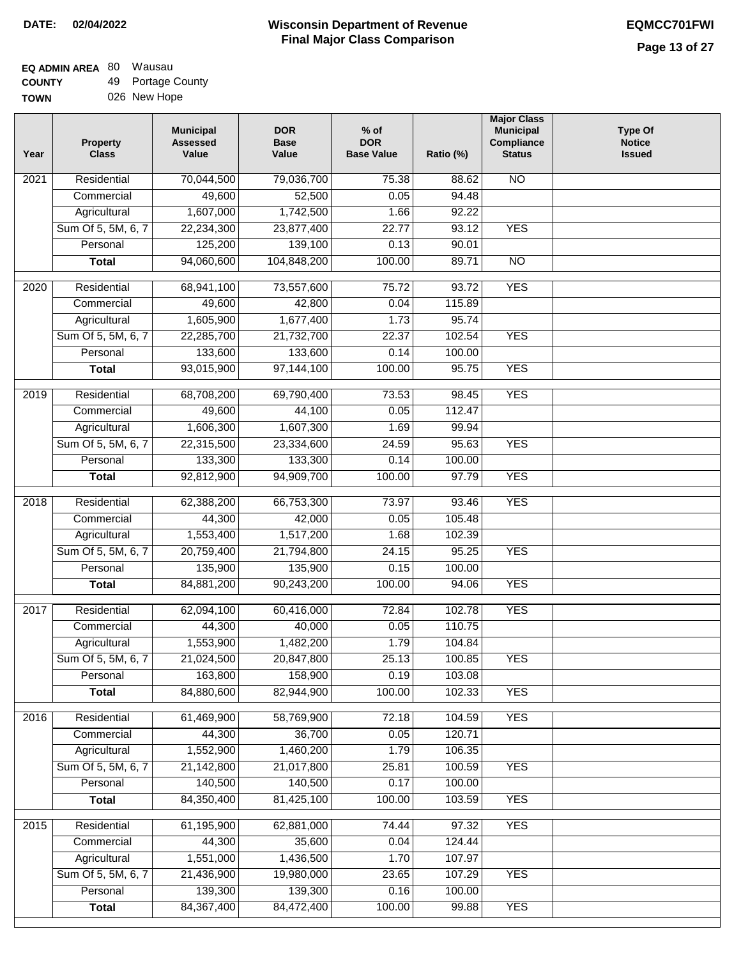#### **Wisconsin Department of Revenue Final Major Class Comparison DATE: 02/04/2022 EQMCC701FWI**

#### **EQ ADMIN AREA** 80 Wausau **COUNTY** 49 Portage County

**TOWN** 026 New Hope

| Year              | <b>Property</b><br><b>Class</b> | <b>Municipal</b><br><b>Assessed</b><br>Value | <b>DOR</b><br><b>Base</b><br>Value | $%$ of<br><b>DOR</b><br><b>Base Value</b> | Ratio (%) | <b>Major Class</b><br><b>Municipal</b><br>Compliance<br><b>Status</b> | <b>Type Of</b><br><b>Notice</b><br><b>Issued</b> |
|-------------------|---------------------------------|----------------------------------------------|------------------------------------|-------------------------------------------|-----------|-----------------------------------------------------------------------|--------------------------------------------------|
| 2021              | Residential                     | 70,044,500                                   | 79,036,700                         | 75.38                                     | 88.62     | <b>NO</b>                                                             |                                                  |
|                   | Commercial                      | 49,600                                       | 52,500                             | 0.05                                      | 94.48     |                                                                       |                                                  |
|                   | Agricultural                    | 1,607,000                                    | 1,742,500                          | 1.66                                      | 92.22     |                                                                       |                                                  |
|                   | Sum Of 5, 5M, 6, 7              | 22,234,300                                   | 23,877,400                         | 22.77                                     | 93.12     | <b>YES</b>                                                            |                                                  |
|                   | Personal                        | 125,200                                      | 139,100                            | 0.13                                      | 90.01     |                                                                       |                                                  |
|                   | <b>Total</b>                    | 94,060,600                                   | 104,848,200                        | 100.00                                    | 89.71     | $\overline{NO}$                                                       |                                                  |
| $\overline{20}20$ | Residential                     | 68,941,100                                   | 73,557,600                         | 75.72                                     | 93.72     | <b>YES</b>                                                            |                                                  |
|                   | Commercial                      | 49,600                                       | 42,800                             | 0.04                                      | 115.89    |                                                                       |                                                  |
|                   | Agricultural                    | 1,605,900                                    | 1,677,400                          | 1.73                                      | 95.74     |                                                                       |                                                  |
|                   | Sum Of 5, 5M, 6, 7              | 22,285,700                                   | 21,732,700                         | 22.37                                     | 102.54    | <b>YES</b>                                                            |                                                  |
|                   | Personal                        | 133,600                                      | 133,600                            | 0.14                                      | 100.00    |                                                                       |                                                  |
|                   | <b>Total</b>                    | 93,015,900                                   | 97,144,100                         | 100.00                                    | 95.75     | <b>YES</b>                                                            |                                                  |
|                   |                                 |                                              |                                    |                                           |           |                                                                       |                                                  |
| $\frac{1}{2019}$  | Residential                     | 68,708,200                                   | 69,790,400                         | 73.53                                     | 98.45     | <b>YES</b>                                                            |                                                  |
|                   | Commercial                      | 49,600                                       | 44,100                             | 0.05                                      | 112.47    |                                                                       |                                                  |
|                   | Agricultural                    | 1,606,300                                    | 1,607,300                          | 1.69                                      | 99.94     |                                                                       |                                                  |
|                   | Sum Of 5, 5M, 6, 7              | 22,315,500                                   | 23,334,600                         | 24.59                                     | 95.63     | <b>YES</b>                                                            |                                                  |
|                   | Personal                        | 133,300                                      | 133,300                            | 0.14                                      | 100.00    |                                                                       |                                                  |
|                   | <b>Total</b>                    | 92,812,900                                   | 94,909,700                         | 100.00                                    | 97.79     | <b>YES</b>                                                            |                                                  |
| 2018              | Residential                     | 62,388,200                                   | 66,753,300                         | 73.97                                     | 93.46     | <b>YES</b>                                                            |                                                  |
|                   | Commercial                      | 44,300                                       | 42,000                             | 0.05                                      | 105.48    |                                                                       |                                                  |
|                   | Agricultural                    | 1,553,400                                    | 1,517,200                          | 1.68                                      | 102.39    |                                                                       |                                                  |
|                   | Sum Of 5, 5M, 6, 7              | 20,759,400                                   | 21,794,800                         | 24.15                                     | 95.25     | <b>YES</b>                                                            |                                                  |
|                   | Personal                        | 135,900                                      | 135,900                            | 0.15                                      | 100.00    |                                                                       |                                                  |
|                   | <b>Total</b>                    | 84,881,200                                   | 90,243,200                         | 100.00                                    | 94.06     | <b>YES</b>                                                            |                                                  |
| 2017              | Residential                     | 62,094,100                                   | 60,416,000                         | 72.84                                     | 102.78    | <b>YES</b>                                                            |                                                  |
|                   | Commercial                      | 44,300                                       | 40,000                             | 0.05                                      | 110.75    |                                                                       |                                                  |
|                   | Agricultural                    | 1,553,900                                    | 1,482,200                          | 1.79                                      | 104.84    |                                                                       |                                                  |
|                   | Sum Of 5, 5M, 6, 7              | 21,024,500                                   | 20,847,800                         | 25.13                                     | 100.85    | <b>YES</b>                                                            |                                                  |
|                   | Personal                        | 163,800                                      | 158,900                            | 0.19                                      | 103.08    |                                                                       |                                                  |
|                   | <b>Total</b>                    | 84,880,600                                   | 82,944,900                         | 100.00                                    | 102.33    | <b>YES</b>                                                            |                                                  |
|                   |                                 |                                              |                                    |                                           |           |                                                                       |                                                  |
| 2016              | Residential                     | 61,469,900                                   | 58,769,900                         | 72.18                                     | 104.59    | <b>YES</b>                                                            |                                                  |
|                   | Commercial                      | 44,300                                       | 36,700                             | 0.05                                      | 120.71    |                                                                       |                                                  |
|                   | Agricultural                    | 1,552,900                                    | 1,460,200                          | 1.79                                      | 106.35    |                                                                       |                                                  |
|                   | Sum Of 5, 5M, 6, 7              | 21,142,800                                   | 21,017,800                         | 25.81                                     | 100.59    | <b>YES</b>                                                            |                                                  |
|                   | Personal                        | 140,500                                      | 140,500                            | 0.17                                      | 100.00    |                                                                       |                                                  |
|                   | <b>Total</b>                    | 84,350,400                                   | 81,425,100                         | 100.00                                    | 103.59    | <b>YES</b>                                                            |                                                  |
| 2015              | Residential                     | 61,195,900                                   | 62,881,000                         | 74.44                                     | 97.32     | <b>YES</b>                                                            |                                                  |
|                   | Commercial                      | 44,300                                       | 35,600                             | 0.04                                      | 124.44    |                                                                       |                                                  |
|                   | Agricultural                    | 1,551,000                                    | 1,436,500                          | 1.70                                      | 107.97    |                                                                       |                                                  |
|                   | Sum Of 5, 5M, 6, 7              | 21,436,900                                   | 19,980,000                         | 23.65                                     | 107.29    | <b>YES</b>                                                            |                                                  |
|                   | Personal                        | 139,300                                      | 139,300                            | 0.16                                      | 100.00    |                                                                       |                                                  |
|                   | <b>Total</b>                    | 84, 367, 400                                 | 84,472,400                         | 100.00                                    | 99.88     | <b>YES</b>                                                            |                                                  |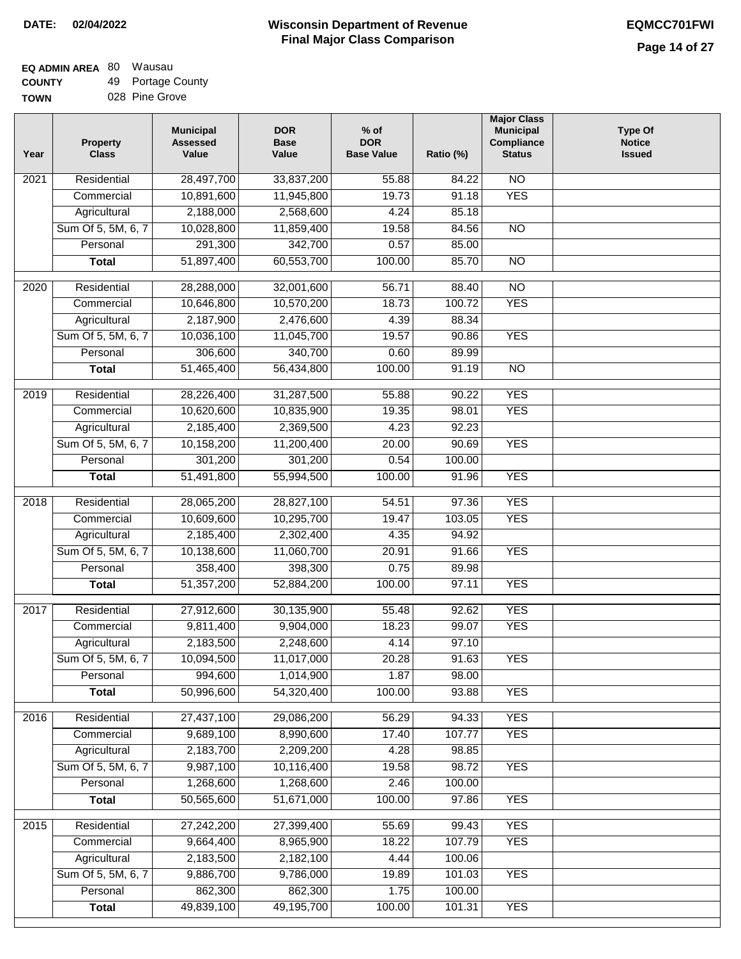#### **Wisconsin Department of Revenue Final Major Class Comparison DATE: 02/04/2022 EQMCC701FWI**

#### **EQ ADMIN AREA** 80 Wausau **COUNTY** 49 Portage County

| <b>UUUNII</b> | $\overline{ }$ | n ontago Oour  |
|---------------|----------------|----------------|
| <b>TOWN</b>   |                | 028 Pine Grove |

| Year              | <b>Property</b><br><b>Class</b> | <b>Municipal</b><br><b>Assessed</b><br>Value | <b>DOR</b><br><b>Base</b><br>Value | $%$ of<br><b>DOR</b><br><b>Base Value</b> | Ratio (%) | <b>Major Class</b><br><b>Municipal</b><br>Compliance<br><b>Status</b> | <b>Type Of</b><br><b>Notice</b><br><b>Issued</b> |
|-------------------|---------------------------------|----------------------------------------------|------------------------------------|-------------------------------------------|-----------|-----------------------------------------------------------------------|--------------------------------------------------|
| 2021              | Residential                     | 28,497,700                                   | 33,837,200                         | 55.88                                     | 84.22     | $\overline{NO}$                                                       |                                                  |
|                   | Commercial                      | 10,891,600                                   | 11,945,800                         | 19.73                                     | 91.18     | <b>YES</b>                                                            |                                                  |
|                   | Agricultural                    | 2,188,000                                    | 2,568,600                          | 4.24                                      | 85.18     |                                                                       |                                                  |
|                   | Sum Of 5, 5M, 6, 7              | 10,028,800                                   | 11,859,400                         | 19.58                                     | 84.56     | $\overline{NO}$                                                       |                                                  |
|                   | Personal                        | 291,300                                      | 342,700                            | 0.57                                      | 85.00     |                                                                       |                                                  |
|                   | <b>Total</b>                    | 51,897,400                                   | 60,553,700                         | 100.00                                    | 85.70     | $\overline{NO}$                                                       |                                                  |
| 2020              | Residential                     | 28,288,000                                   | 32,001,600                         | 56.71                                     | 88.40     | $\overline{NO}$                                                       |                                                  |
|                   | Commercial                      | 10,646,800                                   | 10,570,200                         | 18.73                                     | 100.72    | <b>YES</b>                                                            |                                                  |
|                   | Agricultural                    | 2,187,900                                    | 2,476,600                          | 4.39                                      | 88.34     |                                                                       |                                                  |
|                   | Sum Of 5, 5M, 6, 7              | 10,036,100                                   | 11,045,700                         | 19.57                                     | 90.86     | <b>YES</b>                                                            |                                                  |
|                   | Personal                        | 306,600                                      | 340,700                            | 0.60                                      | 89.99     |                                                                       |                                                  |
|                   | <b>Total</b>                    | 51,465,400                                   | 56,434,800                         | 100.00                                    | 91.19     | $\overline{NO}$                                                       |                                                  |
| 2019              | Residential                     | 28,226,400                                   | 31,287,500                         | 55.88                                     | 90.22     | <b>YES</b>                                                            |                                                  |
|                   | Commercial                      | 10,620,600                                   | 10,835,900                         | 19.35                                     | 98.01     | <b>YES</b>                                                            |                                                  |
|                   | Agricultural                    | 2,185,400                                    | 2,369,500                          | 4.23                                      | 92.23     |                                                                       |                                                  |
|                   | Sum Of 5, 5M, 6, 7              | 10,158,200                                   | 11,200,400                         | 20.00                                     | 90.69     | <b>YES</b>                                                            |                                                  |
|                   | Personal                        | 301,200                                      | 301,200                            | 0.54                                      | 100.00    |                                                                       |                                                  |
|                   | <b>Total</b>                    | 51,491,800                                   | 55,994,500                         | 100.00                                    | 91.96     | <b>YES</b>                                                            |                                                  |
|                   |                                 |                                              |                                    |                                           |           |                                                                       |                                                  |
| $\overline{2018}$ | Residential                     | 28,065,200                                   | 28,827,100                         | 54.51                                     | 97.36     | <b>YES</b>                                                            |                                                  |
|                   | Commercial                      | 10,609,600                                   | 10,295,700                         | 19.47                                     | 103.05    | <b>YES</b>                                                            |                                                  |
|                   | Agricultural                    | 2,185,400                                    | 2,302,400                          | 4.35                                      | 94.92     |                                                                       |                                                  |
|                   | Sum Of 5, 5M, 6, 7              | 10,138,600                                   | 11,060,700                         | 20.91                                     | 91.66     | <b>YES</b>                                                            |                                                  |
|                   | Personal                        | 358,400                                      | 398,300                            | 0.75                                      | 89.98     |                                                                       |                                                  |
|                   | <b>Total</b>                    | 51,357,200                                   | 52,884,200                         | 100.00                                    | 97.11     | <b>YES</b>                                                            |                                                  |
| 2017              | Residential                     | 27,912,600                                   | 30,135,900                         | 55.48                                     | 92.62     | <b>YES</b>                                                            |                                                  |
|                   | Commercial                      | 9,811,400                                    | 9,904,000                          | 18.23                                     | 99.07     | <b>YES</b>                                                            |                                                  |
|                   | Agricultural                    | 2,183,500                                    | 2,248,600                          | 4.14                                      | 97.10     |                                                                       |                                                  |
|                   | Sum Of 5, 5M, 6, 7              | 10,094,500                                   | 11,017,000                         | 20.28                                     | 91.63     | <b>YES</b>                                                            |                                                  |
|                   | Personal                        | 994,600                                      | 1,014,900                          | 1.87                                      | 98.00     |                                                                       |                                                  |
|                   | <b>Total</b>                    | 50,996,600                                   | 54,320,400                         | 100.00                                    | 93.88     | <b>YES</b>                                                            |                                                  |
|                   |                                 |                                              |                                    |                                           |           |                                                                       |                                                  |
| 2016              | Residential                     | 27,437,100                                   | 29,086,200                         | 56.29                                     | 94.33     | <b>YES</b>                                                            |                                                  |
|                   | Commercial                      | 9,689,100                                    | 8,990,600                          | 17.40                                     | 107.77    | <b>YES</b>                                                            |                                                  |
|                   | Agricultural                    | 2,183,700                                    | 2,209,200                          | 4.28                                      | 98.85     |                                                                       |                                                  |
|                   | Sum Of 5, 5M, 6, 7              | 9,987,100                                    | 10,116,400                         | 19.58                                     | 98.72     | <b>YES</b>                                                            |                                                  |
|                   | Personal                        | 1,268,600                                    | 1,268,600                          | 2.46                                      | 100.00    |                                                                       |                                                  |
|                   | <b>Total</b>                    | 50,565,600                                   | 51,671,000                         | 100.00                                    | 97.86     | <b>YES</b>                                                            |                                                  |
| 2015              | Residential                     | 27,242,200                                   | 27,399,400                         | 55.69                                     | 99.43     | <b>YES</b>                                                            |                                                  |
|                   | Commercial                      | 9,664,400                                    | 8,965,900                          | 18.22                                     | 107.79    | <b>YES</b>                                                            |                                                  |
|                   | Agricultural                    | 2,183,500                                    | 2,182,100                          | 4.44                                      | 100.06    |                                                                       |                                                  |
|                   | Sum Of 5, 5M, 6, 7              | 9,886,700                                    | 9,786,000                          | 19.89                                     | 101.03    | <b>YES</b>                                                            |                                                  |
|                   | Personal                        | 862,300                                      | 862,300                            | 1.75                                      | 100.00    |                                                                       |                                                  |
|                   | <b>Total</b>                    | 49,839,100                                   | 49,195,700                         | 100.00                                    | 101.31    | <b>YES</b>                                                            |                                                  |
|                   |                                 |                                              |                                    |                                           |           |                                                                       |                                                  |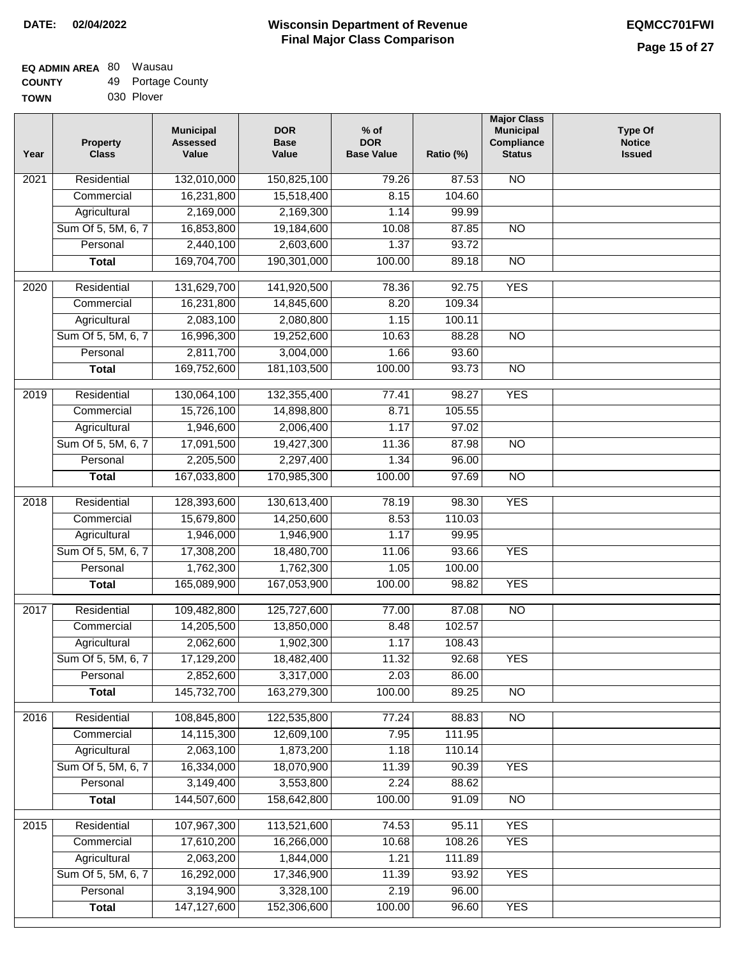| <b>TOWN</b> | 030 Plover |
|-------------|------------|

| 132,010,000<br>N <sub>O</sub><br>Residential<br>150,825,100<br>2021<br>79.26<br>87.53<br>16,231,800<br>15,518,400<br>104.60<br>Commercial<br>8.15<br>Agricultural<br>2,169,000<br>2,169,300<br>1.14<br>99.99<br>16,853,800<br>Sum Of 5, 5M, 6, 7<br>19,184,600<br>10.08<br>87.85<br>$\overline{NO}$<br>2,440,100<br>2,603,600<br>1.37<br>93.72<br>Personal<br>169,704,700<br>190,301,000<br>100.00<br>89.18<br>$\overline{NO}$<br><b>Total</b><br><b>YES</b><br>Residential<br>131,629,700<br>141,920,500<br>78.36<br>92.75<br>2020<br>16,231,800<br>8.20<br>14,845,600<br>109.34<br>Commercial<br>2,083,100<br>Agricultural<br>2,080,800<br>1.15<br>100.11<br>Sum Of 5, 5M, 6, 7<br>16,996,300<br>19,252,600<br>10.63<br>88.28<br>$\overline{NO}$<br>93.60<br>Personal<br>2,811,700<br>3,004,000<br>1.66<br>169,752,600<br><b>Total</b><br>181, 103, 500<br>100.00<br>93.73<br>$\overline{NO}$<br>Residential<br>130,064,100<br>132,355,400<br>98.27<br><b>YES</b><br>2019<br>77.41<br>Commercial<br>15,726,100<br>8.71<br>105.55<br>14,898,800<br>1,946,600<br>Agricultural<br>2,006,400<br>1.17<br>97.02<br>Sum Of 5, 5M, 6, 7<br>17,091,500<br>19,427,300<br>$\overline{NO}$<br>11.36<br>87.98<br>2,205,500<br>1.34<br>Personal<br>2,297,400<br>96.00<br>167,033,800<br>170,985,300<br>100.00<br>97.69<br>$\overline{NO}$<br><b>Total</b><br><b>YES</b><br>Residential<br>98.30<br>2018<br>128,393,600<br>130,613,400<br>78.19<br>Commercial<br>15,679,800<br>14,250,600<br>8.53<br>110.03<br>Agricultural<br>1,946,000<br>1,946,900<br>1.17<br>99.95<br>Sum Of 5, 5M, 6, 7<br>17,308,200<br>18,480,700<br><b>YES</b><br>11.06<br>93.66<br>1,762,300<br>1,762,300<br>Personal<br>1.05<br>100.00<br>165,089,900<br>167,053,900<br>100.00<br>98.82<br><b>YES</b><br><b>Total</b><br>$\overline{NO}$<br>2017<br>Residential<br>109,482,800<br>125,727,600<br>77.00<br>87.08<br>14,205,500<br>13,850,000<br>8.48<br>102.57<br>Commercial<br>2,062,600<br>1,902,300<br>1.17<br>108.43<br>Agricultural<br>Sum Of 5, 5M, 6, 7<br>17,129,200<br>18,482,400<br>11.32<br>92.68<br>YES<br>2,852,600<br>3,317,000<br>2.03<br>Personal<br>86.00<br>145,732,700<br>N <sub>O</sub><br>163,279,300<br>100.00<br>89.25<br><b>Total</b><br>Residential<br>108,845,800<br>122,535,800<br>77.24<br>88.83<br>N <sub>O</sub><br>2016<br>14,115,300<br>Commercial<br>12,609,100<br>7.95<br>111.95<br>2,063,100<br>1,873,200<br>1.18<br>110.14<br>Agricultural<br>Sum Of 5, 5M, 6, 7<br>16,334,000<br>18,070,900<br>11.39<br>90.39<br><b>YES</b><br>3,149,400<br>2.24<br>Personal<br>3,553,800<br>88.62<br>144,507,600<br>100.00<br><b>Total</b><br>158,642,800<br>91.09<br>$\overline{NO}$<br><b>YES</b><br>Residential<br>107,967,300<br>113,521,600<br>74.53<br>$\frac{2015}{ }$<br>95.11 | Year | <b>Property</b><br><b>Class</b> | <b>Municipal</b><br><b>Assessed</b><br>Value | <b>DOR</b><br><b>Base</b><br>Value | $%$ of<br><b>DOR</b><br><b>Base Value</b> | Ratio (%) | <b>Major Class</b><br><b>Municipal</b><br>Compliance<br><b>Status</b> | <b>Type Of</b><br><b>Notice</b><br><b>Issued</b> |
|--------------------------------------------------------------------------------------------------------------------------------------------------------------------------------------------------------------------------------------------------------------------------------------------------------------------------------------------------------------------------------------------------------------------------------------------------------------------------------------------------------------------------------------------------------------------------------------------------------------------------------------------------------------------------------------------------------------------------------------------------------------------------------------------------------------------------------------------------------------------------------------------------------------------------------------------------------------------------------------------------------------------------------------------------------------------------------------------------------------------------------------------------------------------------------------------------------------------------------------------------------------------------------------------------------------------------------------------------------------------------------------------------------------------------------------------------------------------------------------------------------------------------------------------------------------------------------------------------------------------------------------------------------------------------------------------------------------------------------------------------------------------------------------------------------------------------------------------------------------------------------------------------------------------------------------------------------------------------------------------------------------------------------------------------------------------------------------------------------------------------------------------------------------------------------------------------------------------------------------------------------------------------------------------------------------------------------------------------------------------------------------------------------------------------------------------------------------------------------------------------------------------------------------------------------------------------------------------------------------------------------------------------------------------------------------------------------------------------------------------------------------------------|------|---------------------------------|----------------------------------------------|------------------------------------|-------------------------------------------|-----------|-----------------------------------------------------------------------|--------------------------------------------------|
|                                                                                                                                                                                                                                                                                                                                                                                                                                                                                                                                                                                                                                                                                                                                                                                                                                                                                                                                                                                                                                                                                                                                                                                                                                                                                                                                                                                                                                                                                                                                                                                                                                                                                                                                                                                                                                                                                                                                                                                                                                                                                                                                                                                                                                                                                                                                                                                                                                                                                                                                                                                                                                                                                                                                                                          |      |                                 |                                              |                                    |                                           |           |                                                                       |                                                  |
|                                                                                                                                                                                                                                                                                                                                                                                                                                                                                                                                                                                                                                                                                                                                                                                                                                                                                                                                                                                                                                                                                                                                                                                                                                                                                                                                                                                                                                                                                                                                                                                                                                                                                                                                                                                                                                                                                                                                                                                                                                                                                                                                                                                                                                                                                                                                                                                                                                                                                                                                                                                                                                                                                                                                                                          |      |                                 |                                              |                                    |                                           |           |                                                                       |                                                  |
|                                                                                                                                                                                                                                                                                                                                                                                                                                                                                                                                                                                                                                                                                                                                                                                                                                                                                                                                                                                                                                                                                                                                                                                                                                                                                                                                                                                                                                                                                                                                                                                                                                                                                                                                                                                                                                                                                                                                                                                                                                                                                                                                                                                                                                                                                                                                                                                                                                                                                                                                                                                                                                                                                                                                                                          |      |                                 |                                              |                                    |                                           |           |                                                                       |                                                  |
|                                                                                                                                                                                                                                                                                                                                                                                                                                                                                                                                                                                                                                                                                                                                                                                                                                                                                                                                                                                                                                                                                                                                                                                                                                                                                                                                                                                                                                                                                                                                                                                                                                                                                                                                                                                                                                                                                                                                                                                                                                                                                                                                                                                                                                                                                                                                                                                                                                                                                                                                                                                                                                                                                                                                                                          |      |                                 |                                              |                                    |                                           |           |                                                                       |                                                  |
|                                                                                                                                                                                                                                                                                                                                                                                                                                                                                                                                                                                                                                                                                                                                                                                                                                                                                                                                                                                                                                                                                                                                                                                                                                                                                                                                                                                                                                                                                                                                                                                                                                                                                                                                                                                                                                                                                                                                                                                                                                                                                                                                                                                                                                                                                                                                                                                                                                                                                                                                                                                                                                                                                                                                                                          |      |                                 |                                              |                                    |                                           |           |                                                                       |                                                  |
|                                                                                                                                                                                                                                                                                                                                                                                                                                                                                                                                                                                                                                                                                                                                                                                                                                                                                                                                                                                                                                                                                                                                                                                                                                                                                                                                                                                                                                                                                                                                                                                                                                                                                                                                                                                                                                                                                                                                                                                                                                                                                                                                                                                                                                                                                                                                                                                                                                                                                                                                                                                                                                                                                                                                                                          |      |                                 |                                              |                                    |                                           |           |                                                                       |                                                  |
|                                                                                                                                                                                                                                                                                                                                                                                                                                                                                                                                                                                                                                                                                                                                                                                                                                                                                                                                                                                                                                                                                                                                                                                                                                                                                                                                                                                                                                                                                                                                                                                                                                                                                                                                                                                                                                                                                                                                                                                                                                                                                                                                                                                                                                                                                                                                                                                                                                                                                                                                                                                                                                                                                                                                                                          |      |                                 |                                              |                                    |                                           |           |                                                                       |                                                  |
|                                                                                                                                                                                                                                                                                                                                                                                                                                                                                                                                                                                                                                                                                                                                                                                                                                                                                                                                                                                                                                                                                                                                                                                                                                                                                                                                                                                                                                                                                                                                                                                                                                                                                                                                                                                                                                                                                                                                                                                                                                                                                                                                                                                                                                                                                                                                                                                                                                                                                                                                                                                                                                                                                                                                                                          |      |                                 |                                              |                                    |                                           |           |                                                                       |                                                  |
|                                                                                                                                                                                                                                                                                                                                                                                                                                                                                                                                                                                                                                                                                                                                                                                                                                                                                                                                                                                                                                                                                                                                                                                                                                                                                                                                                                                                                                                                                                                                                                                                                                                                                                                                                                                                                                                                                                                                                                                                                                                                                                                                                                                                                                                                                                                                                                                                                                                                                                                                                                                                                                                                                                                                                                          |      |                                 |                                              |                                    |                                           |           |                                                                       |                                                  |
|                                                                                                                                                                                                                                                                                                                                                                                                                                                                                                                                                                                                                                                                                                                                                                                                                                                                                                                                                                                                                                                                                                                                                                                                                                                                                                                                                                                                                                                                                                                                                                                                                                                                                                                                                                                                                                                                                                                                                                                                                                                                                                                                                                                                                                                                                                                                                                                                                                                                                                                                                                                                                                                                                                                                                                          |      |                                 |                                              |                                    |                                           |           |                                                                       |                                                  |
|                                                                                                                                                                                                                                                                                                                                                                                                                                                                                                                                                                                                                                                                                                                                                                                                                                                                                                                                                                                                                                                                                                                                                                                                                                                                                                                                                                                                                                                                                                                                                                                                                                                                                                                                                                                                                                                                                                                                                                                                                                                                                                                                                                                                                                                                                                                                                                                                                                                                                                                                                                                                                                                                                                                                                                          |      |                                 |                                              |                                    |                                           |           |                                                                       |                                                  |
|                                                                                                                                                                                                                                                                                                                                                                                                                                                                                                                                                                                                                                                                                                                                                                                                                                                                                                                                                                                                                                                                                                                                                                                                                                                                                                                                                                                                                                                                                                                                                                                                                                                                                                                                                                                                                                                                                                                                                                                                                                                                                                                                                                                                                                                                                                                                                                                                                                                                                                                                                                                                                                                                                                                                                                          |      |                                 |                                              |                                    |                                           |           |                                                                       |                                                  |
|                                                                                                                                                                                                                                                                                                                                                                                                                                                                                                                                                                                                                                                                                                                                                                                                                                                                                                                                                                                                                                                                                                                                                                                                                                                                                                                                                                                                                                                                                                                                                                                                                                                                                                                                                                                                                                                                                                                                                                                                                                                                                                                                                                                                                                                                                                                                                                                                                                                                                                                                                                                                                                                                                                                                                                          |      |                                 |                                              |                                    |                                           |           |                                                                       |                                                  |
|                                                                                                                                                                                                                                                                                                                                                                                                                                                                                                                                                                                                                                                                                                                                                                                                                                                                                                                                                                                                                                                                                                                                                                                                                                                                                                                                                                                                                                                                                                                                                                                                                                                                                                                                                                                                                                                                                                                                                                                                                                                                                                                                                                                                                                                                                                                                                                                                                                                                                                                                                                                                                                                                                                                                                                          |      |                                 |                                              |                                    |                                           |           |                                                                       |                                                  |
|                                                                                                                                                                                                                                                                                                                                                                                                                                                                                                                                                                                                                                                                                                                                                                                                                                                                                                                                                                                                                                                                                                                                                                                                                                                                                                                                                                                                                                                                                                                                                                                                                                                                                                                                                                                                                                                                                                                                                                                                                                                                                                                                                                                                                                                                                                                                                                                                                                                                                                                                                                                                                                                                                                                                                                          |      |                                 |                                              |                                    |                                           |           |                                                                       |                                                  |
|                                                                                                                                                                                                                                                                                                                                                                                                                                                                                                                                                                                                                                                                                                                                                                                                                                                                                                                                                                                                                                                                                                                                                                                                                                                                                                                                                                                                                                                                                                                                                                                                                                                                                                                                                                                                                                                                                                                                                                                                                                                                                                                                                                                                                                                                                                                                                                                                                                                                                                                                                                                                                                                                                                                                                                          |      |                                 |                                              |                                    |                                           |           |                                                                       |                                                  |
|                                                                                                                                                                                                                                                                                                                                                                                                                                                                                                                                                                                                                                                                                                                                                                                                                                                                                                                                                                                                                                                                                                                                                                                                                                                                                                                                                                                                                                                                                                                                                                                                                                                                                                                                                                                                                                                                                                                                                                                                                                                                                                                                                                                                                                                                                                                                                                                                                                                                                                                                                                                                                                                                                                                                                                          |      |                                 |                                              |                                    |                                           |           |                                                                       |                                                  |
|                                                                                                                                                                                                                                                                                                                                                                                                                                                                                                                                                                                                                                                                                                                                                                                                                                                                                                                                                                                                                                                                                                                                                                                                                                                                                                                                                                                                                                                                                                                                                                                                                                                                                                                                                                                                                                                                                                                                                                                                                                                                                                                                                                                                                                                                                                                                                                                                                                                                                                                                                                                                                                                                                                                                                                          |      |                                 |                                              |                                    |                                           |           |                                                                       |                                                  |
|                                                                                                                                                                                                                                                                                                                                                                                                                                                                                                                                                                                                                                                                                                                                                                                                                                                                                                                                                                                                                                                                                                                                                                                                                                                                                                                                                                                                                                                                                                                                                                                                                                                                                                                                                                                                                                                                                                                                                                                                                                                                                                                                                                                                                                                                                                                                                                                                                                                                                                                                                                                                                                                                                                                                                                          |      |                                 |                                              |                                    |                                           |           |                                                                       |                                                  |
|                                                                                                                                                                                                                                                                                                                                                                                                                                                                                                                                                                                                                                                                                                                                                                                                                                                                                                                                                                                                                                                                                                                                                                                                                                                                                                                                                                                                                                                                                                                                                                                                                                                                                                                                                                                                                                                                                                                                                                                                                                                                                                                                                                                                                                                                                                                                                                                                                                                                                                                                                                                                                                                                                                                                                                          |      |                                 |                                              |                                    |                                           |           |                                                                       |                                                  |
|                                                                                                                                                                                                                                                                                                                                                                                                                                                                                                                                                                                                                                                                                                                                                                                                                                                                                                                                                                                                                                                                                                                                                                                                                                                                                                                                                                                                                                                                                                                                                                                                                                                                                                                                                                                                                                                                                                                                                                                                                                                                                                                                                                                                                                                                                                                                                                                                                                                                                                                                                                                                                                                                                                                                                                          |      |                                 |                                              |                                    |                                           |           |                                                                       |                                                  |
|                                                                                                                                                                                                                                                                                                                                                                                                                                                                                                                                                                                                                                                                                                                                                                                                                                                                                                                                                                                                                                                                                                                                                                                                                                                                                                                                                                                                                                                                                                                                                                                                                                                                                                                                                                                                                                                                                                                                                                                                                                                                                                                                                                                                                                                                                                                                                                                                                                                                                                                                                                                                                                                                                                                                                                          |      |                                 |                                              |                                    |                                           |           |                                                                       |                                                  |
|                                                                                                                                                                                                                                                                                                                                                                                                                                                                                                                                                                                                                                                                                                                                                                                                                                                                                                                                                                                                                                                                                                                                                                                                                                                                                                                                                                                                                                                                                                                                                                                                                                                                                                                                                                                                                                                                                                                                                                                                                                                                                                                                                                                                                                                                                                                                                                                                                                                                                                                                                                                                                                                                                                                                                                          |      |                                 |                                              |                                    |                                           |           |                                                                       |                                                  |
|                                                                                                                                                                                                                                                                                                                                                                                                                                                                                                                                                                                                                                                                                                                                                                                                                                                                                                                                                                                                                                                                                                                                                                                                                                                                                                                                                                                                                                                                                                                                                                                                                                                                                                                                                                                                                                                                                                                                                                                                                                                                                                                                                                                                                                                                                                                                                                                                                                                                                                                                                                                                                                                                                                                                                                          |      |                                 |                                              |                                    |                                           |           |                                                                       |                                                  |
|                                                                                                                                                                                                                                                                                                                                                                                                                                                                                                                                                                                                                                                                                                                                                                                                                                                                                                                                                                                                                                                                                                                                                                                                                                                                                                                                                                                                                                                                                                                                                                                                                                                                                                                                                                                                                                                                                                                                                                                                                                                                                                                                                                                                                                                                                                                                                                                                                                                                                                                                                                                                                                                                                                                                                                          |      |                                 |                                              |                                    |                                           |           |                                                                       |                                                  |
|                                                                                                                                                                                                                                                                                                                                                                                                                                                                                                                                                                                                                                                                                                                                                                                                                                                                                                                                                                                                                                                                                                                                                                                                                                                                                                                                                                                                                                                                                                                                                                                                                                                                                                                                                                                                                                                                                                                                                                                                                                                                                                                                                                                                                                                                                                                                                                                                                                                                                                                                                                                                                                                                                                                                                                          |      |                                 |                                              |                                    |                                           |           |                                                                       |                                                  |
|                                                                                                                                                                                                                                                                                                                                                                                                                                                                                                                                                                                                                                                                                                                                                                                                                                                                                                                                                                                                                                                                                                                                                                                                                                                                                                                                                                                                                                                                                                                                                                                                                                                                                                                                                                                                                                                                                                                                                                                                                                                                                                                                                                                                                                                                                                                                                                                                                                                                                                                                                                                                                                                                                                                                                                          |      |                                 |                                              |                                    |                                           |           |                                                                       |                                                  |
|                                                                                                                                                                                                                                                                                                                                                                                                                                                                                                                                                                                                                                                                                                                                                                                                                                                                                                                                                                                                                                                                                                                                                                                                                                                                                                                                                                                                                                                                                                                                                                                                                                                                                                                                                                                                                                                                                                                                                                                                                                                                                                                                                                                                                                                                                                                                                                                                                                                                                                                                                                                                                                                                                                                                                                          |      |                                 |                                              |                                    |                                           |           |                                                                       |                                                  |
|                                                                                                                                                                                                                                                                                                                                                                                                                                                                                                                                                                                                                                                                                                                                                                                                                                                                                                                                                                                                                                                                                                                                                                                                                                                                                                                                                                                                                                                                                                                                                                                                                                                                                                                                                                                                                                                                                                                                                                                                                                                                                                                                                                                                                                                                                                                                                                                                                                                                                                                                                                                                                                                                                                                                                                          |      |                                 |                                              |                                    |                                           |           |                                                                       |                                                  |
|                                                                                                                                                                                                                                                                                                                                                                                                                                                                                                                                                                                                                                                                                                                                                                                                                                                                                                                                                                                                                                                                                                                                                                                                                                                                                                                                                                                                                                                                                                                                                                                                                                                                                                                                                                                                                                                                                                                                                                                                                                                                                                                                                                                                                                                                                                                                                                                                                                                                                                                                                                                                                                                                                                                                                                          |      |                                 |                                              |                                    |                                           |           |                                                                       |                                                  |
|                                                                                                                                                                                                                                                                                                                                                                                                                                                                                                                                                                                                                                                                                                                                                                                                                                                                                                                                                                                                                                                                                                                                                                                                                                                                                                                                                                                                                                                                                                                                                                                                                                                                                                                                                                                                                                                                                                                                                                                                                                                                                                                                                                                                                                                                                                                                                                                                                                                                                                                                                                                                                                                                                                                                                                          |      |                                 |                                              |                                    |                                           |           |                                                                       |                                                  |
|                                                                                                                                                                                                                                                                                                                                                                                                                                                                                                                                                                                                                                                                                                                                                                                                                                                                                                                                                                                                                                                                                                                                                                                                                                                                                                                                                                                                                                                                                                                                                                                                                                                                                                                                                                                                                                                                                                                                                                                                                                                                                                                                                                                                                                                                                                                                                                                                                                                                                                                                                                                                                                                                                                                                                                          |      |                                 |                                              |                                    |                                           |           |                                                                       |                                                  |
|                                                                                                                                                                                                                                                                                                                                                                                                                                                                                                                                                                                                                                                                                                                                                                                                                                                                                                                                                                                                                                                                                                                                                                                                                                                                                                                                                                                                                                                                                                                                                                                                                                                                                                                                                                                                                                                                                                                                                                                                                                                                                                                                                                                                                                                                                                                                                                                                                                                                                                                                                                                                                                                                                                                                                                          |      |                                 |                                              |                                    |                                           |           |                                                                       |                                                  |
|                                                                                                                                                                                                                                                                                                                                                                                                                                                                                                                                                                                                                                                                                                                                                                                                                                                                                                                                                                                                                                                                                                                                                                                                                                                                                                                                                                                                                                                                                                                                                                                                                                                                                                                                                                                                                                                                                                                                                                                                                                                                                                                                                                                                                                                                                                                                                                                                                                                                                                                                                                                                                                                                                                                                                                          |      |                                 |                                              |                                    |                                           |           |                                                                       |                                                  |
|                                                                                                                                                                                                                                                                                                                                                                                                                                                                                                                                                                                                                                                                                                                                                                                                                                                                                                                                                                                                                                                                                                                                                                                                                                                                                                                                                                                                                                                                                                                                                                                                                                                                                                                                                                                                                                                                                                                                                                                                                                                                                                                                                                                                                                                                                                                                                                                                                                                                                                                                                                                                                                                                                                                                                                          |      |                                 |                                              |                                    |                                           |           |                                                                       |                                                  |
|                                                                                                                                                                                                                                                                                                                                                                                                                                                                                                                                                                                                                                                                                                                                                                                                                                                                                                                                                                                                                                                                                                                                                                                                                                                                                                                                                                                                                                                                                                                                                                                                                                                                                                                                                                                                                                                                                                                                                                                                                                                                                                                                                                                                                                                                                                                                                                                                                                                                                                                                                                                                                                                                                                                                                                          |      |                                 |                                              |                                    |                                           |           |                                                                       |                                                  |
|                                                                                                                                                                                                                                                                                                                                                                                                                                                                                                                                                                                                                                                                                                                                                                                                                                                                                                                                                                                                                                                                                                                                                                                                                                                                                                                                                                                                                                                                                                                                                                                                                                                                                                                                                                                                                                                                                                                                                                                                                                                                                                                                                                                                                                                                                                                                                                                                                                                                                                                                                                                                                                                                                                                                                                          |      |                                 |                                              |                                    |                                           |           |                                                                       |                                                  |
|                                                                                                                                                                                                                                                                                                                                                                                                                                                                                                                                                                                                                                                                                                                                                                                                                                                                                                                                                                                                                                                                                                                                                                                                                                                                                                                                                                                                                                                                                                                                                                                                                                                                                                                                                                                                                                                                                                                                                                                                                                                                                                                                                                                                                                                                                                                                                                                                                                                                                                                                                                                                                                                                                                                                                                          |      |                                 |                                              |                                    |                                           |           |                                                                       |                                                  |
|                                                                                                                                                                                                                                                                                                                                                                                                                                                                                                                                                                                                                                                                                                                                                                                                                                                                                                                                                                                                                                                                                                                                                                                                                                                                                                                                                                                                                                                                                                                                                                                                                                                                                                                                                                                                                                                                                                                                                                                                                                                                                                                                                                                                                                                                                                                                                                                                                                                                                                                                                                                                                                                                                                                                                                          |      |                                 |                                              |                                    |                                           |           |                                                                       |                                                  |
|                                                                                                                                                                                                                                                                                                                                                                                                                                                                                                                                                                                                                                                                                                                                                                                                                                                                                                                                                                                                                                                                                                                                                                                                                                                                                                                                                                                                                                                                                                                                                                                                                                                                                                                                                                                                                                                                                                                                                                                                                                                                                                                                                                                                                                                                                                                                                                                                                                                                                                                                                                                                                                                                                                                                                                          |      | Commercial                      | 17,610,200                                   | 16,266,000                         | 10.68                                     | 108.26    | <b>YES</b>                                                            |                                                  |
| 2,063,200<br>Agricultural<br>1,844,000<br>1.21<br>111.89                                                                                                                                                                                                                                                                                                                                                                                                                                                                                                                                                                                                                                                                                                                                                                                                                                                                                                                                                                                                                                                                                                                                                                                                                                                                                                                                                                                                                                                                                                                                                                                                                                                                                                                                                                                                                                                                                                                                                                                                                                                                                                                                                                                                                                                                                                                                                                                                                                                                                                                                                                                                                                                                                                                 |      |                                 |                                              |                                    |                                           |           |                                                                       |                                                  |
| Sum Of 5, 5M, 6, 7<br>16,292,000<br>17,346,900<br>11.39<br>93.92<br><b>YES</b>                                                                                                                                                                                                                                                                                                                                                                                                                                                                                                                                                                                                                                                                                                                                                                                                                                                                                                                                                                                                                                                                                                                                                                                                                                                                                                                                                                                                                                                                                                                                                                                                                                                                                                                                                                                                                                                                                                                                                                                                                                                                                                                                                                                                                                                                                                                                                                                                                                                                                                                                                                                                                                                                                           |      |                                 |                                              |                                    |                                           |           |                                                                       |                                                  |
| Personal<br>3,194,900<br>3,328,100<br>2.19<br>96.00                                                                                                                                                                                                                                                                                                                                                                                                                                                                                                                                                                                                                                                                                                                                                                                                                                                                                                                                                                                                                                                                                                                                                                                                                                                                                                                                                                                                                                                                                                                                                                                                                                                                                                                                                                                                                                                                                                                                                                                                                                                                                                                                                                                                                                                                                                                                                                                                                                                                                                                                                                                                                                                                                                                      |      |                                 |                                              |                                    |                                           |           |                                                                       |                                                  |
| 147, 127, 600<br>152,306,600<br><b>YES</b><br><b>Total</b><br>100.00<br>96.60                                                                                                                                                                                                                                                                                                                                                                                                                                                                                                                                                                                                                                                                                                                                                                                                                                                                                                                                                                                                                                                                                                                                                                                                                                                                                                                                                                                                                                                                                                                                                                                                                                                                                                                                                                                                                                                                                                                                                                                                                                                                                                                                                                                                                                                                                                                                                                                                                                                                                                                                                                                                                                                                                            |      |                                 |                                              |                                    |                                           |           |                                                                       |                                                  |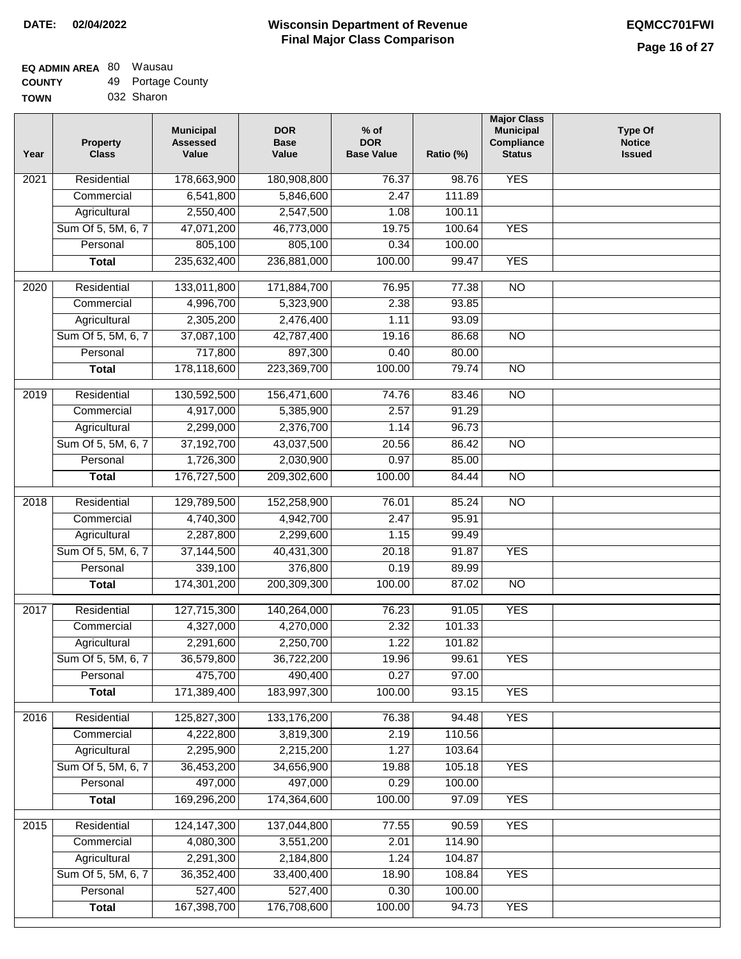| Year | <b>Property</b><br><b>Class</b> | <b>Municipal</b><br><b>Assessed</b><br>Value | <b>DOR</b><br><b>Base</b><br>Value | $%$ of<br><b>DOR</b><br><b>Base Value</b> | Ratio (%) | <b>Major Class</b><br><b>Municipal</b><br>Compliance<br><b>Status</b> | <b>Type Of</b><br><b>Notice</b><br><b>Issued</b> |
|------|---------------------------------|----------------------------------------------|------------------------------------|-------------------------------------------|-----------|-----------------------------------------------------------------------|--------------------------------------------------|
| 2021 | Residential                     | 178,663,900                                  | 180,908,800                        | 76.37                                     | 98.76     | <b>YES</b>                                                            |                                                  |
|      | Commercial                      | 6,541,800                                    | 5,846,600                          | 2.47                                      | 111.89    |                                                                       |                                                  |
|      | Agricultural                    | 2,550,400                                    | 2,547,500                          | 1.08                                      | 100.11    |                                                                       |                                                  |
|      | Sum Of 5, 5M, 6, 7              | 47,071,200                                   | 46,773,000                         | 19.75                                     | 100.64    | <b>YES</b>                                                            |                                                  |
|      | Personal                        | 805,100                                      | 805,100                            | 0.34                                      | 100.00    |                                                                       |                                                  |
|      | <b>Total</b>                    | 235,632,400                                  | 236,881,000                        | 100.00                                    | 99.47     | <b>YES</b>                                                            |                                                  |
| 2020 | Residential                     | 133,011,800                                  | 171,884,700                        | 76.95                                     | 77.38     | $\overline{NO}$                                                       |                                                  |
|      | Commercial                      | 4,996,700                                    | 5,323,900                          | 2.38                                      | 93.85     |                                                                       |                                                  |
|      | Agricultural                    | 2,305,200                                    | 2,476,400                          | 1.11                                      | 93.09     |                                                                       |                                                  |
|      | Sum Of 5, 5M, 6, 7              | 37,087,100                                   | 42,787,400                         | 19.16                                     | 86.68     | $\overline{NO}$                                                       |                                                  |
|      | Personal                        | 717,800                                      | 897,300                            | 0.40                                      | 80.00     |                                                                       |                                                  |
|      | <b>Total</b>                    | 178,118,600                                  | 223,369,700                        | 100.00                                    | 79.74     | $\overline{NO}$                                                       |                                                  |
|      |                                 |                                              |                                    |                                           |           |                                                                       |                                                  |
| 2019 | Residential                     | 130,592,500                                  | 156,471,600                        | 74.76                                     | 83.46     | $\overline{3}$                                                        |                                                  |
|      | Commercial                      | 4,917,000                                    | 5,385,900                          | 2.57                                      | 91.29     |                                                                       |                                                  |
|      | Agricultural                    | 2,299,000                                    | 2,376,700                          | 1.14                                      | 96.73     |                                                                       |                                                  |
|      | Sum Of 5, 5M, 6, 7              | 37,192,700                                   | 43,037,500                         | 20.56                                     | 86.42     | $\overline{NO}$                                                       |                                                  |
|      | Personal                        | 1,726,300                                    | 2,030,900                          | 0.97                                      | 85.00     |                                                                       |                                                  |
|      | <b>Total</b>                    | 176,727,500                                  | 209,302,600                        | 100.00                                    | 84.44     | $\overline{NO}$                                                       |                                                  |
| 2018 | Residential                     | 129,789,500                                  | 152,258,900                        | 76.01                                     | 85.24     | $\overline{10}$                                                       |                                                  |
|      | Commercial                      | 4,740,300                                    | 4,942,700                          | 2.47                                      | 95.91     |                                                                       |                                                  |
|      | Agricultural                    | 2,287,800                                    | 2,299,600                          | 1.15                                      | 99.49     |                                                                       |                                                  |
|      | Sum Of 5, 5M, 6, 7              | 37,144,500                                   | 40,431,300                         | 20.18                                     | 91.87     | <b>YES</b>                                                            |                                                  |
|      | Personal                        | 339,100                                      | 376,800                            | 0.19                                      | 89.99     |                                                                       |                                                  |
|      | <b>Total</b>                    | 174,301,200                                  | 200,309,300                        | 100.00                                    | 87.02     | <b>NO</b>                                                             |                                                  |
| 2017 | Residential                     | 127,715,300                                  | 140,264,000                        | 76.23                                     | 91.05     | <b>YES</b>                                                            |                                                  |
|      | Commercial                      | 4,327,000                                    | 4,270,000                          | 2.32                                      | 101.33    |                                                                       |                                                  |
|      | Agricultural                    | 2,291,600                                    | 2,250,700                          | 1.22                                      | 101.82    |                                                                       |                                                  |
|      | Sum Of 5, 5M, 6, 7              | 36,579,800                                   | 36,722,200                         | 19.96                                     | 99.61     | <b>YES</b>                                                            |                                                  |
|      | Personal                        | 475,700                                      | 490,400                            | 0.27                                      | 97.00     |                                                                       |                                                  |
|      | <b>Total</b>                    | 171,389,400                                  | 183,997,300                        | 100.00                                    | 93.15     | <b>YES</b>                                                            |                                                  |
| 2016 | Residential                     | 125,827,300                                  | 133, 176, 200                      | 76.38                                     | 94.48     | <b>YES</b>                                                            |                                                  |
|      | Commercial                      | 4,222,800                                    | 3,819,300                          | 2.19                                      | 110.56    |                                                                       |                                                  |
|      | Agricultural                    | 2,295,900                                    | 2,215,200                          | 1.27                                      | 103.64    |                                                                       |                                                  |
|      | Sum Of 5, 5M, 6, 7              | 36,453,200                                   | 34,656,900                         | 19.88                                     | 105.18    | <b>YES</b>                                                            |                                                  |
|      | Personal                        | 497,000                                      | 497,000                            | 0.29                                      | 100.00    |                                                                       |                                                  |
|      | <b>Total</b>                    | 169,296,200                                  | 174,364,600                        | 100.00                                    | 97.09     | <b>YES</b>                                                            |                                                  |
| 2015 | Residential                     | 124, 147, 300                                | 137,044,800                        | 77.55                                     | 90.59     | <b>YES</b>                                                            |                                                  |
|      | Commercial                      | 4,080,300                                    | 3,551,200                          | 2.01                                      | 114.90    |                                                                       |                                                  |
|      | Agricultural                    | 2,291,300                                    | 2,184,800                          | 1.24                                      | 104.87    |                                                                       |                                                  |
|      | Sum Of 5, 5M, 6, 7              | 36,352,400                                   | 33,400,400                         | 18.90                                     | 108.84    | <b>YES</b>                                                            |                                                  |
|      | Personal                        | 527,400                                      | 527,400                            | 0.30                                      | 100.00    |                                                                       |                                                  |
|      | <b>Total</b>                    | 167,398,700                                  | 176,708,600                        | 100.00                                    | 94.73     | <b>YES</b>                                                            |                                                  |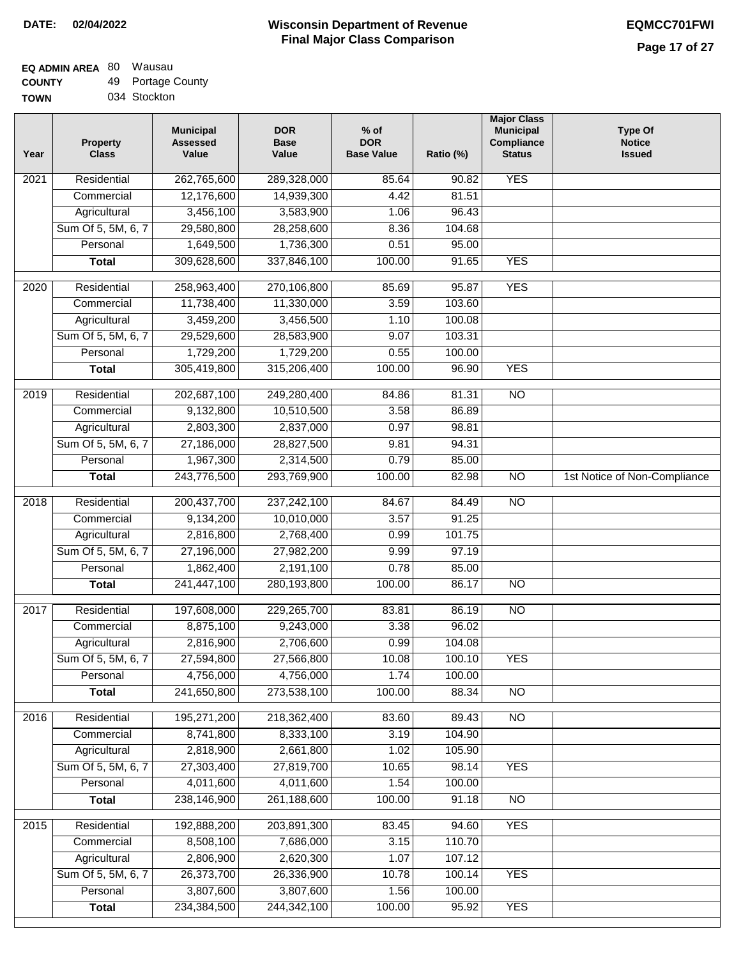| <b>TOWN</b> | 034 Stockton |
|-------------|--------------|

| Year | <b>Property</b><br><b>Class</b> | <b>Municipal</b><br><b>Assessed</b><br>Value | <b>DOR</b><br><b>Base</b><br>Value | $%$ of<br><b>DOR</b><br><b>Base Value</b> | Ratio (%) | <b>Major Class</b><br><b>Municipal</b><br>Compliance<br><b>Status</b> | <b>Type Of</b><br><b>Notice</b><br><b>Issued</b> |
|------|---------------------------------|----------------------------------------------|------------------------------------|-------------------------------------------|-----------|-----------------------------------------------------------------------|--------------------------------------------------|
| 2021 | Residential                     | 262,765,600                                  | 289,328,000                        | 85.64                                     | 90.82     | <b>YES</b>                                                            |                                                  |
|      | Commercial                      | 12,176,600                                   | 14,939,300                         | 4.42                                      | 81.51     |                                                                       |                                                  |
|      | Agricultural                    | 3,456,100                                    | 3,583,900                          | 1.06                                      | 96.43     |                                                                       |                                                  |
|      | Sum Of 5, 5M, 6, 7              | 29,580,800                                   | 28,258,600                         | 8.36                                      | 104.68    |                                                                       |                                                  |
|      | Personal                        | 1,649,500                                    | 1,736,300                          | 0.51                                      | 95.00     |                                                                       |                                                  |
|      | <b>Total</b>                    | 309,628,600                                  | 337,846,100                        | 100.00                                    | 91.65     | <b>YES</b>                                                            |                                                  |
| 2020 | Residential                     | 258,963,400                                  | 270,106,800                        | 85.69                                     | 95.87     | <b>YES</b>                                                            |                                                  |
|      | Commercial                      | 11,738,400                                   | 11,330,000                         | 3.59                                      | 103.60    |                                                                       |                                                  |
|      | Agricultural                    | 3,459,200                                    | 3,456,500                          | 1.10                                      | 100.08    |                                                                       |                                                  |
|      | Sum Of 5, 5M, 6, 7              | 29,529,600                                   | 28,583,900                         | 9.07                                      | 103.31    |                                                                       |                                                  |
|      | Personal                        | 1,729,200                                    | 1,729,200                          | 0.55                                      | 100.00    |                                                                       |                                                  |
|      | <b>Total</b>                    | 305,419,800                                  | 315,206,400                        | 100.00                                    | 96.90     | <b>YES</b>                                                            |                                                  |
|      |                                 |                                              |                                    |                                           |           |                                                                       |                                                  |
| 2019 | Residential                     | 202,687,100                                  | 249,280,400                        | 84.86                                     | 81.31     | $\overline{10}$                                                       |                                                  |
|      | Commercial                      | 9,132,800                                    | 10,510,500                         | 3.58                                      | 86.89     |                                                                       |                                                  |
|      | Agricultural                    | 2,803,300                                    | 2,837,000                          | 0.97                                      | 98.81     |                                                                       |                                                  |
|      | Sum Of 5, 5M, 6, 7              | 27,186,000                                   | 28,827,500                         | 9.81                                      | 94.31     |                                                                       |                                                  |
|      | Personal                        | 1,967,300                                    | 2,314,500                          | 0.79                                      | 85.00     |                                                                       |                                                  |
|      | <b>Total</b>                    | 243,776,500                                  | 293,769,900                        | 100.00                                    | 82.98     | $\overline{NO}$                                                       | 1st Notice of Non-Compliance                     |
| 2018 | Residential                     | 200, 437, 700                                | 237,242,100                        | 84.67                                     | 84.49     | <b>NO</b>                                                             |                                                  |
|      | Commercial                      | 9,134,200                                    | 10,010,000                         | 3.57                                      | 91.25     |                                                                       |                                                  |
|      | Agricultural                    | 2,816,800                                    | 2,768,400                          | 0.99                                      | 101.75    |                                                                       |                                                  |
|      | Sum Of 5, 5M, 6, 7              | 27,196,000                                   | 27,982,200                         | 9.99                                      | 97.19     |                                                                       |                                                  |
|      | Personal                        | 1,862,400                                    | 2,191,100                          | 0.78                                      | 85.00     |                                                                       |                                                  |
|      | <b>Total</b>                    | 241,447,100                                  | 280,193,800                        | 100.00                                    | 86.17     | $\overline{10}$                                                       |                                                  |
| 2017 | Residential                     | 197,608,000                                  | 229,265,700                        | 83.81                                     | 86.19     | $\overline{NO}$                                                       |                                                  |
|      | Commercial                      | 8,875,100                                    | 9,243,000                          | 3.38                                      | 96.02     |                                                                       |                                                  |
|      | Agricultural                    | 2,816,900                                    | 2,706,600                          | 0.99                                      | 104.08    |                                                                       |                                                  |
|      | Sum Of 5, 5M, 6, 7              | 27,594,800                                   | 27,566,800                         | 10.08                                     | 100.10    | <b>YES</b>                                                            |                                                  |
|      | Personal                        | 4,756,000                                    | 4,756,000                          | 1.74                                      | 100.00    |                                                                       |                                                  |
|      | <b>Total</b>                    | 241,650,800                                  | 273,538,100                        | 100.00                                    | 88.34     | $\overline{NO}$                                                       |                                                  |
| 2016 | Residential                     | 195,271,200                                  | 218,362,400                        | 83.60                                     | 89.43     | $\overline{NO}$                                                       |                                                  |
|      | Commercial                      | 8,741,800                                    | 8,333,100                          | 3.19                                      | 104.90    |                                                                       |                                                  |
|      | Agricultural                    | 2,818,900                                    | 2,661,800                          | 1.02                                      | 105.90    |                                                                       |                                                  |
|      | Sum Of 5, 5M, 6, 7              | 27,303,400                                   | 27,819,700                         | 10.65                                     | 98.14     | <b>YES</b>                                                            |                                                  |
|      | Personal                        | 4,011,600                                    | 4,011,600                          | 1.54                                      | 100.00    |                                                                       |                                                  |
|      | <b>Total</b>                    | 238,146,900                                  | 261,188,600                        | 100.00                                    | 91.18     | N <sub>O</sub>                                                        |                                                  |
| 2015 | Residential                     | 192,888,200                                  | 203,891,300                        | 83.45                                     | 94.60     | <b>YES</b>                                                            |                                                  |
|      | Commercial                      | 8,508,100                                    | 7,686,000                          | 3.15                                      | 110.70    |                                                                       |                                                  |
|      | Agricultural                    | 2,806,900                                    | 2,620,300                          | 1.07                                      | 107.12    |                                                                       |                                                  |
|      | Sum Of 5, 5M, 6, 7              | 26,373,700                                   | 26,336,900                         | 10.78                                     | 100.14    | <b>YES</b>                                                            |                                                  |
|      | Personal                        | 3,807,600                                    | 3,807,600                          | 1.56                                      | 100.00    |                                                                       |                                                  |
|      | <b>Total</b>                    | 234,384,500                                  | 244,342,100                        | 100.00                                    | 95.92     | <b>YES</b>                                                            |                                                  |
|      |                                 |                                              |                                    |                                           |           |                                                                       |                                                  |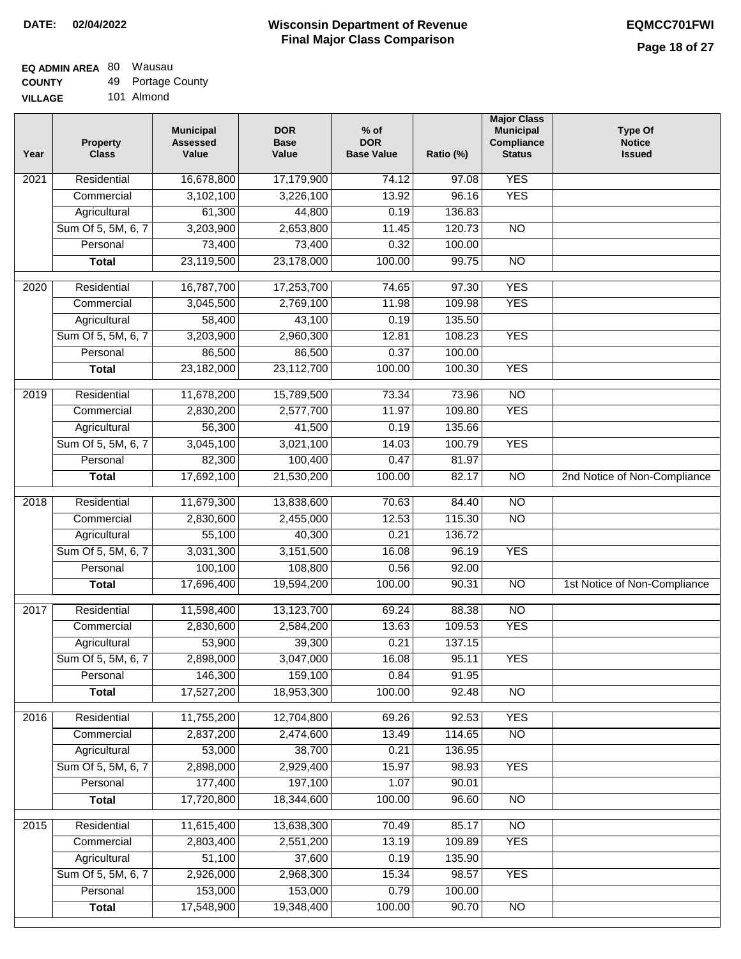## **EQ ADMIN AREA** 80 Wausau **COUNTY**

**VILLAGE** 49 Portage County 101 Almond

| Year | Property<br><b>Class</b> | <b>Municipal</b><br><b>Assessed</b><br>Value | <b>DOR</b><br><b>Base</b><br>Value | $%$ of<br><b>DOR</b><br><b>Base Value</b> | Ratio (%) | <b>Major Class</b><br><b>Municipal</b><br>Compliance<br><b>Status</b> | <b>Type Of</b><br><b>Notice</b><br><b>Issued</b> |
|------|--------------------------|----------------------------------------------|------------------------------------|-------------------------------------------|-----------|-----------------------------------------------------------------------|--------------------------------------------------|
| 2021 | Residential              | 16,678,800                                   | 17,179,900                         | 74.12                                     | 97.08     | <b>YES</b>                                                            |                                                  |
|      | Commercial               | 3,102,100                                    | 3,226,100                          | 13.92                                     | 96.16     | <b>YES</b>                                                            |                                                  |
|      | Agricultural             | 61,300                                       | 44,800                             | 0.19                                      | 136.83    |                                                                       |                                                  |
|      | Sum Of 5, 5M, 6, 7       | 3,203,900                                    | 2,653,800                          | 11.45                                     | 120.73    | $\overline{NO}$                                                       |                                                  |
|      | Personal                 | 73,400                                       | 73,400                             | 0.32                                      | 100.00    |                                                                       |                                                  |
|      | <b>Total</b>             | 23,119,500                                   | 23,178,000                         | 100.00                                    | 99.75     | $\overline{NO}$                                                       |                                                  |
| 2020 | Residential              | 16,787,700                                   | 17,253,700                         | 74.65                                     | 97.30     | <b>YES</b>                                                            |                                                  |
|      | Commercial               | 3,045,500                                    | 2,769,100                          | 11.98                                     | 109.98    | <b>YES</b>                                                            |                                                  |
|      | Agricultural             | 58,400                                       | 43,100                             | 0.19                                      | 135.50    |                                                                       |                                                  |
|      | Sum Of 5, 5M, 6, 7       | 3,203,900                                    | 2,960,300                          | 12.81                                     | 108.23    | <b>YES</b>                                                            |                                                  |
|      | Personal                 | 86,500                                       | 86,500                             | 0.37                                      | 100.00    |                                                                       |                                                  |
|      | <b>Total</b>             | 23,182,000                                   | 23,112,700                         | 100.00                                    | 100.30    | <b>YES</b>                                                            |                                                  |
|      |                          |                                              |                                    |                                           |           |                                                                       |                                                  |
| 2019 | Residential              | 11,678,200                                   | 15,789,500                         | 73.34                                     | 73.96     | $\overline{NO}$                                                       |                                                  |
|      | Commercial               | 2,830,200                                    | 2,577,700                          | 11.97                                     | 109.80    | <b>YES</b>                                                            |                                                  |
|      | Agricultural             | 56,300                                       | 41,500                             | 0.19                                      | 135.66    |                                                                       |                                                  |
|      | Sum Of 5, 5M, 6, 7       | 3,045,100                                    | 3,021,100                          | 14.03                                     | 100.79    | <b>YES</b>                                                            |                                                  |
|      | Personal                 | 82,300                                       | 100,400                            | 0.47                                      | 81.97     |                                                                       |                                                  |
|      | <b>Total</b>             | 17,692,100                                   | 21,530,200                         | 100.00                                    | 82.17     | $\overline{NO}$                                                       | 2nd Notice of Non-Compliance                     |
| 2018 | Residential              | 11,679,300                                   | 13,838,600                         | 70.63                                     | 84.40     | $\overline{NO}$                                                       |                                                  |
|      | Commercial               | 2,830,600                                    | 2,455,000                          | 12.53                                     | 115.30    | <b>NO</b>                                                             |                                                  |
|      | Agricultural             | 55,100                                       | 40,300                             | 0.21                                      | 136.72    |                                                                       |                                                  |
|      | Sum Of 5, 5M, 6, 7       | 3,031,300                                    | 3,151,500                          | 16.08                                     | 96.19     | <b>YES</b>                                                            |                                                  |
|      | Personal                 | 100,100                                      | 108,800                            | 0.56                                      | 92.00     |                                                                       |                                                  |
|      | <b>Total</b>             | 17,696,400                                   | 19,594,200                         | 100.00                                    | 90.31     | <b>NO</b>                                                             | 1st Notice of Non-Compliance                     |
| 2017 | Residential              | 11,598,400                                   | 13,123,700                         | 69.24                                     | 88.38     | $\overline{NO}$                                                       |                                                  |
|      | Commercial               | 2,830,600                                    | 2,584,200                          | 13.63                                     | 109.53    | <b>YES</b>                                                            |                                                  |
|      | Agricultural             | 53,900                                       | 39,300                             | 0.21                                      | 137.15    |                                                                       |                                                  |
|      | Sum Of 5, 5M, 6, 7       | 2,898,000                                    | 3,047,000                          | 16.08                                     | 95.11     | <b>YES</b>                                                            |                                                  |
|      | Personal                 | 146,300                                      | 159,100                            | 0.84                                      | 91.95     |                                                                       |                                                  |
|      | <b>Total</b>             | 17,527,200                                   | 18,953,300                         | 100.00                                    | 92.48     | <b>NO</b>                                                             |                                                  |
| 2016 | Residential              | 11,755,200                                   | 12,704,800                         | 69.26                                     | 92.53     | <b>YES</b>                                                            |                                                  |
|      | Commercial               | 2,837,200                                    | 2,474,600                          | 13.49                                     | 114.65    | $\overline{NO}$                                                       |                                                  |
|      | Agricultural             | 53,000                                       | 38,700                             | 0.21                                      | 136.95    |                                                                       |                                                  |
|      | Sum Of 5, 5M, 6, 7       | 2,898,000                                    | 2,929,400                          | 15.97                                     | 98.93     | <b>YES</b>                                                            |                                                  |
|      | Personal                 | 177,400                                      | 197,100                            | 1.07                                      | 90.01     |                                                                       |                                                  |
|      | <b>Total</b>             | 17,720,800                                   | 18,344,600                         | 100.00                                    | 96.60     | $\overline{NO}$                                                       |                                                  |
| 2015 | Residential              | 11,615,400                                   | 13,638,300                         | 70.49                                     | 85.17     | <b>NO</b>                                                             |                                                  |
|      | Commercial               | 2,803,400                                    | 2,551,200                          | 13.19                                     | 109.89    | <b>YES</b>                                                            |                                                  |
|      | Agricultural             | 51,100                                       | 37,600                             | 0.19                                      | 135.90    |                                                                       |                                                  |
|      | Sum Of 5, 5M, 6, 7       | 2,926,000                                    | 2,968,300                          | 15.34                                     | 98.57     | <b>YES</b>                                                            |                                                  |
|      | Personal                 | 153,000                                      | 153,000                            | 0.79                                      | 100.00    |                                                                       |                                                  |
|      | <b>Total</b>             | 17,548,900                                   | 19,348,400                         | 100.00                                    | 90.70     | $\overline{NO}$                                                       |                                                  |
|      |                          |                                              |                                    |                                           |           |                                                                       |                                                  |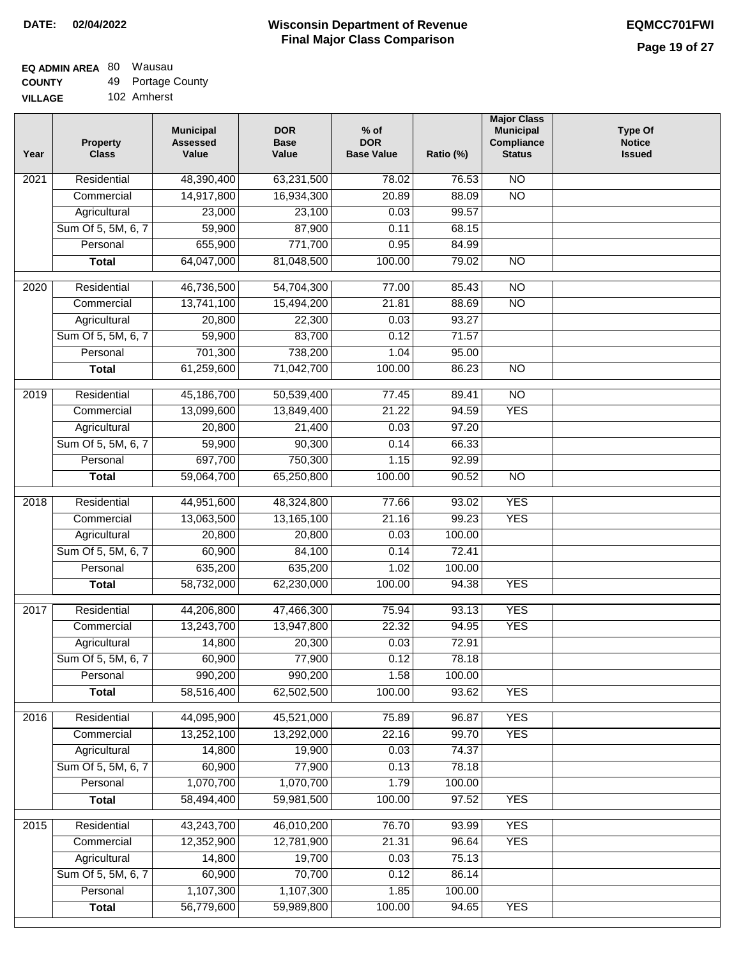#### **EQ ADMIN AREA** 80 Wausau **COUNTY** 49 Portage County

| --------       |             |
|----------------|-------------|
| <b>VILLAGE</b> | 102 Amherst |

| 48,390,400<br>63,231,500<br>$\overline{NO}$<br>2021<br>Residential<br>78.02<br>76.53<br>14,917,800<br>16,934,300<br>20.89<br>$\overline{NO}$<br>Commercial<br>88.09<br>99.57<br>Agricultural<br>23,000<br>23,100<br>0.03<br>Sum Of 5, 5M, 6, 7<br>59,900<br>87,900<br>0.11<br>68.15<br>655,900<br>771,700<br>Personal<br>0.95<br>84.99<br>64,047,000<br>81,048,500<br>100.00<br>79.02<br>$\overline{NO}$<br><b>Total</b><br>46,736,500<br>Residential<br>54,704,300<br>77.00<br>85.43<br>$\overline{N}$<br>2020<br>$\overline{NO}$<br>13,741,100<br>15,494,200<br>21.81<br>88.69<br>Commercial<br>93.27<br>20,800<br>22,300<br>0.03<br>Agricultural<br>59,900<br>83,700<br>Sum Of 5, 5M, 6, 7<br>0.12<br>71.57<br>701,300<br>738,200<br>Personal<br>1.04<br>95.00<br>61,259,600<br>71,042,700<br>100.00<br>86.23<br>$\overline{NO}$<br><b>Total</b><br>Residential<br>45,186,700<br>50,539,400<br>$\overline{10}$<br>2019<br>77.45<br>89.41<br>13,099,600<br><b>YES</b><br>Commercial<br>13,849,400<br>21.22<br>94.59 | <b>Type Of</b><br><b>Notice</b><br><b>Issued</b> |
|-----------------------------------------------------------------------------------------------------------------------------------------------------------------------------------------------------------------------------------------------------------------------------------------------------------------------------------------------------------------------------------------------------------------------------------------------------------------------------------------------------------------------------------------------------------------------------------------------------------------------------------------------------------------------------------------------------------------------------------------------------------------------------------------------------------------------------------------------------------------------------------------------------------------------------------------------------------------------------------------------------------------------|--------------------------------------------------|
|                                                                                                                                                                                                                                                                                                                                                                                                                                                                                                                                                                                                                                                                                                                                                                                                                                                                                                                                                                                                                       |                                                  |
|                                                                                                                                                                                                                                                                                                                                                                                                                                                                                                                                                                                                                                                                                                                                                                                                                                                                                                                                                                                                                       |                                                  |
|                                                                                                                                                                                                                                                                                                                                                                                                                                                                                                                                                                                                                                                                                                                                                                                                                                                                                                                                                                                                                       |                                                  |
|                                                                                                                                                                                                                                                                                                                                                                                                                                                                                                                                                                                                                                                                                                                                                                                                                                                                                                                                                                                                                       |                                                  |
|                                                                                                                                                                                                                                                                                                                                                                                                                                                                                                                                                                                                                                                                                                                                                                                                                                                                                                                                                                                                                       |                                                  |
|                                                                                                                                                                                                                                                                                                                                                                                                                                                                                                                                                                                                                                                                                                                                                                                                                                                                                                                                                                                                                       |                                                  |
|                                                                                                                                                                                                                                                                                                                                                                                                                                                                                                                                                                                                                                                                                                                                                                                                                                                                                                                                                                                                                       |                                                  |
|                                                                                                                                                                                                                                                                                                                                                                                                                                                                                                                                                                                                                                                                                                                                                                                                                                                                                                                                                                                                                       |                                                  |
|                                                                                                                                                                                                                                                                                                                                                                                                                                                                                                                                                                                                                                                                                                                                                                                                                                                                                                                                                                                                                       |                                                  |
|                                                                                                                                                                                                                                                                                                                                                                                                                                                                                                                                                                                                                                                                                                                                                                                                                                                                                                                                                                                                                       |                                                  |
|                                                                                                                                                                                                                                                                                                                                                                                                                                                                                                                                                                                                                                                                                                                                                                                                                                                                                                                                                                                                                       |                                                  |
|                                                                                                                                                                                                                                                                                                                                                                                                                                                                                                                                                                                                                                                                                                                                                                                                                                                                                                                                                                                                                       |                                                  |
|                                                                                                                                                                                                                                                                                                                                                                                                                                                                                                                                                                                                                                                                                                                                                                                                                                                                                                                                                                                                                       |                                                  |
|                                                                                                                                                                                                                                                                                                                                                                                                                                                                                                                                                                                                                                                                                                                                                                                                                                                                                                                                                                                                                       |                                                  |
|                                                                                                                                                                                                                                                                                                                                                                                                                                                                                                                                                                                                                                                                                                                                                                                                                                                                                                                                                                                                                       |                                                  |
| 0.03<br>97.20<br>Agricultural<br>20,800<br>21,400                                                                                                                                                                                                                                                                                                                                                                                                                                                                                                                                                                                                                                                                                                                                                                                                                                                                                                                                                                     |                                                  |
| 59,900<br>Sum Of 5, 5M, 6, 7<br>90,300<br>0.14<br>66.33                                                                                                                                                                                                                                                                                                                                                                                                                                                                                                                                                                                                                                                                                                                                                                                                                                                                                                                                                               |                                                  |
| 697,700<br>Personal<br>750,300<br>1.15<br>92.99                                                                                                                                                                                                                                                                                                                                                                                                                                                                                                                                                                                                                                                                                                                                                                                                                                                                                                                                                                       |                                                  |
| 59,064,700<br>65,250,800<br>100.00<br>90.52<br><b>NO</b><br><b>Total</b>                                                                                                                                                                                                                                                                                                                                                                                                                                                                                                                                                                                                                                                                                                                                                                                                                                                                                                                                              |                                                  |
| $\overline{2018}$<br>Residential<br>44,951,600<br>48,324,800<br>93.02<br><b>YES</b><br>77.66                                                                                                                                                                                                                                                                                                                                                                                                                                                                                                                                                                                                                                                                                                                                                                                                                                                                                                                          |                                                  |
| 99.23<br><b>YES</b><br>Commercial<br>13,063,500<br>13,165,100<br>21.16                                                                                                                                                                                                                                                                                                                                                                                                                                                                                                                                                                                                                                                                                                                                                                                                                                                                                                                                                |                                                  |
| Agricultural<br>20,800<br>20,800<br>0.03<br>100.00                                                                                                                                                                                                                                                                                                                                                                                                                                                                                                                                                                                                                                                                                                                                                                                                                                                                                                                                                                    |                                                  |
| Sum Of 5, 5M, 6, 7<br>60,900<br>84,100<br>0.14<br>72.41                                                                                                                                                                                                                                                                                                                                                                                                                                                                                                                                                                                                                                                                                                                                                                                                                                                                                                                                                               |                                                  |
| 635,200<br>Personal<br>635,200<br>1.02<br>100.00                                                                                                                                                                                                                                                                                                                                                                                                                                                                                                                                                                                                                                                                                                                                                                                                                                                                                                                                                                      |                                                  |
| <b>YES</b><br>58,732,000<br>62,230,000<br>100.00<br>94.38<br><b>Total</b>                                                                                                                                                                                                                                                                                                                                                                                                                                                                                                                                                                                                                                                                                                                                                                                                                                                                                                                                             |                                                  |
| <b>YES</b><br>2017<br>Residential<br>44,206,800<br>47,466,300<br>75.94<br>93.13                                                                                                                                                                                                                                                                                                                                                                                                                                                                                                                                                                                                                                                                                                                                                                                                                                                                                                                                       |                                                  |
| 13,243,700<br>22.32<br><b>YES</b><br>13,947,800<br>94.95<br>Commercial                                                                                                                                                                                                                                                                                                                                                                                                                                                                                                                                                                                                                                                                                                                                                                                                                                                                                                                                                |                                                  |
| 0.03<br>14,800<br>20,300<br>72.91<br>Agricultural                                                                                                                                                                                                                                                                                                                                                                                                                                                                                                                                                                                                                                                                                                                                                                                                                                                                                                                                                                     |                                                  |
| Sum Of 5, 5M, 6, 7<br>60,900<br>77,900<br>0.12<br>78.18                                                                                                                                                                                                                                                                                                                                                                                                                                                                                                                                                                                                                                                                                                                                                                                                                                                                                                                                                               |                                                  |
| 990,200<br>990,200<br>1.58<br>100.00<br>Personal                                                                                                                                                                                                                                                                                                                                                                                                                                                                                                                                                                                                                                                                                                                                                                                                                                                                                                                                                                      |                                                  |
| 58,516,400<br><b>YES</b><br>62,502,500<br>100.00<br>93.62<br><b>Total</b>                                                                                                                                                                                                                                                                                                                                                                                                                                                                                                                                                                                                                                                                                                                                                                                                                                                                                                                                             |                                                  |
| <b>YES</b><br>Residential<br>44,095,900<br>45,521,000<br>75.89<br>96.87<br>2016                                                                                                                                                                                                                                                                                                                                                                                                                                                                                                                                                                                                                                                                                                                                                                                                                                                                                                                                       |                                                  |
| 13,252,100<br>22.16<br>99.70<br>13,292,000<br><b>YES</b><br>Commercial                                                                                                                                                                                                                                                                                                                                                                                                                                                                                                                                                                                                                                                                                                                                                                                                                                                                                                                                                |                                                  |
| 14,800<br>0.03<br>Agricultural<br>19,900<br>74.37                                                                                                                                                                                                                                                                                                                                                                                                                                                                                                                                                                                                                                                                                                                                                                                                                                                                                                                                                                     |                                                  |
| Sum Of 5, 5M, 6, 7<br>60,900<br>77,900<br>0.13<br>78.18                                                                                                                                                                                                                                                                                                                                                                                                                                                                                                                                                                                                                                                                                                                                                                                                                                                                                                                                                               |                                                  |
| 1,070,700<br>1,070,700<br>100.00<br>Personal<br>1.79                                                                                                                                                                                                                                                                                                                                                                                                                                                                                                                                                                                                                                                                                                                                                                                                                                                                                                                                                                  |                                                  |
| 58,494,400<br>59,981,500<br>100.00<br>97.52<br><b>YES</b><br><b>Total</b>                                                                                                                                                                                                                                                                                                                                                                                                                                                                                                                                                                                                                                                                                                                                                                                                                                                                                                                                             |                                                  |
| 43,243,700<br>46,010,200<br>76.70<br><b>YES</b><br>2015<br>Residential<br>93.99                                                                                                                                                                                                                                                                                                                                                                                                                                                                                                                                                                                                                                                                                                                                                                                                                                                                                                                                       |                                                  |
| 12,352,900<br>12,781,900<br><b>YES</b><br>Commercial<br>21.31<br>96.64                                                                                                                                                                                                                                                                                                                                                                                                                                                                                                                                                                                                                                                                                                                                                                                                                                                                                                                                                |                                                  |
| 14,800<br>19,700<br>Agricultural<br>0.03<br>75.13                                                                                                                                                                                                                                                                                                                                                                                                                                                                                                                                                                                                                                                                                                                                                                                                                                                                                                                                                                     |                                                  |
| 70,700<br>Sum Of 5, 5M, 6, 7<br>60,900<br>86.14<br>0.12                                                                                                                                                                                                                                                                                                                                                                                                                                                                                                                                                                                                                                                                                                                                                                                                                                                                                                                                                               |                                                  |
| 1,107,300<br>1,107,300<br>Personal<br>1.85<br>100.00                                                                                                                                                                                                                                                                                                                                                                                                                                                                                                                                                                                                                                                                                                                                                                                                                                                                                                                                                                  |                                                  |
| 56,779,600<br>59,989,800<br>100.00<br><b>YES</b><br><b>Total</b><br>94.65                                                                                                                                                                                                                                                                                                                                                                                                                                                                                                                                                                                                                                                                                                                                                                                                                                                                                                                                             |                                                  |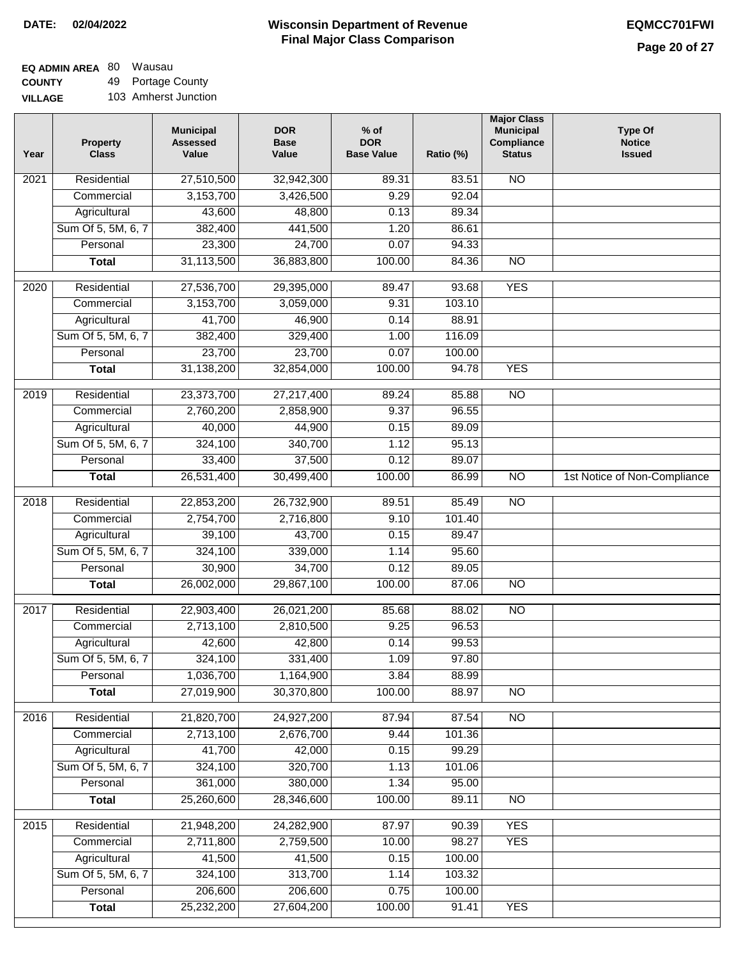# **EQ ADMIN AREA** 80 Wausau

**COUNTY VILLAGE** 49 Portage County 103 Amherst Junction

| Year | <b>Property</b><br><b>Class</b> | <b>Municipal</b><br><b>Assessed</b><br>Value | <b>DOR</b><br><b>Base</b><br>Value | % of<br><b>DOR</b><br><b>Base Value</b> | Ratio (%) | <b>Major Class</b><br><b>Municipal</b><br>Compliance<br><b>Status</b> | <b>Type Of</b><br><b>Notice</b><br><b>Issued</b> |
|------|---------------------------------|----------------------------------------------|------------------------------------|-----------------------------------------|-----------|-----------------------------------------------------------------------|--------------------------------------------------|
| 2021 | Residential                     | 27,510,500                                   | 32,942,300                         | 89.31                                   | 83.51     | N <sub>O</sub>                                                        |                                                  |
|      | Commercial                      | 3,153,700                                    | 3,426,500                          | 9.29                                    | 92.04     |                                                                       |                                                  |
|      | Agricultural                    | 43,600                                       | 48,800                             | 0.13                                    | 89.34     |                                                                       |                                                  |
|      | Sum Of 5, 5M, 6, 7              | 382,400                                      | 441,500                            | 1.20                                    | 86.61     |                                                                       |                                                  |
|      | Personal                        | 23,300                                       | 24,700                             | 0.07                                    | 94.33     |                                                                       |                                                  |
|      | <b>Total</b>                    | 31,113,500                                   | 36,883,800                         | 100.00                                  | 84.36     | $\overline{NO}$                                                       |                                                  |
| 2020 | Residential                     | 27,536,700                                   | 29,395,000                         | 89.47                                   | 93.68     | <b>YES</b>                                                            |                                                  |
|      | Commercial                      | 3,153,700                                    | 3,059,000                          | 9.31                                    | 103.10    |                                                                       |                                                  |
|      | Agricultural                    | 41,700                                       | 46,900                             | 0.14                                    | 88.91     |                                                                       |                                                  |
|      | Sum Of 5, 5M, 6, 7              | 382,400                                      | 329,400                            | 1.00                                    | 116.09    |                                                                       |                                                  |
|      | Personal                        | 23,700                                       | 23,700                             | 0.07                                    | 100.00    |                                                                       |                                                  |
|      | <b>Total</b>                    | 31,138,200                                   | 32,854,000                         | 100.00                                  | 94.78     | <b>YES</b>                                                            |                                                  |
| 2019 | Residential                     | 23,373,700                                   | 27,217,400                         | 89.24                                   | 85.88     | $\overline{10}$                                                       |                                                  |
|      | Commercial                      | 2,760,200                                    | 2,858,900                          | 9.37                                    | 96.55     |                                                                       |                                                  |
|      | Agricultural                    | 40,000                                       | 44,900                             | 0.15                                    | 89.09     |                                                                       |                                                  |
|      | Sum Of 5, 5M, 6, 7              | 324,100                                      | 340,700                            | 1.12                                    | 95.13     |                                                                       |                                                  |
|      | Personal                        | 33,400                                       | 37,500                             | 0.12                                    | 89.07     |                                                                       |                                                  |
|      | <b>Total</b>                    | 26,531,400                                   | 30,499,400                         | 100.00                                  | 86.99     | $\overline{NO}$                                                       | 1st Notice of Non-Compliance                     |
| 2018 | Residential                     | 22,853,200                                   | 26,732,900                         | 89.51                                   | 85.49     | $\overline{NO}$                                                       |                                                  |
|      | Commercial                      | 2,754,700                                    | 2,716,800                          | 9.10                                    | 101.40    |                                                                       |                                                  |
|      | Agricultural                    | 39,100                                       | 43,700                             | 0.15                                    | 89.47     |                                                                       |                                                  |
|      | Sum Of 5, 5M, 6, 7              | 324,100                                      | 339,000                            | 1.14                                    | 95.60     |                                                                       |                                                  |
|      | Personal                        | 30,900                                       | 34,700                             | 0.12                                    | 89.05     |                                                                       |                                                  |
|      | <b>Total</b>                    | 26,002,000                                   | 29,867,100                         | 100.00                                  | 87.06     | <b>NO</b>                                                             |                                                  |
| 2017 | Residential                     | 22,903,400                                   | 26,021,200                         | 85.68                                   | 88.02     | $\overline{NO}$                                                       |                                                  |
|      | Commercial                      | 2,713,100                                    | 2,810,500                          | 9.25                                    | 96.53     |                                                                       |                                                  |
|      | Agricultural                    | 42,600                                       | 42,800                             | 0.14                                    | 99.53     |                                                                       |                                                  |
|      | Sum Of 5, 5M, 6, 7              | 324,100                                      | 331,400                            | 1.09                                    | 97.80     |                                                                       |                                                  |
|      | Personal                        | 1,036,700                                    | 1,164,900                          | 3.84                                    | 88.99     |                                                                       |                                                  |
|      | <b>Total</b>                    | 27,019,900                                   | 30,370,800                         | 100.00                                  | 88.97     | <b>NO</b>                                                             |                                                  |
| 2016 | Residential                     | 21,820,700                                   | 24,927,200                         | 87.94                                   | 87.54     | $\overline{NO}$                                                       |                                                  |
|      | Commercial                      | 2,713,100                                    | 2,676,700                          | 9.44                                    | 101.36    |                                                                       |                                                  |
|      | Agricultural                    | 41,700                                       | 42,000                             | 0.15                                    | 99.29     |                                                                       |                                                  |
|      | Sum Of 5, 5M, 6, 7              | 324,100                                      | 320,700                            | 1.13                                    | 101.06    |                                                                       |                                                  |
|      | Personal                        | 361,000                                      | 380,000                            | 1.34                                    | 95.00     |                                                                       |                                                  |
|      | <b>Total</b>                    | 25,260,600                                   | 28,346,600                         | 100.00                                  | 89.11     | N <sub>O</sub>                                                        |                                                  |
| 2015 | Residential                     | 21,948,200                                   | 24,282,900                         | 87.97                                   | 90.39     | <b>YES</b>                                                            |                                                  |
|      | Commercial                      | 2,711,800                                    | 2,759,500                          | 10.00                                   | 98.27     | <b>YES</b>                                                            |                                                  |
|      | Agricultural                    | 41,500                                       | 41,500                             | 0.15                                    | 100.00    |                                                                       |                                                  |
|      | Sum Of 5, 5M, 6, 7              | 324,100                                      | 313,700                            | 1.14                                    | 103.32    |                                                                       |                                                  |
|      | Personal                        | 206,600                                      | 206,600                            | 0.75                                    | 100.00    |                                                                       |                                                  |
|      | <b>Total</b>                    | 25,232,200                                   | 27,604,200                         | 100.00                                  | 91.41     | <b>YES</b>                                                            |                                                  |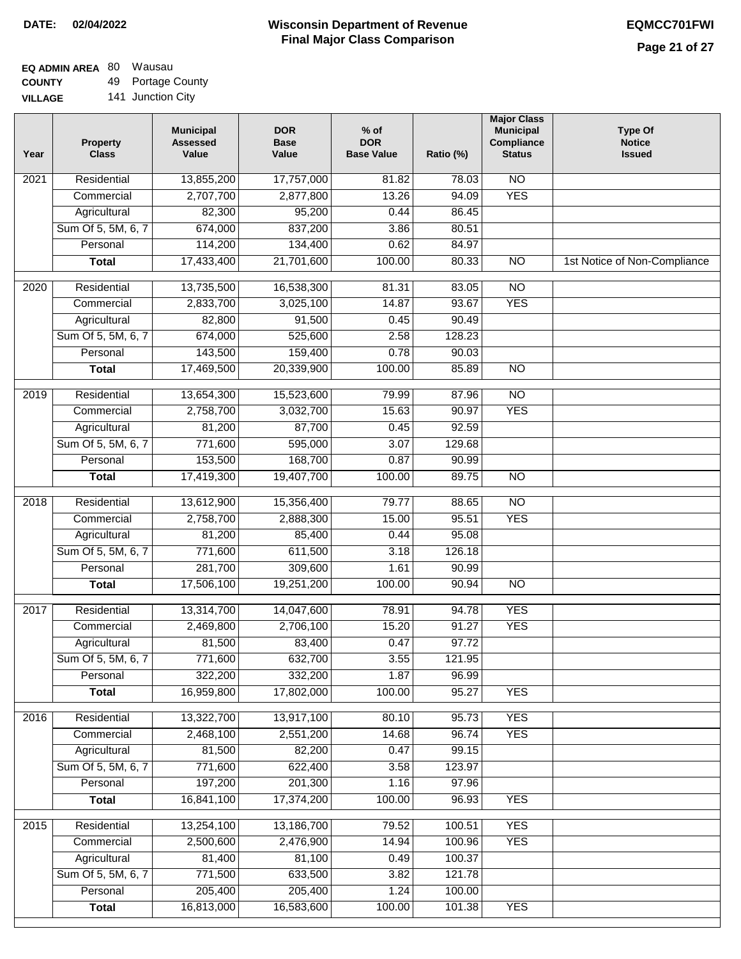#### **Wisconsin Department of Revenue Final Major Class Comparison DATE: 02/04/2022 EQMCC701FWI**

#### **EQ ADMIN AREA** 80 Wausau **COUNTY** 49 Portage County

**VILLAGE** 141 Junction City

| <b>NO</b><br>Residential<br>13,855,200<br>17,757,000<br>81.82<br>78.03<br>2021<br><b>YES</b><br>2,707,700<br>13.26<br>94.09<br>Commercial<br>2,877,800<br>82,300<br>95,200<br>0.44<br>86.45<br>Agricultural<br>Sum Of 5, 5M, 6, 7<br>674,000<br>837,200<br>3.86<br>80.51<br>114,200<br>Personal<br>134,400<br>0.62<br>84.97<br>17,433,400<br>21,701,600<br>100.00<br>80.33<br>$\overline{NO}$<br><b>Total</b><br>$\frac{1}{2020}$<br>Residential<br>13,735,500<br>16,538,300<br>81.31<br>83.05<br>$\overline{NO}$<br>93.67<br><b>YES</b><br>Commercial<br>2,833,700<br>3,025,100<br>14.87<br>Agricultural<br>82,800<br>91,500<br>90.49<br>0.45 | 1st Notice of Non-Compliance |
|------------------------------------------------------------------------------------------------------------------------------------------------------------------------------------------------------------------------------------------------------------------------------------------------------------------------------------------------------------------------------------------------------------------------------------------------------------------------------------------------------------------------------------------------------------------------------------------------------------------------------------------------|------------------------------|
|                                                                                                                                                                                                                                                                                                                                                                                                                                                                                                                                                                                                                                                |                              |
|                                                                                                                                                                                                                                                                                                                                                                                                                                                                                                                                                                                                                                                |                              |
|                                                                                                                                                                                                                                                                                                                                                                                                                                                                                                                                                                                                                                                |                              |
|                                                                                                                                                                                                                                                                                                                                                                                                                                                                                                                                                                                                                                                |                              |
|                                                                                                                                                                                                                                                                                                                                                                                                                                                                                                                                                                                                                                                |                              |
|                                                                                                                                                                                                                                                                                                                                                                                                                                                                                                                                                                                                                                                |                              |
|                                                                                                                                                                                                                                                                                                                                                                                                                                                                                                                                                                                                                                                |                              |
|                                                                                                                                                                                                                                                                                                                                                                                                                                                                                                                                                                                                                                                |                              |
|                                                                                                                                                                                                                                                                                                                                                                                                                                                                                                                                                                                                                                                |                              |
| Sum Of 5, 5M, 6, 7<br>674,000<br>525,600<br>2.58<br>128.23                                                                                                                                                                                                                                                                                                                                                                                                                                                                                                                                                                                     |                              |
| 143,500<br>Personal<br>159,400<br>0.78<br>90.03                                                                                                                                                                                                                                                                                                                                                                                                                                                                                                                                                                                                |                              |
| $\overline{NO}$<br><b>Total</b><br>17,469,500<br>20,339,900<br>100.00<br>85.89                                                                                                                                                                                                                                                                                                                                                                                                                                                                                                                                                                 |                              |
|                                                                                                                                                                                                                                                                                                                                                                                                                                                                                                                                                                                                                                                |                              |
| $\overline{NO}$<br>$\frac{1}{2019}$<br>Residential<br>13,654,300<br>15,523,600<br>79.99<br>87.96                                                                                                                                                                                                                                                                                                                                                                                                                                                                                                                                               |                              |
| 15.63<br><b>YES</b><br>Commercial<br>2,758,700<br>3,032,700<br>90.97                                                                                                                                                                                                                                                                                                                                                                                                                                                                                                                                                                           |                              |
| 81,200<br>87,700<br>92.59<br>Agricultural<br>0.45                                                                                                                                                                                                                                                                                                                                                                                                                                                                                                                                                                                              |                              |
| Sum Of 5, 5M, 6, 7<br>771,600<br>595,000<br>3.07<br>129.68                                                                                                                                                                                                                                                                                                                                                                                                                                                                                                                                                                                     |                              |
| 153,500<br>168,700<br>0.87<br>Personal<br>90.99                                                                                                                                                                                                                                                                                                                                                                                                                                                                                                                                                                                                |                              |
| 17,419,300<br>19,407,700<br>100.00<br>89.75<br>$\overline{NO}$<br><b>Total</b>                                                                                                                                                                                                                                                                                                                                                                                                                                                                                                                                                                 |                              |
| $\overline{NO}$<br>2018<br>Residential<br>13,612,900<br>15,356,400<br>79.77<br>88.65                                                                                                                                                                                                                                                                                                                                                                                                                                                                                                                                                           |                              |
| 95.51<br><b>YES</b><br>Commercial<br>2,758,700<br>2,888,300<br>15.00                                                                                                                                                                                                                                                                                                                                                                                                                                                                                                                                                                           |                              |
| 81,200<br>85,400<br>0.44<br>95.08<br>Agricultural                                                                                                                                                                                                                                                                                                                                                                                                                                                                                                                                                                                              |                              |
| 771,600<br>Sum Of 5, 5M, 6, 7<br>611,500<br>3.18<br>126.18                                                                                                                                                                                                                                                                                                                                                                                                                                                                                                                                                                                     |                              |
| 281,700<br>309,600<br>1.61<br>90.99<br>Personal                                                                                                                                                                                                                                                                                                                                                                                                                                                                                                                                                                                                |                              |
| 17,506,100<br>19,251,200<br>100.00<br>90.94<br>N <sub>O</sub><br><b>Total</b>                                                                                                                                                                                                                                                                                                                                                                                                                                                                                                                                                                  |                              |
| <b>YES</b><br>Residential<br>13,314,700<br>14,047,600<br>78.91<br>94.78<br>2017                                                                                                                                                                                                                                                                                                                                                                                                                                                                                                                                                                |                              |
| 15.20<br>2,469,800<br>2,706,100<br>91.27<br><b>YES</b><br>Commercial                                                                                                                                                                                                                                                                                                                                                                                                                                                                                                                                                                           |                              |
| 81,500<br>97.72<br>83,400<br>0.47<br>Agricultural                                                                                                                                                                                                                                                                                                                                                                                                                                                                                                                                                                                              |                              |
| Sum Of 5, 5M, 6, 7<br>771,600<br>632,700<br>3.55<br>121.95                                                                                                                                                                                                                                                                                                                                                                                                                                                                                                                                                                                     |                              |
| 322,200<br>332,200<br>Personal<br>1.87<br>96.99                                                                                                                                                                                                                                                                                                                                                                                                                                                                                                                                                                                                |                              |
| 16,959,800<br>17,802,000<br>100.00<br>95.27<br><b>YES</b><br><b>Total</b>                                                                                                                                                                                                                                                                                                                                                                                                                                                                                                                                                                      |                              |
| <b>YES</b><br>2016<br>Residential<br>13,322,700<br>13,917,100<br>80.10<br>95.73                                                                                                                                                                                                                                                                                                                                                                                                                                                                                                                                                                |                              |
| 96.74<br><b>YES</b><br>Commercial<br>2,468,100<br>2,551,200<br>14.68                                                                                                                                                                                                                                                                                                                                                                                                                                                                                                                                                                           |                              |
| 81,500<br>82,200<br>0.47<br>99.15<br>Agricultural                                                                                                                                                                                                                                                                                                                                                                                                                                                                                                                                                                                              |                              |
| Sum Of 5, 5M, 6, 7<br>771,600<br>622,400<br>3.58<br>123.97                                                                                                                                                                                                                                                                                                                                                                                                                                                                                                                                                                                     |                              |
| 197,200<br>201,300<br>Personal<br>1.16<br>97.96                                                                                                                                                                                                                                                                                                                                                                                                                                                                                                                                                                                                |                              |
| 16,841,100<br><b>Total</b><br>17,374,200<br>100.00<br>96.93<br><b>YES</b>                                                                                                                                                                                                                                                                                                                                                                                                                                                                                                                                                                      |                              |
| 2015<br>13,254,100<br>13,186,700<br><b>YES</b><br>Residential<br>79.52<br>100.51                                                                                                                                                                                                                                                                                                                                                                                                                                                                                                                                                               |                              |
| 2,500,600<br>2,476,900<br>14.94<br>100.96<br><b>YES</b><br>Commercial                                                                                                                                                                                                                                                                                                                                                                                                                                                                                                                                                                          |                              |
| 81,400<br>81,100<br>100.37<br>Agricultural<br>0.49                                                                                                                                                                                                                                                                                                                                                                                                                                                                                                                                                                                             |                              |
| Sum Of 5, 5M, 6, 7<br>771,500<br>633,500<br>121.78<br>3.82                                                                                                                                                                                                                                                                                                                                                                                                                                                                                                                                                                                     |                              |
| 205,400<br>205,400<br>Personal<br>1.24<br>100.00                                                                                                                                                                                                                                                                                                                                                                                                                                                                                                                                                                                               |                              |
| 16,813,000<br>16,583,600<br>100.00<br><b>YES</b><br>101.38<br><b>Total</b>                                                                                                                                                                                                                                                                                                                                                                                                                                                                                                                                                                     |                              |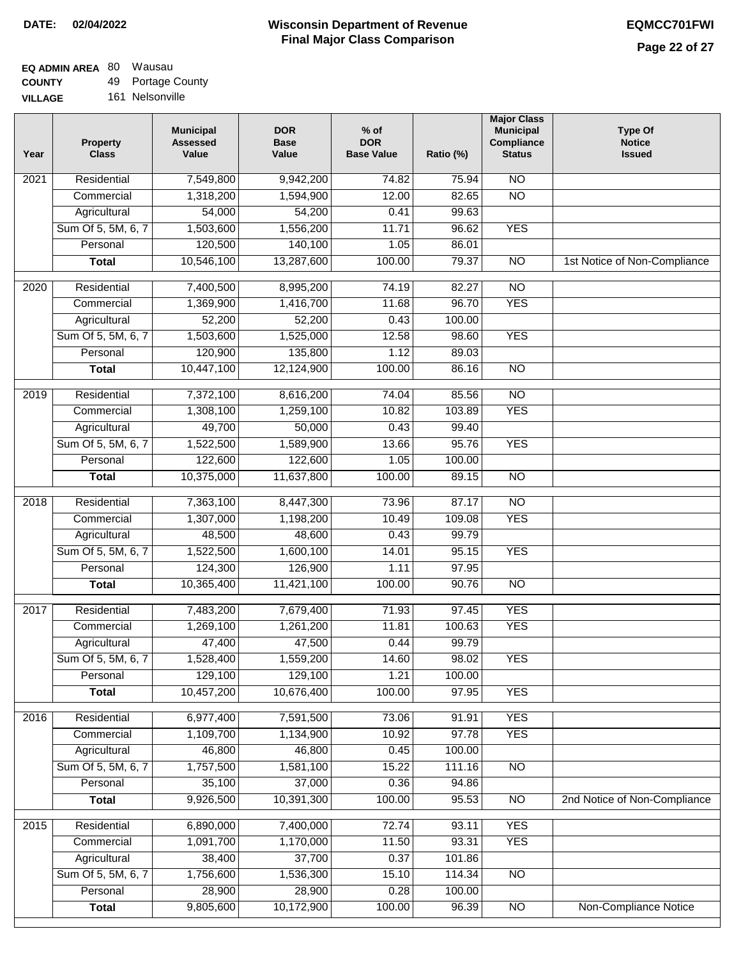$\overline{\phantom{a}}$ 

#### **Wisconsin Department of Revenue Final Major Class Comparison DATE: 02/04/2022 EQMCC701FWI**

٦

# **EQ ADMIN AREA** 80 Wausau

**COUNTY VILLAGE** 49 Portage County 161 Nelsonville

| Year | <b>Property</b><br><b>Class</b> | <b>Municipal</b><br><b>Assessed</b><br>Value | <b>DOR</b><br><b>Base</b><br>Value | $%$ of<br><b>DOR</b><br><b>Base Value</b> | Ratio (%) | <b>Major Class</b><br><b>Municipal</b><br>Compliance<br><b>Status</b> | Type Of<br><b>Notice</b><br><b>Issued</b> |
|------|---------------------------------|----------------------------------------------|------------------------------------|-------------------------------------------|-----------|-----------------------------------------------------------------------|-------------------------------------------|
| 2021 | Residential                     | 7,549,800                                    | 9,942,200                          | 74.82                                     | 75.94     | $\overline{NO}$                                                       |                                           |
|      | Commercial                      | 1,318,200                                    | 1,594,900                          | 12.00                                     | 82.65     | $\overline{NO}$                                                       |                                           |
|      | Agricultural                    | 54,000                                       | 54,200                             | 0.41                                      | 99.63     |                                                                       |                                           |
|      | Sum Of 5, 5M, 6, 7              | 1,503,600                                    | 1,556,200                          | 11.71                                     | 96.62     | <b>YES</b>                                                            |                                           |
|      | Personal                        | 120,500                                      | 140,100                            | 1.05                                      | 86.01     |                                                                       |                                           |
|      | <b>Total</b>                    | 10,546,100                                   | 13,287,600                         | 100.00                                    | 79.37     | $\overline{NO}$                                                       | 1st Notice of Non-Compliance              |
| 2020 | Residential                     | 7,400,500                                    | 8,995,200                          | 74.19                                     | 82.27     | $\overline{NO}$                                                       |                                           |
|      | Commercial                      | 1,369,900                                    | 1,416,700                          | 11.68                                     | 96.70     | <b>YES</b>                                                            |                                           |
|      | Agricultural                    | 52,200                                       | 52,200                             | 0.43                                      | 100.00    |                                                                       |                                           |
|      | Sum Of 5, 5M, 6, 7              | 1,503,600                                    | 1,525,000                          | 12.58                                     | 98.60     | <b>YES</b>                                                            |                                           |
|      | Personal                        | 120,900                                      | 135,800                            | 1.12                                      | 89.03     |                                                                       |                                           |
|      | <b>Total</b>                    | 10,447,100                                   | 12,124,900                         | 100.00                                    | 86.16     | $\overline{NO}$                                                       |                                           |
| 2019 | Residential                     | 7,372,100                                    | 8,616,200                          | 74.04                                     | 85.56     | $\overline{NO}$                                                       |                                           |
|      | Commercial                      | 1,308,100                                    | 1,259,100                          | 10.82                                     | 103.89    | <b>YES</b>                                                            |                                           |
|      | Agricultural                    | 49,700                                       | 50,000                             | 0.43                                      | 99.40     |                                                                       |                                           |
|      | Sum Of 5, 5M, 6, 7              | 1,522,500                                    | 1,589,900                          | 13.66                                     | 95.76     | <b>YES</b>                                                            |                                           |
|      | Personal                        | 122,600                                      | 122,600                            | 1.05                                      | 100.00    |                                                                       |                                           |
|      | <b>Total</b>                    | 10,375,000                                   | 11,637,800                         | 100.00                                    | 89.15     | $\overline{NO}$                                                       |                                           |
| 2018 | Residential                     | 7,363,100                                    | 8,447,300                          | 73.96                                     | 87.17     | $\overline{NO}$                                                       |                                           |
|      | Commercial                      | 1,307,000                                    | 1,198,200                          | 10.49                                     | 109.08    | <b>YES</b>                                                            |                                           |
|      | Agricultural                    | 48,500                                       | 48,600                             | 0.43                                      | 99.79     |                                                                       |                                           |
|      | Sum Of 5, 5M, 6, 7              | 1,522,500                                    | 1,600,100                          | 14.01                                     | 95.15     | <b>YES</b>                                                            |                                           |
|      | Personal                        | 124,300                                      | 126,900                            | 1.11                                      | 97.95     |                                                                       |                                           |
|      | <b>Total</b>                    | 10,365,400                                   | 11,421,100                         | 100.00                                    | 90.76     | $\overline{NO}$                                                       |                                           |
| 2017 | Residential                     | 7,483,200                                    | 7,679,400                          | 71.93                                     | 97.45     | <b>YES</b>                                                            |                                           |
|      | Commercial                      | 1,269,100                                    | 1,261,200                          | 11.81                                     | 100.63    | <b>YES</b>                                                            |                                           |
|      | Agricultural                    | 47,400                                       | 47,500                             | 0.44                                      | 99.79     |                                                                       |                                           |
|      | Sum Of 5, 5M, 6, 7              | 1,528,400                                    | 1,559,200                          | 14.60                                     | 98.02     | <b>YES</b>                                                            |                                           |
|      | Personal                        | 129,100                                      | 129,100                            | 1.21                                      | 100.00    |                                                                       |                                           |
|      | <b>Total</b>                    | 10,457,200                                   | 10,676,400                         | 100.00                                    | 97.95     | <b>YES</b>                                                            |                                           |
| 2016 | Residential                     | 6,977,400                                    | 7,591,500                          | 73.06                                     | 91.91     | <b>YES</b>                                                            |                                           |
|      | Commercial                      | 1,109,700                                    | 1,134,900                          | 10.92                                     | 97.78     | <b>YES</b>                                                            |                                           |
|      | Agricultural                    | 46,800                                       | 46,800                             | 0.45                                      | 100.00    |                                                                       |                                           |
|      | Sum Of 5, 5M, 6, 7              | 1,757,500                                    | 1,581,100                          | 15.22                                     | 111.16    | $\overline{NO}$                                                       |                                           |
|      | Personal                        | 35,100                                       | 37,000                             | 0.36                                      | 94.86     |                                                                       |                                           |
|      | <b>Total</b>                    | 9,926,500                                    | 10,391,300                         | 100.00                                    | 95.53     | N <sub>O</sub>                                                        | 2nd Notice of Non-Compliance              |
| 2015 | Residential                     | 6,890,000                                    | 7,400,000                          | 72.74                                     | 93.11     | <b>YES</b>                                                            |                                           |
|      | Commercial                      | 1,091,700                                    | 1,170,000                          | 11.50                                     | 93.31     | <b>YES</b>                                                            |                                           |
|      | Agricultural                    | 38,400                                       | 37,700                             | 0.37                                      | 101.86    |                                                                       |                                           |
|      | Sum Of 5, 5M, 6, 7              | 1,756,600                                    | 1,536,300                          | 15.10                                     | 114.34    | <b>NO</b>                                                             |                                           |
|      | Personal                        | 28,900                                       | 28,900                             | 0.28                                      | 100.00    |                                                                       |                                           |
|      | <b>Total</b>                    | 9,805,600                                    | 10,172,900                         | 100.00                                    | 96.39     | $\overline{NO}$                                                       | Non-Compliance Notice                     |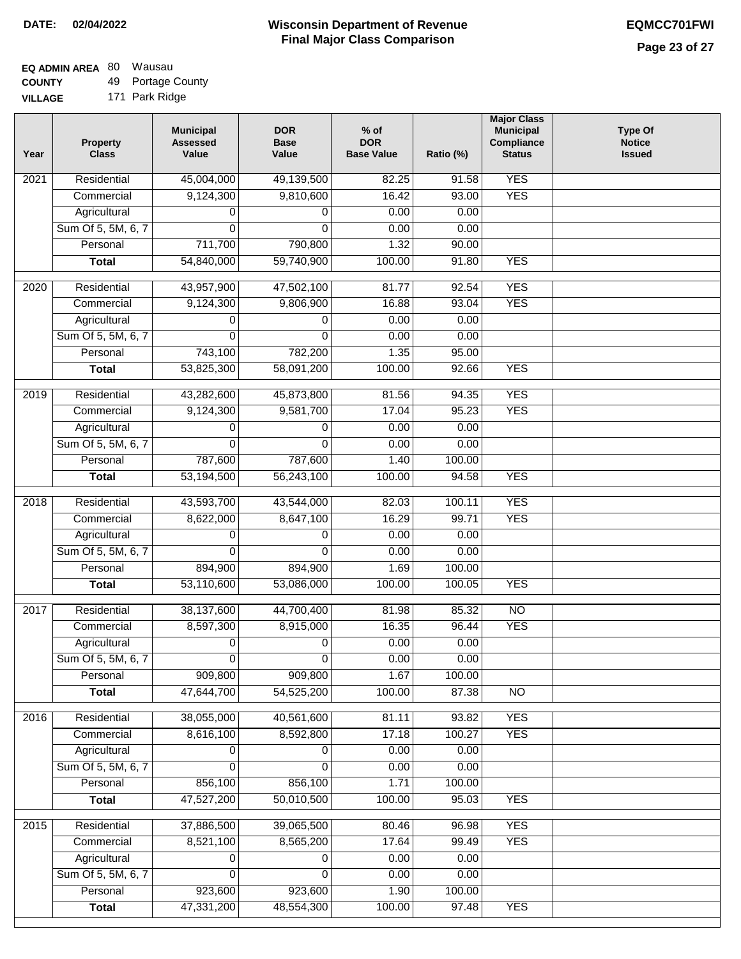# **EQ ADMIN AREA** 80 Wausau

**COUNTY VILLAGE** 49 Portage County 171 Park Ridge

| <b>YES</b><br>Residential<br>45,004,000<br>2021<br>49,139,500<br>82.25<br>91.58<br>9,124,300<br>9,810,600<br>16.42<br>93.00<br><b>YES</b><br>Commercial<br>0.00<br>Agricultural<br>0.00<br>0<br>0<br>Sum Of 5, 5M, 6, 7<br>$\mathbf{0}$<br>0.00<br>$\Omega$<br>0.00<br>711,700<br>Personal<br>790,800<br>1.32<br>90.00<br>54,840,000<br>59,740,900<br>100.00<br>91.80<br><b>YES</b><br><b>Total</b><br><b>YES</b><br>2020<br>Residential<br>43,957,900<br>47,502,100<br>81.77<br>92.54<br>9,124,300<br><b>YES</b><br>Commercial<br>9,806,900<br>16.88<br>93.04<br>0.00<br>0.00<br>Agricultural<br>0<br>0<br>Sum Of 5, 5M, 6, 7<br>0.00<br>0.00<br>$\Omega$<br>0<br>782,200<br>95.00<br>Personal<br>743,100<br>1.35<br><b>YES</b><br>53,825,300<br>58,091,200<br>100.00<br>92.66<br><b>Total</b><br><b>YES</b><br>Residential<br>43,282,600<br>45,873,800<br>81.56<br>94.35<br>2019<br><b>YES</b><br>9,124,300<br>9,581,700<br>17.04<br>95.23<br>Commercial<br>0.00<br>0.00<br>Agricultural<br>0<br>0<br>Sum Of 5, 5M, 6, 7<br>0.00<br>0.00<br>$\Omega$<br>0<br>787,600<br>787,600<br>Personal<br>1.40<br>100.00<br>53,194,500<br>100.00<br><b>YES</b><br>56,243,100<br>94.58<br><b>Total</b><br><b>YES</b><br>Residential<br>43,593,700<br>2018<br>43,544,000<br>82.03<br>100.11<br>Commercial<br>8,622,000<br>8,647,100<br>16.29<br>99.71<br><b>YES</b><br>Agricultural<br>0.00<br>0.00<br>0<br>0<br>Sum Of 5, 5M, 6, 7<br>0.00<br>0.00<br>0<br>0<br>Personal<br>1.69<br>894,900<br>894,900<br>100.00<br>53,110,600<br>53,086,000<br>100.00<br>100.05<br><b>YES</b><br><b>Total</b><br>2017<br>Residential<br>38,137,600<br>44,700,400<br>85.32<br>$\overline{NO}$<br>81.98<br><b>YES</b><br>Commercial<br>8,597,300<br>8,915,000<br>16.35<br>96.44<br>0<br>0.00<br>0.00<br>Agricultural<br>0<br>0.00<br>Sum Of 5, 5M, 6, 7<br>0.00<br>0<br>0<br>909,800<br>909,800<br>1.67<br>Personal<br>100.00<br>47,644,700<br>54,525,200<br>100.00<br>87.38<br>$\overline{NO}$<br><b>Total</b><br>38,055,000<br><b>YES</b><br>2016<br>Residential<br>40,561,600<br>81.11<br>93.82<br>Commercial<br>8,616,100<br>8,592,800<br>17.18<br>100.27<br><b>YES</b><br>Agricultural<br>0.00<br>0.00<br>0<br>0<br>Sum Of 5, 5M, 6, 7<br>0.00<br>0.00<br>$\Omega$<br>$\Omega$<br>856,100<br>Personal<br>856,100<br>1.71<br>100.00<br>47,527,200<br><b>YES</b><br>50,010,500<br>100.00<br>95.03<br><b>Total</b><br>Residential<br><b>YES</b><br>2015<br>37,886,500<br>39,065,500<br>80.46<br>96.98<br>8,521,100<br>17.64<br>8,565,200<br>99.49<br><b>YES</b><br>Commercial | Year | <b>Property</b><br><b>Class</b> | <b>Municipal</b><br><b>Assessed</b><br>Value | <b>DOR</b><br><b>Base</b><br>Value | $%$ of<br><b>DOR</b><br><b>Base Value</b> | Ratio (%) | <b>Major Class</b><br><b>Municipal</b><br>Compliance<br><b>Status</b> | <b>Type Of</b><br><b>Notice</b><br><b>Issued</b> |
|------------------------------------------------------------------------------------------------------------------------------------------------------------------------------------------------------------------------------------------------------------------------------------------------------------------------------------------------------------------------------------------------------------------------------------------------------------------------------------------------------------------------------------------------------------------------------------------------------------------------------------------------------------------------------------------------------------------------------------------------------------------------------------------------------------------------------------------------------------------------------------------------------------------------------------------------------------------------------------------------------------------------------------------------------------------------------------------------------------------------------------------------------------------------------------------------------------------------------------------------------------------------------------------------------------------------------------------------------------------------------------------------------------------------------------------------------------------------------------------------------------------------------------------------------------------------------------------------------------------------------------------------------------------------------------------------------------------------------------------------------------------------------------------------------------------------------------------------------------------------------------------------------------------------------------------------------------------------------------------------------------------------------------------------------------------------------------------------------------------------------------------------------------------------------------------------------------------------------------------------------------------------------------------------------------------------------------------------------------------------------------------------------------------------------------------------------------------------------------------------------------------------------------------------------|------|---------------------------------|----------------------------------------------|------------------------------------|-------------------------------------------|-----------|-----------------------------------------------------------------------|--------------------------------------------------|
|                                                                                                                                                                                                                                                                                                                                                                                                                                                                                                                                                                                                                                                                                                                                                                                                                                                                                                                                                                                                                                                                                                                                                                                                                                                                                                                                                                                                                                                                                                                                                                                                                                                                                                                                                                                                                                                                                                                                                                                                                                                                                                                                                                                                                                                                                                                                                                                                                                                                                                                                                      |      |                                 |                                              |                                    |                                           |           |                                                                       |                                                  |
|                                                                                                                                                                                                                                                                                                                                                                                                                                                                                                                                                                                                                                                                                                                                                                                                                                                                                                                                                                                                                                                                                                                                                                                                                                                                                                                                                                                                                                                                                                                                                                                                                                                                                                                                                                                                                                                                                                                                                                                                                                                                                                                                                                                                                                                                                                                                                                                                                                                                                                                                                      |      |                                 |                                              |                                    |                                           |           |                                                                       |                                                  |
|                                                                                                                                                                                                                                                                                                                                                                                                                                                                                                                                                                                                                                                                                                                                                                                                                                                                                                                                                                                                                                                                                                                                                                                                                                                                                                                                                                                                                                                                                                                                                                                                                                                                                                                                                                                                                                                                                                                                                                                                                                                                                                                                                                                                                                                                                                                                                                                                                                                                                                                                                      |      |                                 |                                              |                                    |                                           |           |                                                                       |                                                  |
|                                                                                                                                                                                                                                                                                                                                                                                                                                                                                                                                                                                                                                                                                                                                                                                                                                                                                                                                                                                                                                                                                                                                                                                                                                                                                                                                                                                                                                                                                                                                                                                                                                                                                                                                                                                                                                                                                                                                                                                                                                                                                                                                                                                                                                                                                                                                                                                                                                                                                                                                                      |      |                                 |                                              |                                    |                                           |           |                                                                       |                                                  |
|                                                                                                                                                                                                                                                                                                                                                                                                                                                                                                                                                                                                                                                                                                                                                                                                                                                                                                                                                                                                                                                                                                                                                                                                                                                                                                                                                                                                                                                                                                                                                                                                                                                                                                                                                                                                                                                                                                                                                                                                                                                                                                                                                                                                                                                                                                                                                                                                                                                                                                                                                      |      |                                 |                                              |                                    |                                           |           |                                                                       |                                                  |
|                                                                                                                                                                                                                                                                                                                                                                                                                                                                                                                                                                                                                                                                                                                                                                                                                                                                                                                                                                                                                                                                                                                                                                                                                                                                                                                                                                                                                                                                                                                                                                                                                                                                                                                                                                                                                                                                                                                                                                                                                                                                                                                                                                                                                                                                                                                                                                                                                                                                                                                                                      |      |                                 |                                              |                                    |                                           |           |                                                                       |                                                  |
|                                                                                                                                                                                                                                                                                                                                                                                                                                                                                                                                                                                                                                                                                                                                                                                                                                                                                                                                                                                                                                                                                                                                                                                                                                                                                                                                                                                                                                                                                                                                                                                                                                                                                                                                                                                                                                                                                                                                                                                                                                                                                                                                                                                                                                                                                                                                                                                                                                                                                                                                                      |      |                                 |                                              |                                    |                                           |           |                                                                       |                                                  |
|                                                                                                                                                                                                                                                                                                                                                                                                                                                                                                                                                                                                                                                                                                                                                                                                                                                                                                                                                                                                                                                                                                                                                                                                                                                                                                                                                                                                                                                                                                                                                                                                                                                                                                                                                                                                                                                                                                                                                                                                                                                                                                                                                                                                                                                                                                                                                                                                                                                                                                                                                      |      |                                 |                                              |                                    |                                           |           |                                                                       |                                                  |
|                                                                                                                                                                                                                                                                                                                                                                                                                                                                                                                                                                                                                                                                                                                                                                                                                                                                                                                                                                                                                                                                                                                                                                                                                                                                                                                                                                                                                                                                                                                                                                                                                                                                                                                                                                                                                                                                                                                                                                                                                                                                                                                                                                                                                                                                                                                                                                                                                                                                                                                                                      |      |                                 |                                              |                                    |                                           |           |                                                                       |                                                  |
|                                                                                                                                                                                                                                                                                                                                                                                                                                                                                                                                                                                                                                                                                                                                                                                                                                                                                                                                                                                                                                                                                                                                                                                                                                                                                                                                                                                                                                                                                                                                                                                                                                                                                                                                                                                                                                                                                                                                                                                                                                                                                                                                                                                                                                                                                                                                                                                                                                                                                                                                                      |      |                                 |                                              |                                    |                                           |           |                                                                       |                                                  |
|                                                                                                                                                                                                                                                                                                                                                                                                                                                                                                                                                                                                                                                                                                                                                                                                                                                                                                                                                                                                                                                                                                                                                                                                                                                                                                                                                                                                                                                                                                                                                                                                                                                                                                                                                                                                                                                                                                                                                                                                                                                                                                                                                                                                                                                                                                                                                                                                                                                                                                                                                      |      |                                 |                                              |                                    |                                           |           |                                                                       |                                                  |
|                                                                                                                                                                                                                                                                                                                                                                                                                                                                                                                                                                                                                                                                                                                                                                                                                                                                                                                                                                                                                                                                                                                                                                                                                                                                                                                                                                                                                                                                                                                                                                                                                                                                                                                                                                                                                                                                                                                                                                                                                                                                                                                                                                                                                                                                                                                                                                                                                                                                                                                                                      |      |                                 |                                              |                                    |                                           |           |                                                                       |                                                  |
|                                                                                                                                                                                                                                                                                                                                                                                                                                                                                                                                                                                                                                                                                                                                                                                                                                                                                                                                                                                                                                                                                                                                                                                                                                                                                                                                                                                                                                                                                                                                                                                                                                                                                                                                                                                                                                                                                                                                                                                                                                                                                                                                                                                                                                                                                                                                                                                                                                                                                                                                                      |      |                                 |                                              |                                    |                                           |           |                                                                       |                                                  |
|                                                                                                                                                                                                                                                                                                                                                                                                                                                                                                                                                                                                                                                                                                                                                                                                                                                                                                                                                                                                                                                                                                                                                                                                                                                                                                                                                                                                                                                                                                                                                                                                                                                                                                                                                                                                                                                                                                                                                                                                                                                                                                                                                                                                                                                                                                                                                                                                                                                                                                                                                      |      |                                 |                                              |                                    |                                           |           |                                                                       |                                                  |
|                                                                                                                                                                                                                                                                                                                                                                                                                                                                                                                                                                                                                                                                                                                                                                                                                                                                                                                                                                                                                                                                                                                                                                                                                                                                                                                                                                                                                                                                                                                                                                                                                                                                                                                                                                                                                                                                                                                                                                                                                                                                                                                                                                                                                                                                                                                                                                                                                                                                                                                                                      |      |                                 |                                              |                                    |                                           |           |                                                                       |                                                  |
|                                                                                                                                                                                                                                                                                                                                                                                                                                                                                                                                                                                                                                                                                                                                                                                                                                                                                                                                                                                                                                                                                                                                                                                                                                                                                                                                                                                                                                                                                                                                                                                                                                                                                                                                                                                                                                                                                                                                                                                                                                                                                                                                                                                                                                                                                                                                                                                                                                                                                                                                                      |      |                                 |                                              |                                    |                                           |           |                                                                       |                                                  |
|                                                                                                                                                                                                                                                                                                                                                                                                                                                                                                                                                                                                                                                                                                                                                                                                                                                                                                                                                                                                                                                                                                                                                                                                                                                                                                                                                                                                                                                                                                                                                                                                                                                                                                                                                                                                                                                                                                                                                                                                                                                                                                                                                                                                                                                                                                                                                                                                                                                                                                                                                      |      |                                 |                                              |                                    |                                           |           |                                                                       |                                                  |
|                                                                                                                                                                                                                                                                                                                                                                                                                                                                                                                                                                                                                                                                                                                                                                                                                                                                                                                                                                                                                                                                                                                                                                                                                                                                                                                                                                                                                                                                                                                                                                                                                                                                                                                                                                                                                                                                                                                                                                                                                                                                                                                                                                                                                                                                                                                                                                                                                                                                                                                                                      |      |                                 |                                              |                                    |                                           |           |                                                                       |                                                  |
|                                                                                                                                                                                                                                                                                                                                                                                                                                                                                                                                                                                                                                                                                                                                                                                                                                                                                                                                                                                                                                                                                                                                                                                                                                                                                                                                                                                                                                                                                                                                                                                                                                                                                                                                                                                                                                                                                                                                                                                                                                                                                                                                                                                                                                                                                                                                                                                                                                                                                                                                                      |      |                                 |                                              |                                    |                                           |           |                                                                       |                                                  |
|                                                                                                                                                                                                                                                                                                                                                                                                                                                                                                                                                                                                                                                                                                                                                                                                                                                                                                                                                                                                                                                                                                                                                                                                                                                                                                                                                                                                                                                                                                                                                                                                                                                                                                                                                                                                                                                                                                                                                                                                                                                                                                                                                                                                                                                                                                                                                                                                                                                                                                                                                      |      |                                 |                                              |                                    |                                           |           |                                                                       |                                                  |
|                                                                                                                                                                                                                                                                                                                                                                                                                                                                                                                                                                                                                                                                                                                                                                                                                                                                                                                                                                                                                                                                                                                                                                                                                                                                                                                                                                                                                                                                                                                                                                                                                                                                                                                                                                                                                                                                                                                                                                                                                                                                                                                                                                                                                                                                                                                                                                                                                                                                                                                                                      |      |                                 |                                              |                                    |                                           |           |                                                                       |                                                  |
|                                                                                                                                                                                                                                                                                                                                                                                                                                                                                                                                                                                                                                                                                                                                                                                                                                                                                                                                                                                                                                                                                                                                                                                                                                                                                                                                                                                                                                                                                                                                                                                                                                                                                                                                                                                                                                                                                                                                                                                                                                                                                                                                                                                                                                                                                                                                                                                                                                                                                                                                                      |      |                                 |                                              |                                    |                                           |           |                                                                       |                                                  |
|                                                                                                                                                                                                                                                                                                                                                                                                                                                                                                                                                                                                                                                                                                                                                                                                                                                                                                                                                                                                                                                                                                                                                                                                                                                                                                                                                                                                                                                                                                                                                                                                                                                                                                                                                                                                                                                                                                                                                                                                                                                                                                                                                                                                                                                                                                                                                                                                                                                                                                                                                      |      |                                 |                                              |                                    |                                           |           |                                                                       |                                                  |
|                                                                                                                                                                                                                                                                                                                                                                                                                                                                                                                                                                                                                                                                                                                                                                                                                                                                                                                                                                                                                                                                                                                                                                                                                                                                                                                                                                                                                                                                                                                                                                                                                                                                                                                                                                                                                                                                                                                                                                                                                                                                                                                                                                                                                                                                                                                                                                                                                                                                                                                                                      |      |                                 |                                              |                                    |                                           |           |                                                                       |                                                  |
|                                                                                                                                                                                                                                                                                                                                                                                                                                                                                                                                                                                                                                                                                                                                                                                                                                                                                                                                                                                                                                                                                                                                                                                                                                                                                                                                                                                                                                                                                                                                                                                                                                                                                                                                                                                                                                                                                                                                                                                                                                                                                                                                                                                                                                                                                                                                                                                                                                                                                                                                                      |      |                                 |                                              |                                    |                                           |           |                                                                       |                                                  |
|                                                                                                                                                                                                                                                                                                                                                                                                                                                                                                                                                                                                                                                                                                                                                                                                                                                                                                                                                                                                                                                                                                                                                                                                                                                                                                                                                                                                                                                                                                                                                                                                                                                                                                                                                                                                                                                                                                                                                                                                                                                                                                                                                                                                                                                                                                                                                                                                                                                                                                                                                      |      |                                 |                                              |                                    |                                           |           |                                                                       |                                                  |
|                                                                                                                                                                                                                                                                                                                                                                                                                                                                                                                                                                                                                                                                                                                                                                                                                                                                                                                                                                                                                                                                                                                                                                                                                                                                                                                                                                                                                                                                                                                                                                                                                                                                                                                                                                                                                                                                                                                                                                                                                                                                                                                                                                                                                                                                                                                                                                                                                                                                                                                                                      |      |                                 |                                              |                                    |                                           |           |                                                                       |                                                  |
|                                                                                                                                                                                                                                                                                                                                                                                                                                                                                                                                                                                                                                                                                                                                                                                                                                                                                                                                                                                                                                                                                                                                                                                                                                                                                                                                                                                                                                                                                                                                                                                                                                                                                                                                                                                                                                                                                                                                                                                                                                                                                                                                                                                                                                                                                                                                                                                                                                                                                                                                                      |      |                                 |                                              |                                    |                                           |           |                                                                       |                                                  |
|                                                                                                                                                                                                                                                                                                                                                                                                                                                                                                                                                                                                                                                                                                                                                                                                                                                                                                                                                                                                                                                                                                                                                                                                                                                                                                                                                                                                                                                                                                                                                                                                                                                                                                                                                                                                                                                                                                                                                                                                                                                                                                                                                                                                                                                                                                                                                                                                                                                                                                                                                      |      |                                 |                                              |                                    |                                           |           |                                                                       |                                                  |
|                                                                                                                                                                                                                                                                                                                                                                                                                                                                                                                                                                                                                                                                                                                                                                                                                                                                                                                                                                                                                                                                                                                                                                                                                                                                                                                                                                                                                                                                                                                                                                                                                                                                                                                                                                                                                                                                                                                                                                                                                                                                                                                                                                                                                                                                                                                                                                                                                                                                                                                                                      |      |                                 |                                              |                                    |                                           |           |                                                                       |                                                  |
|                                                                                                                                                                                                                                                                                                                                                                                                                                                                                                                                                                                                                                                                                                                                                                                                                                                                                                                                                                                                                                                                                                                                                                                                                                                                                                                                                                                                                                                                                                                                                                                                                                                                                                                                                                                                                                                                                                                                                                                                                                                                                                                                                                                                                                                                                                                                                                                                                                                                                                                                                      |      |                                 |                                              |                                    |                                           |           |                                                                       |                                                  |
|                                                                                                                                                                                                                                                                                                                                                                                                                                                                                                                                                                                                                                                                                                                                                                                                                                                                                                                                                                                                                                                                                                                                                                                                                                                                                                                                                                                                                                                                                                                                                                                                                                                                                                                                                                                                                                                                                                                                                                                                                                                                                                                                                                                                                                                                                                                                                                                                                                                                                                                                                      |      |                                 |                                              |                                    |                                           |           |                                                                       |                                                  |
|                                                                                                                                                                                                                                                                                                                                                                                                                                                                                                                                                                                                                                                                                                                                                                                                                                                                                                                                                                                                                                                                                                                                                                                                                                                                                                                                                                                                                                                                                                                                                                                                                                                                                                                                                                                                                                                                                                                                                                                                                                                                                                                                                                                                                                                                                                                                                                                                                                                                                                                                                      |      |                                 |                                              |                                    |                                           |           |                                                                       |                                                  |
|                                                                                                                                                                                                                                                                                                                                                                                                                                                                                                                                                                                                                                                                                                                                                                                                                                                                                                                                                                                                                                                                                                                                                                                                                                                                                                                                                                                                                                                                                                                                                                                                                                                                                                                                                                                                                                                                                                                                                                                                                                                                                                                                                                                                                                                                                                                                                                                                                                                                                                                                                      |      |                                 |                                              |                                    |                                           |           |                                                                       |                                                  |
|                                                                                                                                                                                                                                                                                                                                                                                                                                                                                                                                                                                                                                                                                                                                                                                                                                                                                                                                                                                                                                                                                                                                                                                                                                                                                                                                                                                                                                                                                                                                                                                                                                                                                                                                                                                                                                                                                                                                                                                                                                                                                                                                                                                                                                                                                                                                                                                                                                                                                                                                                      |      |                                 |                                              |                                    |                                           |           |                                                                       |                                                  |
|                                                                                                                                                                                                                                                                                                                                                                                                                                                                                                                                                                                                                                                                                                                                                                                                                                                                                                                                                                                                                                                                                                                                                                                                                                                                                                                                                                                                                                                                                                                                                                                                                                                                                                                                                                                                                                                                                                                                                                                                                                                                                                                                                                                                                                                                                                                                                                                                                                                                                                                                                      |      |                                 |                                              |                                    |                                           |           |                                                                       |                                                  |
|                                                                                                                                                                                                                                                                                                                                                                                                                                                                                                                                                                                                                                                                                                                                                                                                                                                                                                                                                                                                                                                                                                                                                                                                                                                                                                                                                                                                                                                                                                                                                                                                                                                                                                                                                                                                                                                                                                                                                                                                                                                                                                                                                                                                                                                                                                                                                                                                                                                                                                                                                      |      |                                 |                                              |                                    |                                           |           |                                                                       |                                                  |
|                                                                                                                                                                                                                                                                                                                                                                                                                                                                                                                                                                                                                                                                                                                                                                                                                                                                                                                                                                                                                                                                                                                                                                                                                                                                                                                                                                                                                                                                                                                                                                                                                                                                                                                                                                                                                                                                                                                                                                                                                                                                                                                                                                                                                                                                                                                                                                                                                                                                                                                                                      |      |                                 |                                              |                                    |                                           |           |                                                                       |                                                  |
|                                                                                                                                                                                                                                                                                                                                                                                                                                                                                                                                                                                                                                                                                                                                                                                                                                                                                                                                                                                                                                                                                                                                                                                                                                                                                                                                                                                                                                                                                                                                                                                                                                                                                                                                                                                                                                                                                                                                                                                                                                                                                                                                                                                                                                                                                                                                                                                                                                                                                                                                                      |      | Agricultural                    | 0                                            | 0                                  | 0.00                                      | 0.00      |                                                                       |                                                  |
| Sum Of 5, 5M, 6, 7<br>0.00<br>0.00<br>0<br>0                                                                                                                                                                                                                                                                                                                                                                                                                                                                                                                                                                                                                                                                                                                                                                                                                                                                                                                                                                                                                                                                                                                                                                                                                                                                                                                                                                                                                                                                                                                                                                                                                                                                                                                                                                                                                                                                                                                                                                                                                                                                                                                                                                                                                                                                                                                                                                                                                                                                                                         |      |                                 |                                              |                                    |                                           |           |                                                                       |                                                  |
| 923,600<br>923,600<br>100.00<br>Personal<br>1.90                                                                                                                                                                                                                                                                                                                                                                                                                                                                                                                                                                                                                                                                                                                                                                                                                                                                                                                                                                                                                                                                                                                                                                                                                                                                                                                                                                                                                                                                                                                                                                                                                                                                                                                                                                                                                                                                                                                                                                                                                                                                                                                                                                                                                                                                                                                                                                                                                                                                                                     |      |                                 |                                              |                                    |                                           |           |                                                                       |                                                  |
| 47,331,200<br>48,554,300<br>100.00<br>97.48<br><b>YES</b><br><b>Total</b>                                                                                                                                                                                                                                                                                                                                                                                                                                                                                                                                                                                                                                                                                                                                                                                                                                                                                                                                                                                                                                                                                                                                                                                                                                                                                                                                                                                                                                                                                                                                                                                                                                                                                                                                                                                                                                                                                                                                                                                                                                                                                                                                                                                                                                                                                                                                                                                                                                                                            |      |                                 |                                              |                                    |                                           |           |                                                                       |                                                  |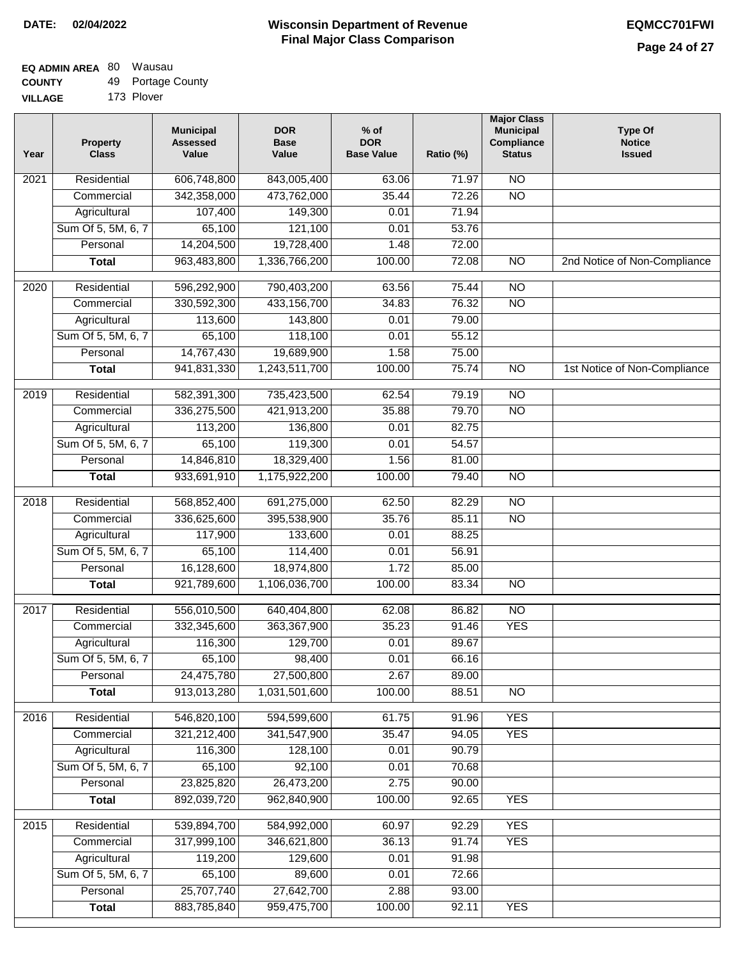#### **Wisconsin Department of Revenue Final Major Class Comparison DATE: 02/04/2022 EQMCC701FWI**

٦

## **EQ ADMIN AREA** 80 Wausau **COUNTY**

| <b>COUNTY</b>  | 49 Portage County |
|----------------|-------------------|
| <b>VILLAGE</b> | 173 Plover        |

| Year | <b>Property</b><br><b>Class</b> | <b>Municipal</b><br><b>Assessed</b><br>Value | <b>DOR</b><br><b>Base</b><br>Value | $%$ of<br><b>DOR</b><br><b>Base Value</b> | Ratio (%) | <b>Major Class</b><br><b>Municipal</b><br>Compliance<br><b>Status</b> | <b>Type Of</b><br><b>Notice</b><br><b>Issued</b> |
|------|---------------------------------|----------------------------------------------|------------------------------------|-------------------------------------------|-----------|-----------------------------------------------------------------------|--------------------------------------------------|
| 2021 | Residential                     | 606,748,800                                  | 843,005,400                        | 63.06                                     | 71.97     | <b>NO</b>                                                             |                                                  |
|      | Commercial                      | 342,358,000                                  | 473,762,000                        | 35.44                                     | 72.26     | $\overline{NO}$                                                       |                                                  |
|      | Agricultural                    | 107,400                                      | 149,300                            | 0.01                                      | 71.94     |                                                                       |                                                  |
|      | Sum Of 5, 5M, 6, 7              | 65,100                                       | 121,100                            | 0.01                                      | 53.76     |                                                                       |                                                  |
|      | Personal                        | 14,204,500                                   | 19,728,400                         | 1.48                                      | 72.00     |                                                                       |                                                  |
|      | <b>Total</b>                    | 963,483,800                                  | 1,336,766,200                      | 100.00                                    | 72.08     | $\overline{NO}$                                                       | 2nd Notice of Non-Compliance                     |
| 2020 | Residential                     | 596,292,900                                  | 790,403,200                        | 63.56                                     | 75.44     | $\overline{NO}$                                                       |                                                  |
|      | Commercial                      | 330,592,300                                  | 433,156,700                        | 34.83                                     | 76.32     | $\overline{NO}$                                                       |                                                  |
|      | Agricultural                    | 113,600                                      | 143,800                            | 0.01                                      | 79.00     |                                                                       |                                                  |
|      | Sum Of 5, 5M, 6, 7              | 65,100                                       | 118,100                            | 0.01                                      | 55.12     |                                                                       |                                                  |
|      | Personal                        | 14,767,430                                   | 19,689,900                         | 1.58                                      | 75.00     |                                                                       |                                                  |
|      | <b>Total</b>                    | 941,831,330                                  | 1,243,511,700                      | 100.00                                    | 75.74     | $\overline{NO}$                                                       | 1st Notice of Non-Compliance                     |
|      |                                 |                                              |                                    |                                           |           |                                                                       |                                                  |
| 2019 | Residential                     | 582,391,300                                  | 735,423,500                        | 62.54                                     | 79.19     | $\overline{NO}$                                                       |                                                  |
|      | Commercial                      | 336,275,500                                  | 421,913,200                        | 35.88                                     | 79.70     | $\overline{NO}$                                                       |                                                  |
|      | Agricultural                    | 113,200                                      | 136,800                            | 0.01                                      | 82.75     |                                                                       |                                                  |
|      | Sum Of 5, 5M, 6, 7              | 65,100                                       | 119,300                            | 0.01                                      | 54.57     |                                                                       |                                                  |
|      | Personal                        | 14,846,810                                   | 18,329,400                         | 1.56                                      | 81.00     |                                                                       |                                                  |
|      | <b>Total</b>                    | 933,691,910                                  | 1,175,922,200                      | 100.00                                    | 79.40     | $\overline{NO}$                                                       |                                                  |
| 2018 | Residential                     | 568,852,400                                  | 691,275,000                        | 62.50                                     | 82.29     | $\overline{NO}$                                                       |                                                  |
|      | Commercial                      | 336,625,600                                  | 395,538,900                        | 35.76                                     | 85.11     | $\overline{NO}$                                                       |                                                  |
|      | Agricultural                    | 117,900                                      | 133,600                            | 0.01                                      | 88.25     |                                                                       |                                                  |
|      | Sum Of 5, 5M, 6, 7              | 65,100                                       | 114,400                            | 0.01                                      | 56.91     |                                                                       |                                                  |
|      | Personal                        | 16,128,600                                   | 18,974,800                         | 1.72                                      | 85.00     |                                                                       |                                                  |
|      | <b>Total</b>                    | 921,789,600                                  | 1,106,036,700                      | 100.00                                    | 83.34     | $\overline{NO}$                                                       |                                                  |
| 2017 | Residential                     | 556,010,500                                  | 640,404,800                        | 62.08                                     | 86.82     | $\overline{NO}$                                                       |                                                  |
|      | Commercial                      | 332,345,600                                  | 363, 367, 900                      | 35.23                                     | 91.46     | <b>YES</b>                                                            |                                                  |
|      | Agricultural                    | 116,300                                      | 129,700                            | 0.01                                      | 89.67     |                                                                       |                                                  |
|      | Sum Of 5, 5M, 6, 7              | 65,100                                       | 98,400                             | 0.01                                      | 66.16     |                                                                       |                                                  |
|      | Personal                        | 24,475,780                                   | 27,500,800                         | 2.67                                      | 89.00     |                                                                       |                                                  |
|      | <b>Total</b>                    | 913,013,280                                  | 1,031,501,600                      | 100.00                                    | 88.51     | $\overline{NO}$                                                       |                                                  |
| 2016 | Residential                     | 546,820,100                                  | 594,599,600                        | 61.75                                     | 91.96     | <b>YES</b>                                                            |                                                  |
|      | Commercial                      | 321,212,400                                  | 341,547,900                        | 35.47                                     | 94.05     | <b>YES</b>                                                            |                                                  |
|      | Agricultural                    | 116,300                                      | 128,100                            | 0.01                                      | 90.79     |                                                                       |                                                  |
|      | Sum Of 5, 5M, 6, 7              | 65,100                                       | 92,100                             | 0.01                                      | 70.68     |                                                                       |                                                  |
|      | Personal                        | 23,825,820                                   | 26,473,200                         | 2.75                                      | 90.00     |                                                                       |                                                  |
|      | <b>Total</b>                    | 892,039,720                                  | 962,840,900                        | 100.00                                    | 92.65     | <b>YES</b>                                                            |                                                  |
|      |                                 |                                              |                                    |                                           |           |                                                                       |                                                  |
| 2015 | Residential                     | 539,894,700                                  | 584,992,000                        | 60.97                                     | 92.29     | <b>YES</b>                                                            |                                                  |
|      | Commercial                      | 317,999,100                                  | 346,621,800                        | 36.13                                     | 91.74     | <b>YES</b>                                                            |                                                  |
|      | Agricultural                    | 119,200                                      | 129,600                            | 0.01                                      | 91.98     |                                                                       |                                                  |
|      | Sum Of 5, 5M, 6, 7              | 65,100                                       | 89,600                             | 0.01                                      | 72.66     |                                                                       |                                                  |
|      | Personal                        | 25,707,740                                   | 27,642,700                         | 2.88                                      | 93.00     |                                                                       |                                                  |
|      | <b>Total</b>                    | 883,785,840                                  | 959,475,700                        | 100.00                                    | 92.11     | <b>YES</b>                                                            |                                                  |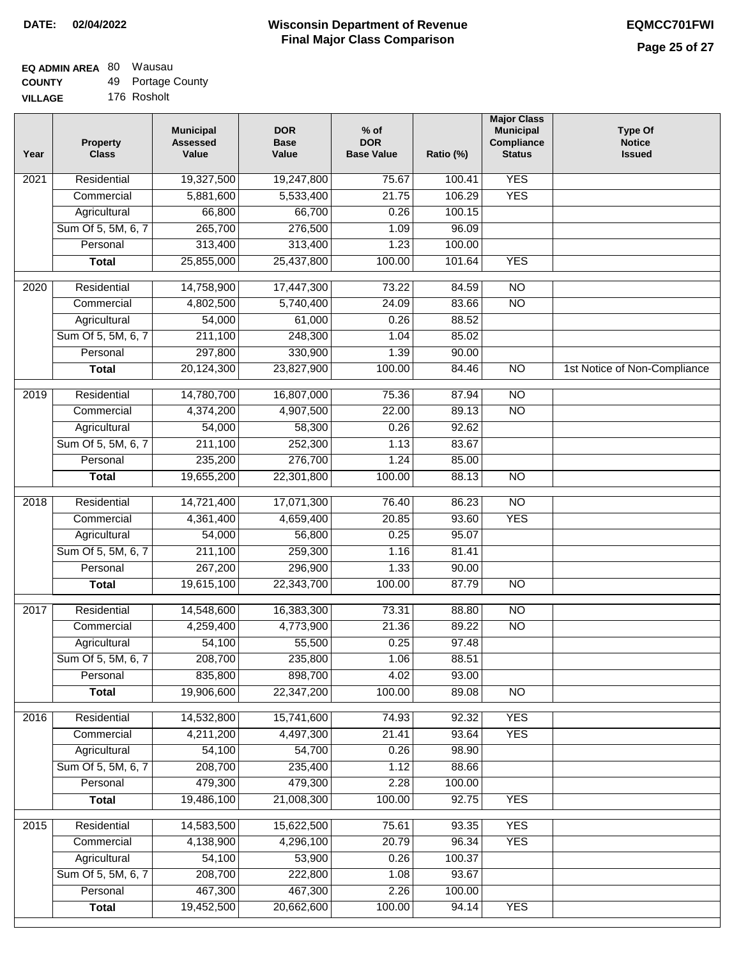٦

#### **EQ ADMIN AREA** 80 Wausau **COUNTY** 49 Portage County

| <b>UUUNII</b>  | ᠇◡ | n ontage Oou |
|----------------|----|--------------|
| <b>VILLAGE</b> |    | 176 Rosholt  |

| Year | <b>Property</b><br><b>Class</b> | <b>Municipal</b><br><b>Assessed</b><br>Value | <b>DOR</b><br><b>Base</b><br>Value | $%$ of<br><b>DOR</b><br><b>Base Value</b> | Ratio (%) | <b>Major Class</b><br><b>Municipal</b><br>Compliance<br><b>Status</b> | <b>Type Of</b><br><b>Notice</b><br><b>Issued</b> |
|------|---------------------------------|----------------------------------------------|------------------------------------|-------------------------------------------|-----------|-----------------------------------------------------------------------|--------------------------------------------------|
| 2021 | Residential                     | 19,327,500                                   | 19,247,800                         | 75.67                                     | 100.41    | <b>YES</b>                                                            |                                                  |
|      | Commercial                      | 5,881,600                                    | 5,533,400                          | 21.75                                     | 106.29    | <b>YES</b>                                                            |                                                  |
|      | Agricultural                    | 66,800                                       | 66,700                             | 0.26                                      | 100.15    |                                                                       |                                                  |
|      | Sum Of 5, 5M, 6, 7              | 265,700                                      | 276,500                            | 1.09                                      | 96.09     |                                                                       |                                                  |
|      | Personal                        | 313,400                                      | 313,400                            | 1.23                                      | 100.00    |                                                                       |                                                  |
|      | <b>Total</b>                    | 25,855,000                                   | 25,437,800                         | 100.00                                    | 101.64    | <b>YES</b>                                                            |                                                  |
| 2020 | Residential                     | 14,758,900                                   | 17,447,300                         | 73.22                                     | 84.59     | NO                                                                    |                                                  |
|      | Commercial                      | 4,802,500                                    | 5,740,400                          | 24.09                                     | 83.66     | $\overline{NO}$                                                       |                                                  |
|      | Agricultural                    | 54,000                                       | 61,000                             | 0.26                                      | 88.52     |                                                                       |                                                  |
|      | Sum Of 5, 5M, 6, 7              | 211,100                                      | 248,300                            | 1.04                                      | 85.02     |                                                                       |                                                  |
|      | Personal                        | 297,800                                      | 330,900                            | 1.39                                      | 90.00     |                                                                       |                                                  |
|      | <b>Total</b>                    | 20,124,300                                   | 23,827,900                         | 100.00                                    | 84.46     | $\overline{NO}$                                                       | 1st Notice of Non-Compliance                     |
| 2019 | Residential                     | 14,780,700                                   | 16,807,000                         | 75.36                                     | 87.94     | $\overline{NO}$                                                       |                                                  |
|      | Commercial                      | 4,374,200                                    | 4,907,500                          | 22.00                                     | 89.13     | $\overline{NO}$                                                       |                                                  |
|      | Agricultural                    | 54,000                                       | 58,300                             | 0.26                                      | 92.62     |                                                                       |                                                  |
|      | Sum Of 5, 5M, 6, 7              | 211,100                                      | 252,300                            | 1.13                                      | 83.67     |                                                                       |                                                  |
|      | Personal                        | 235,200                                      | 276,700                            | 1.24                                      | 85.00     |                                                                       |                                                  |
|      | <b>Total</b>                    | 19,655,200                                   | 22,301,800                         | 100.00                                    | 88.13     | <b>NO</b>                                                             |                                                  |
| 2018 | Residential                     | 14,721,400                                   | 17,071,300                         | 76.40                                     | 86.23     | $\overline{NO}$                                                       |                                                  |
|      | Commercial                      | 4,361,400                                    | 4,659,400                          | 20.85                                     | 93.60     | <b>YES</b>                                                            |                                                  |
|      | Agricultural                    | 54,000                                       | 56,800                             | 0.25                                      | 95.07     |                                                                       |                                                  |
|      | Sum Of 5, 5M, 6, 7              | 211,100                                      | 259,300                            | 1.16                                      | 81.41     |                                                                       |                                                  |
|      | Personal                        | 267,200                                      | 296,900                            | 1.33                                      | 90.00     |                                                                       |                                                  |
|      | <b>Total</b>                    | 19,615,100                                   | 22,343,700                         | 100.00                                    | 87.79     | <b>NO</b>                                                             |                                                  |
| 2017 | Residential                     | 14,548,600                                   | 16,383,300                         | 73.31                                     | 88.80     | $\overline{NO}$                                                       |                                                  |
|      | Commercial                      | 4,259,400                                    | 4,773,900                          | 21.36                                     | 89.22     | N <sub>O</sub>                                                        |                                                  |
|      | Agricultural                    | $\overline{54,100}$                          | 55,500                             | 0.25                                      | 97.48     |                                                                       |                                                  |
|      | Sum Of 5, 5M, 6, 7              | 208,700                                      | 235,800                            | 1.06                                      | 88.51     |                                                                       |                                                  |
|      | Personal                        | 835,800                                      | 898,700                            | 4.02                                      | 93.00     |                                                                       |                                                  |
|      | <b>Total</b>                    | 19,906,600                                   | 22,347,200                         | 100.00                                    | 89.08     | $\overline{NO}$                                                       |                                                  |
|      |                                 |                                              |                                    |                                           |           |                                                                       |                                                  |
| 2016 | Residential                     | 14,532,800                                   | 15,741,600                         | 74.93                                     | 92.32     | <b>YES</b>                                                            |                                                  |
|      | Commercial                      | 4,211,200                                    | 4,497,300                          | 21.41                                     | 93.64     | <b>YES</b>                                                            |                                                  |
|      | Agricultural                    | 54,100                                       | 54,700                             | 0.26                                      | 98.90     |                                                                       |                                                  |
|      | Sum Of 5, 5M, 6, 7              | 208,700                                      | 235,400                            | 1.12                                      | 88.66     |                                                                       |                                                  |
|      | Personal                        | 479,300                                      | 479,300                            | 2.28                                      | 100.00    |                                                                       |                                                  |
|      | <b>Total</b>                    | 19,486,100                                   | 21,008,300                         | 100.00                                    | 92.75     | <b>YES</b>                                                            |                                                  |
| 2015 | Residential                     | 14,583,500                                   | 15,622,500                         | 75.61                                     | 93.35     | <b>YES</b>                                                            |                                                  |
|      | Commercial                      | 4,138,900                                    | 4,296,100                          | 20.79                                     | 96.34     | <b>YES</b>                                                            |                                                  |
|      | Agricultural                    | 54,100                                       | 53,900                             | 0.26                                      | 100.37    |                                                                       |                                                  |
|      | Sum Of 5, 5M, 6, 7              | 208,700                                      | 222,800                            | 1.08                                      | 93.67     |                                                                       |                                                  |
|      | Personal                        | 467,300                                      | 467,300                            | 2.26                                      | 100.00    |                                                                       |                                                  |
|      | <b>Total</b>                    | 19,452,500                                   | 20,662,600                         | 100.00                                    | 94.14     | <b>YES</b>                                                            |                                                  |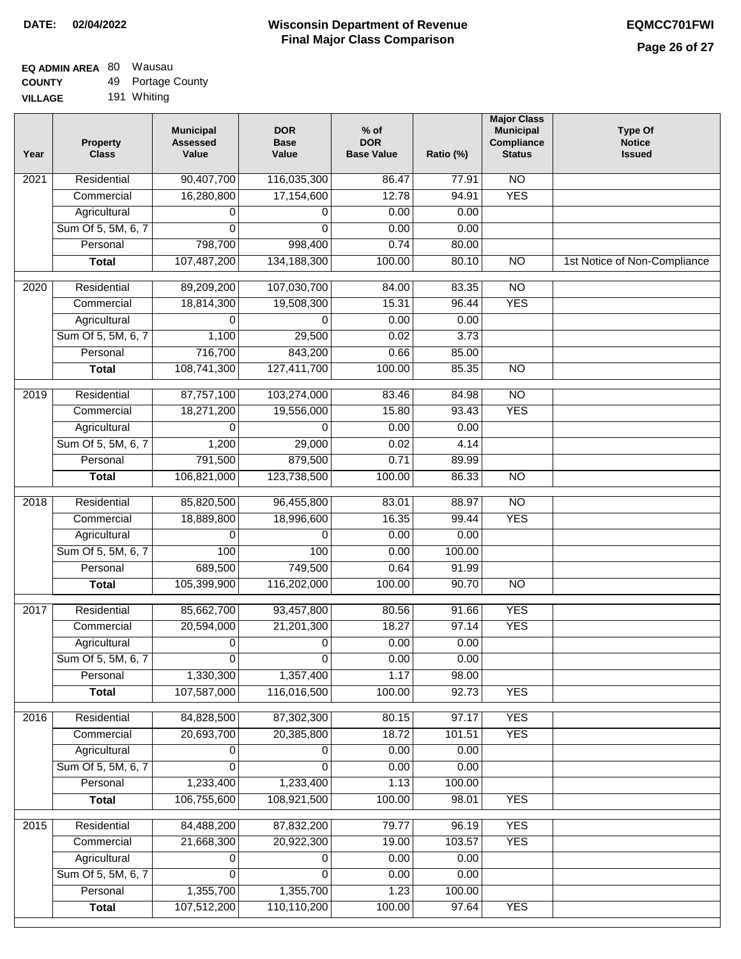### **EQ ADMIN AREA** 80 Wausau **COUNTY** 49 Portage County

**VILLAGE** 191 Whiting

| Year | <b>Property</b><br><b>Class</b> | <b>Municipal</b><br><b>Assessed</b><br>Value | <b>DOR</b><br><b>Base</b><br>Value | $%$ of<br><b>DOR</b><br><b>Base Value</b> | Ratio (%) | <b>Major Class</b><br><b>Municipal</b><br>Compliance<br><b>Status</b> | <b>Type Of</b><br><b>Notice</b><br><b>Issued</b> |
|------|---------------------------------|----------------------------------------------|------------------------------------|-------------------------------------------|-----------|-----------------------------------------------------------------------|--------------------------------------------------|
| 2021 | Residential                     | 90,407,700                                   | 116,035,300                        | 86.47                                     | 77.91     | N <sub>O</sub>                                                        |                                                  |
|      | Commercial                      | 16,280,800                                   | 17,154,600                         | 12.78                                     | 94.91     | <b>YES</b>                                                            |                                                  |
|      | Agricultural                    | 0                                            | 0                                  | 0.00                                      | 0.00      |                                                                       |                                                  |
|      | Sum Of 5, 5M, 6, 7              | $\Omega$                                     | $\Omega$                           | 0.00                                      | 0.00      |                                                                       |                                                  |
|      | Personal                        | 798,700                                      | 998,400                            | 0.74                                      | 80.00     |                                                                       |                                                  |
|      | <b>Total</b>                    | 107,487,200                                  | 134, 188, 300                      | 100.00                                    | 80.10     | $\overline{NO}$                                                       | 1st Notice of Non-Compliance                     |
| 2020 | Residential                     | 89,209,200                                   | 107,030,700                        | 84.00                                     | 83.35     | <b>NO</b>                                                             |                                                  |
|      | Commercial                      | 18,814,300                                   | 19,508,300                         | 15.31                                     | 96.44     | <b>YES</b>                                                            |                                                  |
|      | Agricultural                    | 0                                            | 0                                  | 0.00                                      | 0.00      |                                                                       |                                                  |
|      | Sum Of 5, 5M, 6, 7              | 1,100                                        | 29,500                             | 0.02                                      | 3.73      |                                                                       |                                                  |
|      | Personal                        | 716,700                                      | 843,200                            | 0.66                                      | 85.00     |                                                                       |                                                  |
|      | <b>Total</b>                    | 108,741,300                                  | 127,411,700                        | 100.00                                    | 85.35     | <b>NO</b>                                                             |                                                  |
| 2019 | Residential                     | 87,757,100                                   | 103,274,000                        | 83.46                                     | 84.98     | $\overline{NO}$                                                       |                                                  |
|      | Commercial                      | 18,271,200                                   | 19,556,000                         | 15.80                                     | 93.43     | <b>YES</b>                                                            |                                                  |
|      | Agricultural                    | 0                                            | 0                                  | 0.00                                      | 0.00      |                                                                       |                                                  |
|      | Sum Of 5, 5M, 6, 7              | 1,200                                        | 29,000                             | 0.02                                      | 4.14      |                                                                       |                                                  |
|      | Personal                        | 791,500                                      | 879,500                            | 0.71                                      | 89.99     |                                                                       |                                                  |
|      | <b>Total</b>                    | 106,821,000                                  | 123,738,500                        | 100.00                                    | 86.33     | $\overline{NO}$                                                       |                                                  |
| 2018 | Residential                     | 85,820,500                                   | 96,455,800                         | 83.01                                     | 88.97     | $\overline{10}$                                                       |                                                  |
|      | Commercial                      | 18,889,800                                   | 18,996,600                         | 16.35                                     | 99.44     | <b>YES</b>                                                            |                                                  |
|      | Agricultural                    | 0                                            | 0                                  | 0.00                                      | 0.00      |                                                                       |                                                  |
|      | Sum Of 5, 5M, 6, 7              | 100                                          | 100                                | 0.00                                      | 100.00    |                                                                       |                                                  |
|      | Personal                        | 689,500                                      | 749,500                            | 0.64                                      | 91.99     |                                                                       |                                                  |
|      | <b>Total</b>                    | 105,399,900                                  | 116,202,000                        | 100.00                                    | 90.70     | <b>NO</b>                                                             |                                                  |
| 2017 | Residential                     | 85,662,700                                   | 93,457,800                         | 80.56                                     | 91.66     | <b>YES</b>                                                            |                                                  |
|      | Commercial                      | 20,594,000                                   | 21,201,300                         | 18.27                                     | 97.14     | <b>YES</b>                                                            |                                                  |
|      | Agricultural                    | 0                                            | 0                                  | 0.00                                      | 0.00      |                                                                       |                                                  |
|      | Sum Of 5, 5M, 6, 7              | 0                                            | $\overline{0}$                     | 0.00                                      | 0.00      |                                                                       |                                                  |
|      | Personal                        | 1,330,300                                    | 1,357,400                          | 1.17                                      | 98.00     |                                                                       |                                                  |
|      | <b>Total</b>                    | 107,587,000                                  | 116,016,500                        | 100.00                                    | 92.73     | <b>YES</b>                                                            |                                                  |
| 2016 | Residential                     | 84,828,500                                   | 87,302,300                         | 80.15                                     | 97.17     | <b>YES</b>                                                            |                                                  |
|      | Commercial                      | 20,693,700                                   | 20,385,800                         | 18.72                                     | 101.51    | <b>YES</b>                                                            |                                                  |
|      | Agricultural                    | 0                                            | 0                                  | 0.00                                      | 0.00      |                                                                       |                                                  |
|      | Sum Of 5, 5M, 6, 7              | 0                                            | $\Omega$                           | 0.00                                      | 0.00      |                                                                       |                                                  |
|      | Personal                        | 1,233,400                                    | 1,233,400                          | 1.13                                      | 100.00    |                                                                       |                                                  |
|      | <b>Total</b>                    | 106,755,600                                  | 108,921,500                        | 100.00                                    | 98.01     | <b>YES</b>                                                            |                                                  |
| 2015 | Residential                     | 84,488,200                                   | 87,832,200                         | 79.77                                     | 96.19     | <b>YES</b>                                                            |                                                  |
|      | Commercial                      | 21,668,300                                   | 20,922,300                         | 19.00                                     | 103.57    | <b>YES</b>                                                            |                                                  |
|      | Agricultural                    | 0                                            | 0                                  | 0.00                                      | 0.00      |                                                                       |                                                  |
|      | Sum Of 5, 5M, 6, 7              | $\Omega$                                     | 0                                  | 0.00                                      | 0.00      |                                                                       |                                                  |
|      | Personal                        | 1,355,700                                    | 1,355,700                          | 1.23                                      | 100.00    |                                                                       |                                                  |
|      | <b>Total</b>                    | 107,512,200                                  | 110,110,200                        | 100.00                                    | 97.64     | <b>YES</b>                                                            |                                                  |